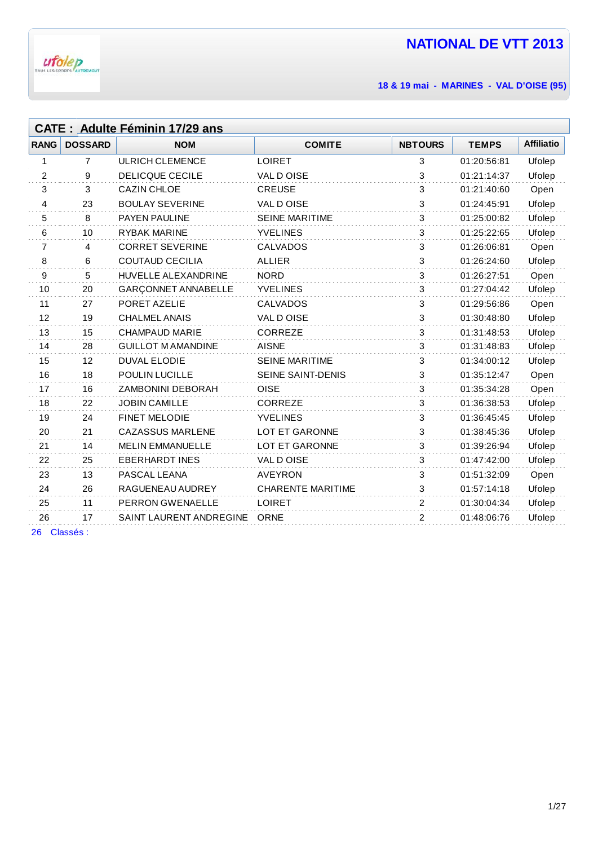

**& 19 mai - MARINES - VAL D'OISE (95)**

|             | <b>CATE: Adulte Féminin 17/29 ans</b> |                            |                          |                |              |                   |  |
|-------------|---------------------------------------|----------------------------|--------------------------|----------------|--------------|-------------------|--|
| <b>RANG</b> | <b>DOSSARD</b>                        | <b>NOM</b>                 | <b>COMITE</b>            | <b>NBTOURS</b> | <b>TEMPS</b> | <b>Affiliatio</b> |  |
| 1           | $\overline{7}$                        | <b>ULRICH CLEMENCE</b>     | <b>LOIRET</b>            | 3              | 01:20:56:81  | Ufolep            |  |
| 2           | 9                                     | <b>DELICQUE CECILE</b>     | VAL DOISE                | 3              | 01:21:14:37  | Ufolep            |  |
| 3           | 3                                     | <b>CAZIN CHLOE</b>         | <b>CREUSE</b>            | $\mathbf{3}$   | 01:21:40:60  | Open              |  |
| 4           | 23                                    | <b>BOULAY SEVERINE</b>     | VAL DOISE                | 3              | 01:24:45:91  | Ufolep            |  |
| 5           | 8                                     | <b>PAYEN PAULINE</b>       | <b>SEINE MARITIME</b>    | 3              | 01:25:00:82  | Ufolep            |  |
| 6           | 10                                    | <b>RYBAK MARINE</b>        | <b>YVELINES</b>          | 3              | 01:25:22:65  | Ufolep            |  |
| 7           | $\overline{4}$                        | <b>CORRET SEVERINE</b>     | <b>CALVADOS</b>          | 3              | 01:26:06:81  | Open              |  |
| 8           | 6                                     | <b>COUTAUD CECILIA</b>     | ALLIER                   | 3              | 01:26:24:60  | Ufolep            |  |
| 9           | 5                                     | <b>HUVELLE ALEXANDRINE</b> | <b>NORD</b>              | 3              | 01:26:27:51  | Open              |  |
| 10          | 20                                    | <b>GARÇONNET ANNABELLE</b> | <b>YVELINES</b>          | 3              | 01:27:04:42  | Ufolep            |  |
| 11          | 27                                    | PORET AZELIE               | <b>CALVADOS</b>          | 3              | 01:29:56:86  | Open              |  |
| 12          | 19                                    | <b>CHALMEL ANAIS</b>       | VAL DOISE                | 3              | 01:30:48:80  | Ufolep            |  |
| 13          | 15                                    | CHAMPAUD MARIE             | CORREZE                  | 3              | 01:31:48:53  | Ufolep            |  |
| 14          | 28                                    | <b>GUILLOT M AMANDINE</b>  | <b>AISNE</b>             | 3              | 01:31:48:83  | Ufolep            |  |
| 15          | 12                                    | <b>DUVAL ELODIE</b>        | <b>SEINE MARITIME</b>    | 3              | 01:34:00:12  | Ufolep            |  |
| 16          | 18                                    | <b>POULIN LUCILLE</b>      | SEINE SAINT-DENIS        | 3              | 01:35:12:47  | Open              |  |
| 17          | 16                                    | <b>ZAMBONINI DEBORAH</b>   | <b>OISE</b>              | 3              | 01:35:34:28  | Open              |  |
| 18          | 22                                    | <b>JOBIN CAMILLE</b>       | <b>CORREZE</b>           | 3              | 01:36:38:53  | Ufolep            |  |
| 19          | 24                                    | <b>FINET MELODIE</b>       | <b>YVELINES</b>          | 3              | 01:36:45:45  | Ufolep            |  |
| 20          | 21                                    | <b>CAZASSUS MARLENE</b>    | <b>LOT ET GARONNE</b>    | 3              | 01:38:45:36  | Ufolep            |  |
| 21          | 14                                    | <b>MELIN EMMANUELLE</b>    | LOT ET GARONNE           | 3              | 01:39:26:94  | Ufolep            |  |
| 22          | 25                                    | <b>EBERHARDT INES</b>      | VAL DOISE                | 3              | 01:47:42:00  | Ufolep            |  |
| 23          | 13                                    | PASCAL LEANA               | <b>AVEYRON</b>           | 3              | 01:51:32:09  | Open              |  |
| 24          | 26                                    | RAGUENEAU AUDREY           | <b>CHARENTE MARITIME</b> | 3              | 01:57:14:18  | Ufolep            |  |
| 25          | 11                                    | <b>PERRON GWENAELLE</b>    | <b>LOIRET</b>            | 2              | 01:30:04:34  | Ufolep            |  |
| 26          | 17                                    | SAINT LAURENT ANDREGINE    | <b>ORNE</b>              | 2              | 01:48:06:76  | Ufolep            |  |
|             |                                       |                            |                          |                |              |                   |  |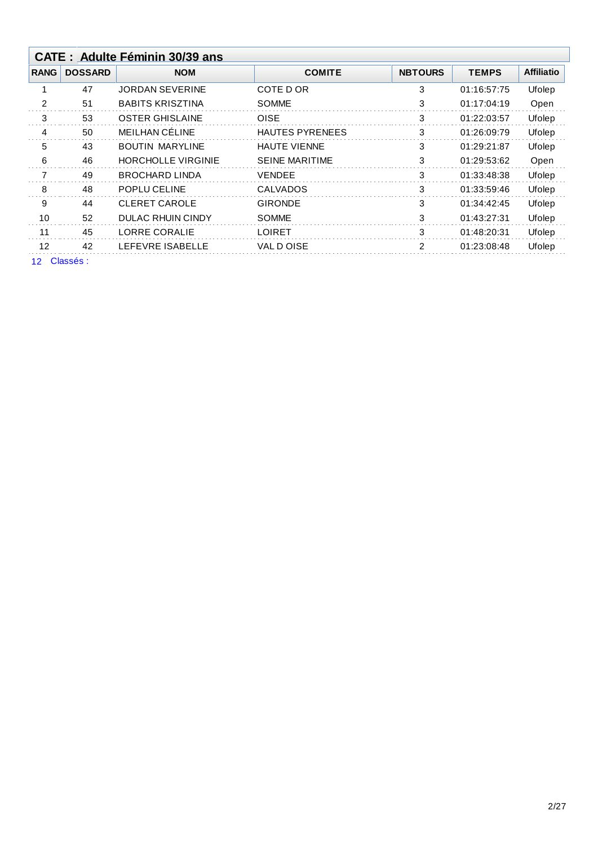|                   |                             | <b>CATE: Adulte Féminin 30/39 ans</b> |                        |                |              |                   |
|-------------------|-----------------------------|---------------------------------------|------------------------|----------------|--------------|-------------------|
| <b>RANG</b>       | <b>DOSSARD</b>              | <b>NOM</b>                            | <b>COMITE</b>          | <b>NBTOURS</b> | <b>TEMPS</b> | <b>Affiliatio</b> |
|                   | 47                          | <b>JORDAN SEVERINE</b>                | COTE D OR              | 3              | 01:16:57:75  | Ufolep            |
| 2                 | 51                          | <b>BABITS KRISZTINA</b>               | <b>SOMME</b>           | 3              | 01:17:04:19  | Open              |
| 3                 | 53                          | <b>OSTER GHISLAINE</b>                | <b>OISE</b>            | 3              | 01:22:03:57  | Ufolep            |
| 4                 | 50                          | MEILHAN CÉLINE                        | <b>HAUTES PYRENEES</b> | 3              | 01:26:09:79  | Ufolep            |
| 5                 | 43                          | <b>BOUTIN MARYLINE</b>                | <b>HAUTE VIENNE</b>    | 3              | 01:29:21:87  | Ufolep            |
| 6                 | 46                          | <b>HORCHOLLE VIRGINIE</b>             | <b>SEINE MARITIME</b>  | 3              | 01:29:53:62  | Open              |
| 7                 | 49                          | <b>BROCHARD LINDA</b>                 | <b>VENDEE</b>          | 3              | 01:33:48:38  | Ufolep            |
| 8                 | 48                          | POPLU CELINE                          | <b>CALVADOS</b>        | 3              | 01:33:59:46  | Ufolep            |
| 9                 | 44                          | <b>CLERET CAROLE</b>                  | <b>GIRONDE</b>         | 3              | 01:34:42:45  | Ufolep            |
| 10                | 52                          | <b>DULAC RHUIN CINDY</b>              | <b>SOMME</b>           | 3              | 01:43:27:31  | Ufolep            |
| 11                | 45                          | <b>LORRE CORALIE</b>                  | <b>LOIRET</b>          | 3              | 01:48:20:31  | Ufolep            |
| $12 \overline{ }$ | 42                          | LEFEVRE ISABELLE                      | VAL D OISE             | 2              | 01:23:08:48  | Ufolep            |
|                   | $\sim$ $\sim$ $\sim$ $\sim$ |                                       |                        |                |              |                   |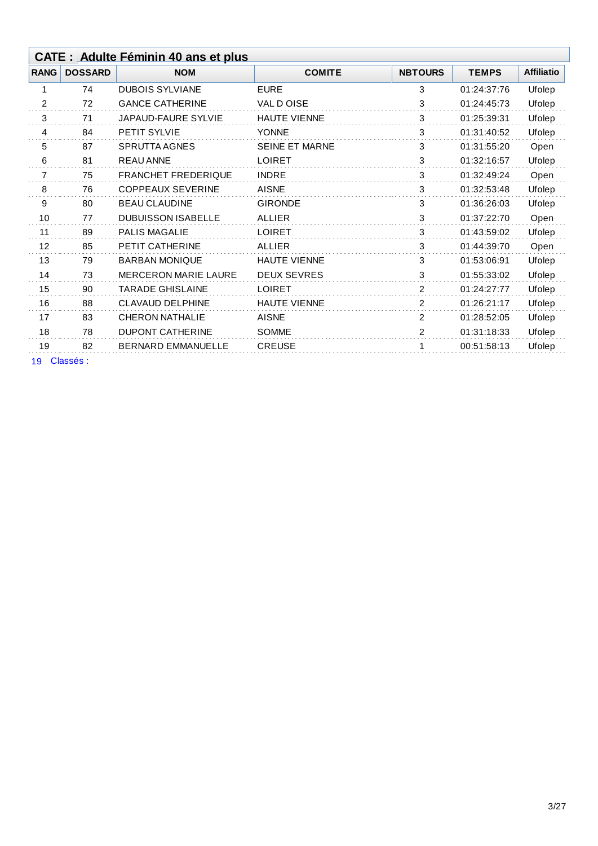| <b>Affiliatio</b><br><b>TEMPS</b> |
|-----------------------------------|
| 01:24:37:76<br>Ufolep             |
| Ufolep<br>01:24:45:73             |
| 01:25:39:31<br>Ufolep             |
| 01:31:40:52<br>Ufolep             |
| Open<br>01:31:55:20               |
| Ufolep<br>01:32:16:57             |
| 01:32:49:24<br>Open               |
| 01:32:53:48<br>Ufolep             |
| 01:36:26:03<br>Ufolep             |
| 01:37:22:70<br>Open               |
| 01:43:59:02<br>Ufolep             |
| 01:44:39:70<br>Open               |
| Ufolep<br>01:53:06:91             |
| 01:55:33:02<br>Ufolep             |
| Ufolep<br>01:24:27:77             |
| 01:26:21:17<br>Ufolep             |
| 01:28:52:05<br>Ufolep             |
| Ufolep<br>01:31:18:33             |
| 00:51:58:13<br>Ufolep             |
|                                   |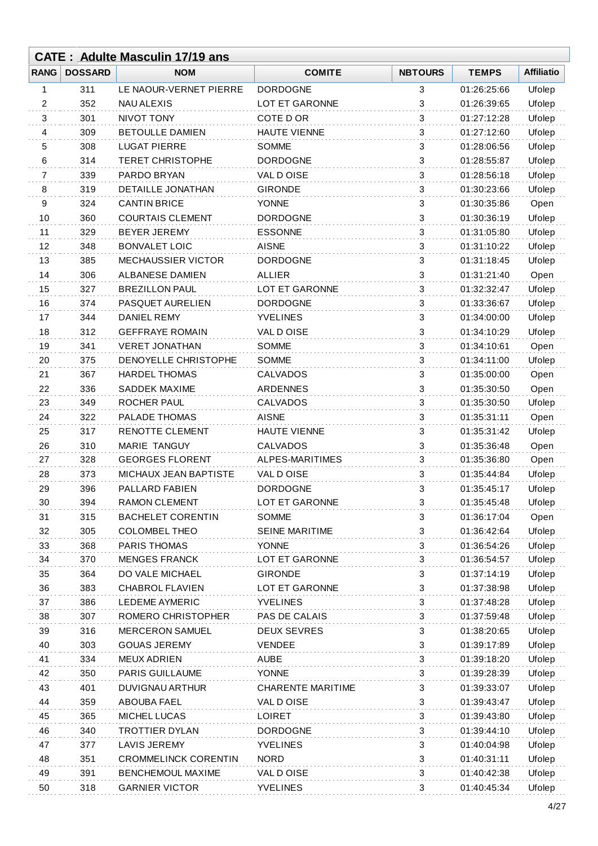|    |              | <b>CATE: Adulte Masculin 17/19 ans</b> |                          |                |              |                   |
|----|--------------|----------------------------------------|--------------------------|----------------|--------------|-------------------|
|    | RANG DOSSARD | <b>NOM</b>                             | <b>COMITE</b>            | <b>NBTOURS</b> | <b>TEMPS</b> | <b>Affiliatio</b> |
| 1  | 311          | LE NAOUR-VERNET PIERRE                 | <b>DORDOGNE</b>          | 3              | 01:26:25:66  | Ufolep            |
| 2  | 352          | <b>NAU ALEXIS</b>                      | LOT ET GARONNE           | 3              | 01:26:39:65  | Ufolep            |
| 3  | 301          | NIVOT TONY                             | COTE D OR                | 3              | 01:27:12:28  | Ufolep            |
| 4  | 309          | <b>BETOULLE DAMIEN</b>                 | HAUTE VIENNE             | 3              | 01:27:12:60  | Ufolep            |
| 5  | 308          | <b>LUGAT PIERRE</b>                    | <b>SOMME</b>             | 3              | 01:28:06:56  | Ufolep            |
| 6  | 314          | <b>TERET CHRISTOPHE</b>                | <b>DORDOGNE</b>          | 3              | 01:28:55:87  | Ufolep            |
| 7  | 339          | PARDO BRYAN                            | VAL DOISE                | 3              | 01:28:56:18  | Ufolep            |
| 8  | 319          | <b>DETAILLE JONATHAN</b>               | <b>GIRONDE</b>           | 3              | 01:30:23:66  | Ufolep            |
| 9  | 324          | <b>CANTIN BRICE</b>                    | YONNE                    | 3              | 01:30:35:86  | Open              |
| 10 | 360          | <b>COURTAIS CLEMENT</b>                | <b>DORDOGNE</b>          | 3              | 01:30:36:19  | Ufolep            |
| 11 | 329          | <b>BEYER JEREMY</b>                    | <b>ESSONNE</b>           | 3              | 01:31:05:80  | Ufolep            |
| 12 | 348          | <b>BONVALET LOIC</b>                   | <b>AISNE</b>             | 3              | 01:31:10:22  | Ufolep            |
| 13 | 385          | MECHAUSSIER VICTOR                     | <b>DORDOGNE</b>          | 3              | 01:31:18:45  | Ufolep            |
| 14 | 306          | ALBANESE DAMIEN                        | <b>ALLIER</b>            | 3              | 01:31:21:40  | Open              |
| 15 | 327          | <b>BREZILLON PAUL</b>                  | LOT ET GARONNE           | 3              | 01:32:32:47  | Ufolep            |
| 16 | 374          | PASQUET AURELIEN                       | <b>DORDOGNE</b>          | 3              | 01:33:36:67  | Ufolep            |
| 17 | 344          | <b>DANIEL REMY</b>                     | <b>YVELINES</b>          | 3              | 01:34:00:00  | Ufolep            |
| 18 | 312          | <b>GEFFRAYE ROMAIN</b>                 | VAL DOISE                | 3              | 01:34:10:29  | Ufolep            |
| 19 | 341          | <b>VERET JONATHAN</b>                  | <b>SOMME</b>             | 3              | 01:34:10:61  | Open              |
| 20 | 375          | DENOYELLE CHRISTOPHE                   | <b>SOMME</b>             | 3              | 01:34:11:00  | Ufolep            |
| 21 | 367          | <b>HARDEL THOMAS</b>                   | <b>CALVADOS</b>          | 3              | 01:35:00:00  | Open              |
| 22 | 336          | <b>SADDEK MAXIME</b>                   | <b>ARDENNES</b>          | 3              | 01:35:30:50  | Open              |
| 23 | 349          | <b>ROCHER PAUL</b>                     | <b>CALVADOS</b>          | 3              | 01:35:30:50  | Ufolep            |
| 24 | 322          | PALADE THOMAS                          | <b>AISNE</b>             | 3              | 01:35:31:11  | Open              |
| 25 | 317          | RENOTTE CLEMENT                        | <b>HAUTE VIENNE</b>      | 3              | 01:35:31:42  | Ufolep            |
| 26 | 310          | <b>MARIE TANGUY</b>                    | <b>CALVADOS</b>          | 3              | 01:35:36:48  | Open              |
| 27 | 328          | <b>GEORGES FLORENT</b>                 | ALPES-MARITIMES          | 3              | 01:35:36:80  | Open              |
| 28 | 373          | MICHAUX JEAN BAPTISTE                  | VAL D OISE               | 3              | 01:35:44:84  | Ufolep            |
| 29 | 396          | PALLARD FABIEN                         | <b>DORDOGNE</b>          | 3              | 01:35:45:17  | Ufolep            |
| 30 | 394          | <b>RAMON CLEMENT</b>                   | LOT ET GARONNE           | 3              | 01:35:45:48  | Ufolep            |
| 31 | 315          | <b>BACHELET CORENTIN</b>               | <b>SOMME</b>             | 3              | 01:36:17:04  | Open              |
| 32 | 305          | <b>COLOMBEL THEO</b>                   | <b>SEINE MARITIME</b>    | $\mathbf{3}$   | 01:36:42:64  | Ufolep            |
| 33 | 368          | <b>PARIS THOMAS</b>                    | <b>YONNE</b>             | 3              | 01:36:54:26  | Ufolep            |
| 34 | 370          | <b>MENGES FRANCK</b>                   | LOT ET GARONNE           | 3              | 01:36:54:57  | Ufolep            |
| 35 | 364          | DO VALE MICHAEL                        | <b>GIRONDE</b>           | 3              | 01:37:14:19  | Ufolep            |
| 36 | 383          | <b>CHABROL FLAVIEN</b>                 | LOT ET GARONNE           | 3              | 01:37:38:98  | Ufolep            |
| 37 | 386          | <b>LEDEME AYMERIC</b>                  | <b>YVELINES</b>          | 3              | 01:37:48:28  | Ufolep            |
| 38 | 307          | ROMERO CHRISTOPHER                     | PAS DE CALAIS            | 3              | 01:37:59:48  | Ufolep            |
| 39 | 316          | <b>MERCERON SAMUEL</b>                 | <b>DEUX SEVRES</b>       | 3              | 01:38:20:65  | Ufolep            |
| 40 | 303          | <b>GOUAS JEREMY</b>                    | <b>VENDEE</b>            | 3              | 01:39:17:89  | Ufolep            |
| 41 | 334          | <b>MEUX ADRIEN</b>                     | <b>AUBE</b>              | 3              | 01:39:18:20  | Ufolep            |
| 42 | 350          | <b>PARIS GUILLAUME</b>                 | <b>YONNE</b>             | 3              | 01:39:28:39  | Ufolep            |
| 43 | 401          | DUVIGNAU ARTHUR                        | <b>CHARENTE MARITIME</b> | 3              | 01:39:33:07  | Ufolep            |
| 44 | 359          | <b>ABOUBA FAEL</b>                     | VAL DOISE                | 3              | 01:39:43:47  | Ufolep            |
| 45 | 365          | MICHEL LUCAS                           | <b>LOIRET</b>            | 3              | 01:39:43:80  | Ufolep            |
| 46 | 340          | <b>TROTTIER DYLAN</b>                  | <b>DORDOGNE</b>          | 3              | 01:39:44:10  | Ufolep            |
| 47 | 377          | <b>LAVIS JEREMY</b>                    | <b>YVELINES</b>          | 3              | 01:40:04:98  | Ufolep            |
| 48 | 351          | <b>CROMMELINCK CORENTIN</b>            | <b>NORD</b>              | 3              | 01:40:31:11  | Ufolep            |
| 49 | 391          | <b>BENCHEMOUL MAXIME</b>               | VAL DOISE                | 3              | 01:40:42:38  | Ufolep            |
| 50 | 318          | <b>GARNIER VICTOR</b>                  | <b>YVELINES</b>          | 3              | 01:40:45:34  | Ufolep            |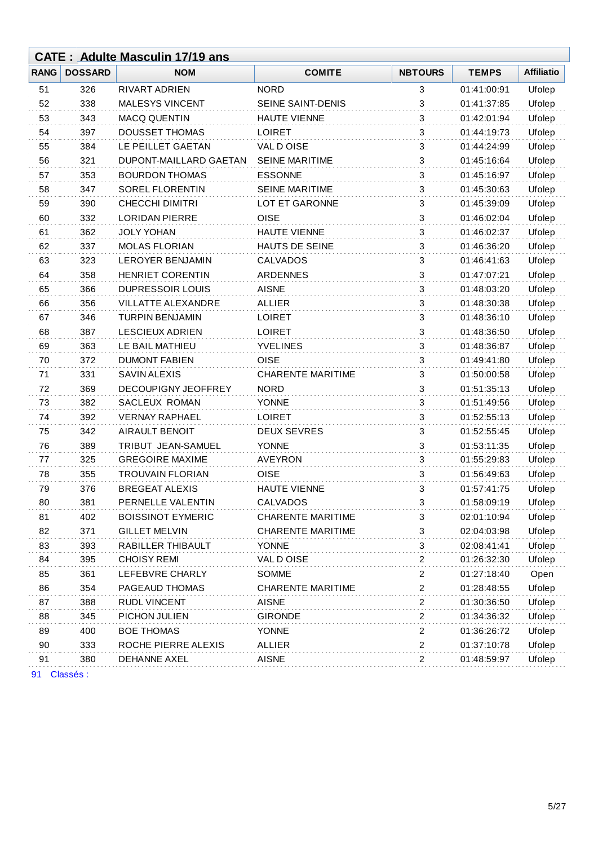|             |                | <b>CATE: Adulte Masculin 17/19 ans</b> |                          |                         |              |                   |
|-------------|----------------|----------------------------------------|--------------------------|-------------------------|--------------|-------------------|
| <b>RANG</b> | <b>DOSSARD</b> | <b>NOM</b>                             | <b>COMITE</b>            | <b>NBTOURS</b>          | <b>TEMPS</b> | <b>Affiliatio</b> |
| 51          | 326            | <b>RIVART ADRIEN</b>                   | <b>NORD</b>              | 3                       | 01:41:00:91  | Ufolep            |
| 52          | 338            | MALESYS VINCENT                        | SEINE SAINT-DENIS        | 3                       | 01:41:37:85  | Ufolep            |
| 53          | 343            | <b>MACQ QUENTIN</b>                    | <b>HAUTE VIENNE</b>      | 3                       | 01:42:01:94  | Ufolep            |
| 54          | 397            | <b>DOUSSET THOMAS</b>                  | <b>LOIRET</b>            | 3                       | 01:44:19:73  | Ufolep            |
| 55          | 384            | LE PEILLET GAETAN                      | VAL D OISE               | 3                       | 01:44:24:99  | Ufolep            |
| 56          | 321            | DUPONT-MAILLARD GAETAN                 | <b>SEINE MARITIME</b>    | 3                       | 01:45:16:64  | Ufolep            |
| 57          | 353            | <b>BOURDON THOMAS</b>                  | <b>ESSONNE</b>           | 3                       | 01:45:16:97  | Ufolep            |
| 58          | 347            | <b>SOREL FLORENTIN</b>                 | <b>SEINE MARITIME</b>    | 3                       | 01:45:30:63  | Ufolep            |
| 59          | 390            | <b>CHECCHI DIMITRI</b>                 | LOT ET GARONNE           | 3                       | 01:45:39:09  | Ufolep            |
| 60          | 332            | <b>LORIDAN PIERRE</b>                  | <b>OISE</b>              | 3                       | 01:46:02:04  | Ufolep            |
| 61          | 362            | <b>JOLY YOHAN</b>                      | <b>HAUTE VIENNE</b>      | 3                       | 01:46:02:37  | Ufolep            |
| 62          | 337            | <b>MOLAS FLORIAN</b>                   | <b>HAUTS DE SEINE</b>    | 3                       | 01:46:36:20  | Ufolep            |
| 63          | 323            | <b>LEROYER BENJAMIN</b>                | CALVADOS                 | 3                       | 01:46:41:63  | Ufolep            |
| 64          | 358            | <b>HENRIET CORENTIN</b>                | <b>ARDENNES</b>          | 3                       | 01:47:07:21  | Ufolep            |
| 65          | 366            | <b>DUPRESSOIR LOUIS</b>                | <b>AISNE</b>             | 3                       | 01:48:03:20  | Ufolep            |
| 66          | 356            | VILLATTE ALEXANDRE                     | <b>ALLIER</b>            | 3                       | 01:48:30:38  | Ufolep            |
| 67          | 346            | <b>TURPIN BENJAMIN</b>                 | <b>LOIRET</b>            | 3                       | 01:48:36:10  | Ufolep            |
| 68          | 387            | <b>LESCIEUX ADRIEN</b>                 | <b>LOIRET</b>            | 3                       | 01:48:36:50  | Ufolep            |
| 69          | 363            | LE BAIL MATHIEU                        | <b>YVELINES</b>          | 3                       | 01:48:36:87  | Ufolep            |
| 70          | 372            | <b>DUMONT FABIEN</b>                   | <b>OISE</b>              | 3                       | 01:49:41:80  | Ufolep            |
| 71          | 331            | SAVIN ALEXIS                           | <b>CHARENTE MARITIME</b> | 3                       | 01:50:00:58  | Ufolep            |
| 72          | 369            | DECOUPIGNY JEOFFREY                    | <b>NORD</b>              | 3                       | 01:51:35:13  | Ufolep            |
| 73          | 382            | SACLEUX ROMAN                          | <b>YONNE</b>             | 3                       | 01:51:49:56  | Ufolep            |
| 74          | 392            | <b>VERNAY RAPHAEL</b>                  | <b>LOIRET</b>            | 3                       | 01:52:55:13  | Ufolep            |
| 75          | 342            | AIRAULT BENOIT                         | <b>DEUX SEVRES</b>       | 3                       | 01:52:55:45  | Ufolep            |
| 76          | 389            | TRIBUT JEAN-SAMUEL                     | <b>YONNE</b>             | 3                       | 01:53:11:35  | Ufolep            |
| 77          | 325            | <b>GREGOIRE MAXIME</b>                 | <b>AVEYRON</b>           | 3                       | 01:55:29:83  | Ufolep            |
| 78          | 355            | <b>TROUVAIN FLORIAN</b>                | <b>OISE</b>              | 3                       | 01:56:49:63  | Ufolep            |
| 79          | 376            | <b>BREGEAT ALEXIS</b>                  | <b>HAUTE VIENNE</b>      | 3                       | 01:57:41:75  | Ufolep            |
| 80          | 381            | PERNELLE VALENTIN                      | <b>CALVADOS</b>          | 3                       | 01:58:09:19  | Ufolep            |
| 81          | 402            | <b>BOISSINOT EYMERIC</b>               | <b>CHARENTE MARITIME</b> | 3                       | 02:01:10:94  | Ufolep            |
| 82          | 371            | <b>GILLET MELVIN</b>                   | <b>CHARENTE MARITIME</b> | 3                       | 02:04:03:98  | Ufolep            |
| 83          | 393            | RABILLER THIBAULT                      | <b>YONNE</b>             | 3                       | 02:08:41:41  | Ufolep            |
| 84          | 395            | <b>CHOISY REMI</b>                     | VAL D OISE               | $\overline{\mathbf{c}}$ | 01:26:32:30  | Ufolep            |
| 85          | 361            | LEFEBVRE CHARLY                        | <b>SOMME</b>             | $\overline{2}$          | 01:27:18:40  | Open              |
| 86          | 354            | PAGEAUD THOMAS                         | <b>CHARENTE MARITIME</b> | $\sqrt{2}$              | 01:28:48:55  | Ufolep            |
| 87          | 388            | RUDL VINCENT                           | <b>AISNE</b>             | 2                       | 01:30:36:50  | Ufolep            |
| 88          | 345            | PICHON JULIEN                          | <b>GIRONDE</b>           | $\overline{2}$          | 01:34:36:32  | Ufolep            |
| 89          | 400            | <b>BOE THOMAS</b>                      | <b>YONNE</b>             | $\overline{2}$          | 01:36:26:72  | Ufolep            |
| 90          | 333            | ROCHE PIERRE ALEXIS                    | ALLIER                   | $\sqrt{2}$              | 01:37:10:78  | Ufolep            |
| 91          | 380            | DEHANNE AXEL                           | AISNE                    | 2                       | 01:48:59:97  | Ufolep            |
| 91          | Classés :      |                                        |                          |                         |              |                   |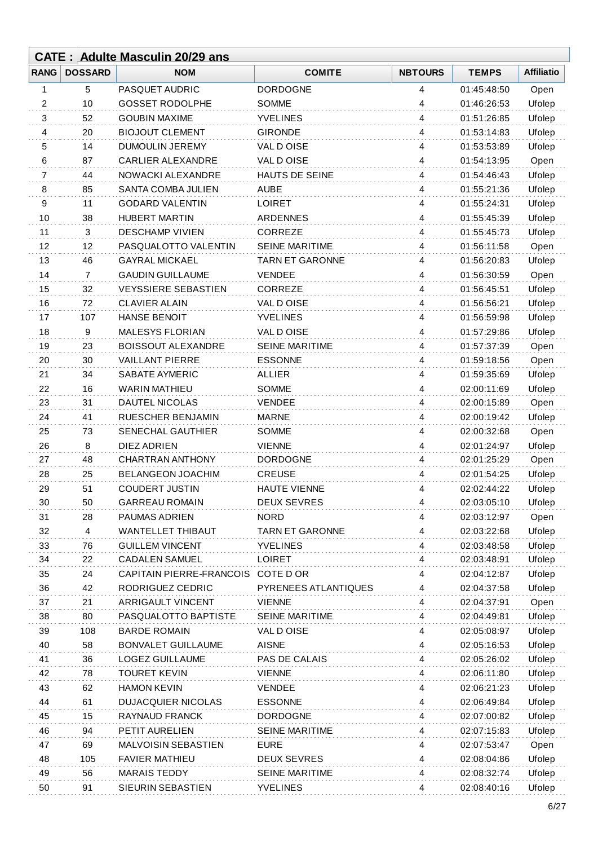|             |                | <b>CATE: Adulte Masculin 20/29 ans</b> |                        |                |                            |                   |
|-------------|----------------|----------------------------------------|------------------------|----------------|----------------------------|-------------------|
| <b>RANG</b> | <b>DOSSARD</b> | <b>NOM</b>                             | <b>COMITE</b>          | <b>NBTOURS</b> | <b>TEMPS</b>               | <b>Affiliatio</b> |
| 1           | 5              | PASQUET AUDRIC                         | <b>DORDOGNE</b>        | 4              | 01:45:48:50                | Open              |
| 2           | 10             | <b>GOSSET RODOLPHE</b>                 | <b>SOMME</b>           | 4              | 01:46:26:53                | Ufolep            |
| 3           | 52             | <b>GOUBIN MAXIME</b>                   | <b>YVELINES</b>        | 4              | 01:51:26:85                | Ufolep            |
| 4           | 20             | <b>BIOJOUT CLEMENT</b>                 | <b>GIRONDE</b>         | 4              | 01:53:14:83                | Ufolep            |
| 5           | 14             | <b>DUMOULIN JEREMY</b>                 | VAL DOISE              | 4              | 01:53:53:89                | Ufolep            |
| 6           | 87             | <b>CARLIER ALEXANDRE</b>               | VAL DOISE              | 4              | 01:54:13:95                | Open              |
| 7           | 44             | NOWACKI ALEXANDRE                      | HAUTS DE SEINE         | 4              | 01:54:46:43                | Ufolep            |
| 8           | 85             | SANTA COMBA JULIEN                     | <b>AUBE</b>            | 4              | 01:55:21:36                | Ufolep            |
| 9           | 11             | <b>GODARD VALENTIN</b>                 | <b>LOIRET</b>          | 4              | 01:55:24:31                | Ufolep            |
| 10          | 38             | <b>HUBERT MARTIN</b>                   | <b>ARDENNES</b>        | 4              | 01:55:45:39                | Ufolep            |
| 11          | $\sqrt{3}$     | <b>DESCHAMP VIVIEN</b>                 | <b>CORREZE</b>         | 4              | 01:55:45:73                | Ufolep            |
| 12          | 12             | PASQUALOTTO VALENTIN                   | <b>SEINE MARITIME</b>  | 4              | 01:56:11:58                | Open              |
| 13          | 46             | <b>GAYRAL MICKAEL</b>                  | <b>TARN ET GARONNE</b> | 4              | 01:56:20:83                | Ufolep            |
| 14          | $\overline{7}$ | <b>GAUDIN GUILLAUME</b>                | <b>VENDEE</b>          | 4              | 01:56:30:59                | Open              |
| 15          | 32             | <b>VEYSSIERE SEBASTIEN</b>             | CORREZE                | 4              | 01:56:45:51                | Ufolep            |
| 16          | 72             | <b>CLAVIER ALAIN</b>                   | VAL DOISE              | 4              | 01:56:56:21                | Ufolep            |
| 17          | 107            | <b>HANSE BENOIT</b>                    | <b>YVELINES</b>        | 4              | 01:56:59:98                | Ufolep            |
| 18          | 9              | <b>MALESYS FLORIAN</b>                 | VAL DOISE              | 4              | 01:57:29:86                | Ufolep            |
| 19          | 23             | <b>BOISSOUT ALEXANDRE</b>              | <b>SEINE MARITIME</b>  | 4              | 01:57:37:39                | Open              |
| 20          | 30             | <b>VAILLANT PIERRE</b>                 | <b>ESSONNE</b>         | 4              | 01:59:18:56                | Open              |
| 21          | 34             | SABATE AYMERIC                         | <b>ALLIER</b>          | 4              | 01:59:35:69                | Ufolep            |
| 22          | 16             | <b>WARIN MATHIEU</b>                   | <b>SOMME</b>           | 4              | 02:00:11:69                | Ufolep            |
| 23          | 31             | DAUTEL NICOLAS                         | <b>VENDEE</b>          | 4              | 02:00:15:89                | Open              |
| 24          | 41             | RUESCHER BENJAMIN                      | <b>MARNE</b>           | 4              | 02:00:19:42                | Ufolep            |
| 25          | 73             | SENECHAL GAUTHIER                      | <b>SOMME</b>           | 4              | 02:00:32:68                | Open              |
| 26          | 8              | DIEZ ADRIEN                            | <b>VIENNE</b>          | 4              | 02:01:24:97                | Ufolep            |
| 27          | 48             | CHARTRAN ANTHONY                       | <b>DORDOGNE</b>        | 4              | 02:01:25:29                | Open              |
| 28          | 25             | <b>BELANGEON JOACHIM</b>               | <b>CREUSE</b>          | 4              | 02:01:54:25                | Ufolep            |
| 29          | 51             | <b>COUDERT JUSTIN</b>                  | <b>HAUTE VIENNE</b>    | 4              | 02:02:44:22                | Ufolep            |
| 30          | 50             | <b>GARREAU ROMAIN</b>                  | <b>DEUX SEVRES</b>     | 4              | 02:03:05:10                | Ufolep            |
| 31          | 28             | PAUMAS ADRIEN                          | <b>NORD</b>            | 4              | 02:03:12:97                | Open              |
| 32          | 4              | <b>WANTELLET THIBAUT</b>               | <b>TARN ET GARONNE</b> | 4              | 02:03:22:68                | Ufolep            |
| 33          | 76             | <b>GUILLEM VINCENT</b>                 | <b>YVELINES</b>        | 4              | 02:03:48:58                | Ufolep            |
| 34          | 22             | <b>CADALEN SAMUEL</b>                  | <b>LOIRET</b>          | 4              | 02:03:48:91                | Ufolep            |
| 35          | 24             | CAPITAIN PIERRE-FRANCOIS               | COTE D OR              | 4              | 02:04:12:87                | Ufolep            |
| 36          | 42             | RODRIGUEZ CEDRIC                       | PYRENEES ATLANTIQUES   | 4              | 02:04:37:58                | Ufolep            |
| 37          | 21             | <b>ARRIGAULT VINCENT</b>               | <b>VIENNE</b>          | 4              | 02:04:37:91                | Open              |
| 38          | 80             | PASQUALOTTO BAPTISTE                   | <b>SEINE MARITIME</b>  | 4              | 02:04:49:81                | Ufolep            |
| 39          | 108            | <b>BARDE ROMAIN</b>                    | VAL DOISE              | 4              | 02:05:08:97                | Ufolep            |
| 40          | 58             | <b>BONVALET GUILLAUME</b>              | <b>AISNE</b>           | 4              | 02:05:16:53                | Ufolep            |
| 41          | 36             | LOGEZ GUILLAUME                        | PAS DE CALAIS          | 4              | 02:05:26:02                | Ufolep            |
| 42          | 78             | <b>TOURET KEVIN</b>                    | <b>VIENNE</b>          | 4              | 02:06:11:80                | Ufolep            |
| 43          | 62             | <b>HAMON KEVIN</b>                     | <b>VENDEE</b>          | 4              | 02:06:21:23                | Ufolep            |
| 44          | 61             | <b>DUJACQUIER NICOLAS</b>              | <b>ESSONNE</b>         | 4              | 02:06:49:84                | Ufolep            |
| 45          | 15             | RAYNAUD FRANCK                         | <b>DORDOGNE</b>        | 4              |                            | Ufolep            |
| 46          | 94             | PETIT AURELIEN                         | SEINE MARITIME         |                | 02:07:00:82<br>02:07:15:83 |                   |
|             | 69             | <b>MALVOISIN SEBASTIEN</b>             | <b>EURE</b>            | 4<br>4         |                            | Ufolep            |
| 47          | 105            | <b>FAVIER MATHIEU</b>                  | <b>DEUX SEVRES</b>     |                | 02:07:53:47<br>02:08:04:86 | Open              |
| 48<br>49    | 56             | <b>MARAIS TEDDY</b>                    | <b>SEINE MARITIME</b>  | 4              | 02:08:32:74                | Ufolep<br>Ufolep  |
|             |                |                                        |                        | 4              |                            |                   |
| 50          | 91             | SIEURIN SEBASTIEN                      | <b>YVELINES</b>        | 4              | 02:08:40:16                | Ufolep            |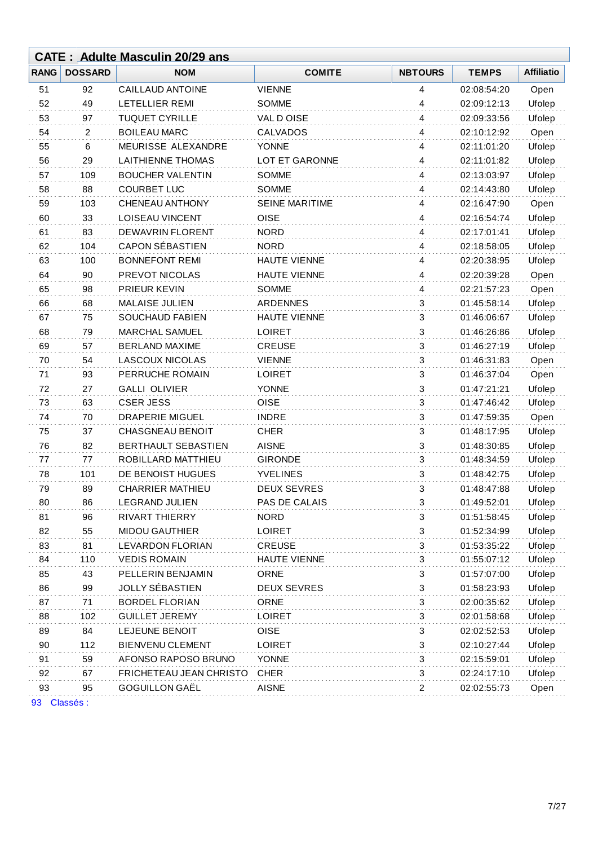|             |                | <b>CATE: Adulte Masculin 20/29 ans</b> |                       |                           |              |                   |
|-------------|----------------|----------------------------------------|-----------------------|---------------------------|--------------|-------------------|
| <b>RANG</b> | <b>DOSSARD</b> | <b>NOM</b>                             | <b>COMITE</b>         | <b>NBTOURS</b>            | <b>TEMPS</b> | <b>Affiliatio</b> |
| 51          | 92             | CAILLAUD ANTOINE                       | <b>VIENNE</b>         | 4                         | 02:08:54:20  | Open              |
| 52          | 49             | LETELLIER REMI                         | <b>SOMME</b>          | 4                         | 02:09:12:13  | Ufolep            |
| 53          | 97             | <b>TUQUET CYRILLE</b>                  | VAL DOISE             | 4                         | 02:09:33:56  | Ufolep            |
| 54          | 2              | <b>BOILEAU MARC</b>                    | CALVADOS              | 4                         | 02:10:12:92  | Open              |
| 55          | 6              | MEURISSE ALEXANDRE                     | <b>YONNE</b>          | 4                         | 02:11:01:20  | Ufolep            |
| 56          | 29             | <b>LAITHIENNE THOMAS</b>               | <b>LOT ET GARONNE</b> | 4                         | 02:11:01:82  | Ufolep            |
| 57          | 109            | <b>BOUCHER VALENTIN</b>                | <b>SOMME</b>          | 4                         | 02:13:03:97  | Ufolep            |
| 58          | 88             | <b>COURBET LUC</b>                     | <b>SOMME</b>          | 4                         | 02:14:43:80  | Ufolep            |
| 59          | 103            | CHENEAU ANTHONY                        | <b>SEINE MARITIME</b> | 4                         | 02:16:47:90  | Open              |
| 60          | 33             | <b>LOISEAU VINCENT</b>                 | <b>OISE</b>           | 4                         | 02:16:54:74  | Ufolep            |
| 61          | 83             | <b>DEWAVRIN FLORENT</b>                | <b>NORD</b>           | 4                         | 02:17:01:41  | Ufolep            |
| 62          | 104            | <b>CAPON SÉBASTIEN</b>                 | <b>NORD</b>           | 4                         | 02:18:58:05  | Ufolep            |
| 63          | 100            | <b>BONNEFONT REMI</b>                  | <b>HAUTE VIENNE</b>   | 4                         | 02:20:38:95  | Ufolep            |
| 64          | 90             | PREVOT NICOLAS                         | <b>HAUTE VIENNE</b>   | 4                         | 02:20:39:28  | Open              |
| 65          | 98             | PRIEUR KEVIN                           | <b>SOMME</b>          | 4                         | 02:21:57:23  | Open              |
| 66          | 68             | <b>MALAISE JULIEN</b>                  | <b>ARDENNES</b>       | 3                         | 01:45:58:14  | Ufolep            |
| 67          | 75             | <b>SOUCHAUD FABIEN</b>                 | HAUTE VIENNE          | 3                         | 01:46:06:67  | Ufolep            |
| 68          | 79             | <b>MARCHAL SAMUEL</b>                  | <b>LOIRET</b>         | 3                         | 01:46:26:86  | Ufolep            |
| 69          | 57             | <b>BERLAND MAXIME</b>                  | <b>CREUSE</b>         | 3                         | 01:46:27:19  | Ufolep            |
| 70          | 54             | <b>LASCOUX NICOLAS</b>                 | <b>VIENNE</b>         | 3                         | 01:46:31:83  | Open              |
| 71          | 93             | PERRUCHE ROMAIN                        | <b>LOIRET</b>         | 3                         | 01:46:37:04  | Open              |
| 72          | 27             | <b>GALLI OLIVIER</b>                   | <b>YONNE</b>          | 3                         | 01:47:21:21  | Ufolep            |
| 73          | 63             | <b>CSER JESS</b>                       | <b>OISE</b>           | 3                         | 01:47:46:42  | Ufolep            |
| 74          | 70             | <b>DRAPERIE MIGUEL</b>                 | <b>INDRE</b>          | 3                         | 01:47:59:35  | Open              |
| 75          | 37             | <b>CHASGNEAU BENOIT</b>                | <b>CHER</b>           | 3                         | 01:48:17:95  | Ufolep            |
| 76          | 82             | BERTHAULT SEBASTIEN                    | <b>AISNE</b>          | 3                         | 01:48:30:85  | Ufolep            |
| 77          | 77             | ROBILLARD MATTHIEU                     | <b>GIRONDE</b>        | 3                         | 01:48:34:59  | Ufolep            |
| 78          | 101            | DE BENOIST HUGUES                      | <b>YVELINES</b>       | 3                         | 01:48:42:75  | Ufolep            |
| 79          | 89             | <b>CHARRIER MATHIEU</b>                | <b>DEUX SEVRES</b>    | 3                         | 01:48:47:88  | Ufolep            |
| 80          | 86             | <b>LEGRAND JULIEN</b>                  | PAS DE CALAIS         | 3                         | 01:49:52:01  | Ufolep            |
| 81          | 96             | <b>RIVART THIERRY</b>                  | <b>NORD</b>           | 3                         | 01:51:58:45  | Ufolep            |
| 82          | 55             | <b>MIDOU GAUTHIER</b>                  | <b>LOIRET</b>         | 3                         | 01:52:34:99  | Ufolep            |
| 83          | 81             | LEVARDON FLORIAN                       | <b>CREUSE</b>         | 3                         | 01:53:35:22  | Ufolep            |
| 84          | 110            | <b>VEDIS ROMAIN</b>                    | HAUTE VIENNE          | 3                         | 01:55:07:12  | Ufolep            |
| 85          | 43             | PELLERIN BENJAMIN                      | ORNE                  | 3                         | 01:57:07:00  | Ufolep            |
| 86          | 99             | JOLLY SÉBASTIEN                        | <b>DEUX SEVRES</b>    | 3                         | 01:58:23:93  | Ufolep            |
| 87          | 71             | <b>BORDEL FLORIAN</b>                  | ORNE                  | 3                         | 02:00:35:62  | Ufolep            |
| 88          | 102            | <b>GUILLET JEREMY</b>                  | <b>LOIRET</b>         | 3                         | 02:01:58:68  | Ufolep            |
| 89          | 84             | LEJEUNE BENOIT                         | OISE                  | 3                         | 02:02:52:53  | Ufolep            |
| 90          | 112            | <b>BIENVENU CLEMENT</b>                | <b>LOIRET</b>         | 3                         | 02:10:27:44  | Ufolep            |
| 91          | 59             | AFONSO RAPOSO BRUNO                    | <b>YONNE</b>          | 3                         | 02:15:59:01  | Ufolep            |
| 92          | 67             | FRICHETEAU JEAN CHRISTO                | <b>CHER</b>           | $\ensuremath{\mathsf{3}}$ | 02:24:17:10  | Ufolep            |
| 93          | 95             | GOGUILLON GAËL                         | <b>AISNE</b>          | 2                         | 02:02:55:73  | Open              |
|             |                |                                        |                       |                           |              |                   |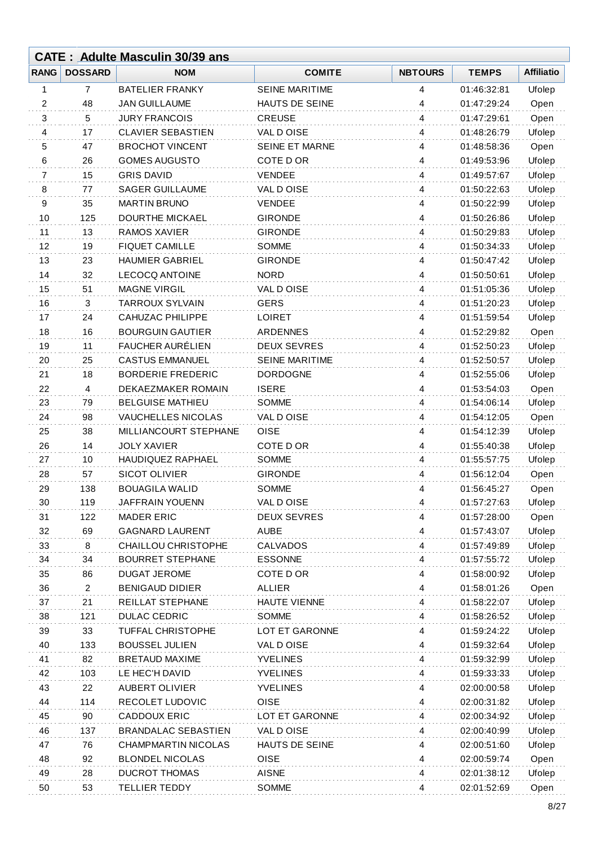|      |                | <b>CATE: Adulte Masculin 30/39 ans</b> |                       |                |              |                   |
|------|----------------|----------------------------------------|-----------------------|----------------|--------------|-------------------|
| RANG | <b>DOSSARD</b> | <b>NOM</b>                             | <b>COMITE</b>         | <b>NBTOURS</b> | <b>TEMPS</b> | <b>Affiliatio</b> |
| 1    | 7              | <b>BATELIER FRANKY</b>                 | <b>SEINE MARITIME</b> | 4              | 01:46:32:81  | Ufolep            |
| 2    | 48             | <b>JAN GUILLAUME</b>                   | HAUTS DE SEINE        | 4              | 01:47:29:24  | Open              |
| 3    | 5              | <b>JURY FRANCOIS</b>                   | <b>CREUSE</b>         | 4              | 01:47:29:61  | Open              |
| 4    | 17             | <b>CLAVIER SEBASTIEN</b>               | VAL DOISE             | 4              | 01:48:26:79  | Ufolep            |
| 5    | 47             | <b>BROCHOT VINCENT</b>                 | SEINE ET MARNE        | 4              | 01:48:58:36  | Open              |
| 6    | 26             | <b>GOMES AUGUSTO</b>                   | COTE D OR             | 4              | 01:49:53:96  | Ufolep            |
| 7    | 15             | <b>GRIS DAVID</b>                      | <b>VENDEE</b>         | 4              | 01:49:57:67  | Ufolep            |
| 8    | 77             | <b>SAGER GUILLAUME</b>                 | VAL DOISE             | 4              | 01:50:22:63  | Ufolep            |
| 9    | 35             | <b>MARTIN BRUNO</b>                    | <b>VENDEE</b>         | 4              | 01:50:22:99  | Ufolep            |
| 10   | 125            | <b>DOURTHE MICKAEL</b>                 | <b>GIRONDE</b>        | 4              | 01:50:26:86  | Ufolep            |
| 11   | 13             | <b>RAMOS XAVIER</b>                    | <b>GIRONDE</b>        | 4              | 01:50:29:83  | Ufolep            |
| 12   | 19             | <b>FIQUET CAMILLE</b>                  | <b>SOMME</b>          | 4              | 01:50:34:33  | Ufolep            |
| 13   | 23             | <b>HAUMIER GABRIEL</b>                 | <b>GIRONDE</b>        | 4              | 01:50:47:42  | Ufolep            |
| 14   | 32             | <b>LECOCQ ANTOINE</b>                  | <b>NORD</b>           | $\overline{4}$ | 01:50:50:61  | Ufolep            |
| 15   | 51             | <b>MAGNE VIRGIL</b>                    | VAL DOISE             | 4              | 01:51:05:36  | Ufolep            |
| 16   | 3              | <b>TARROUX SYLVAIN</b>                 | <b>GERS</b>           | 4              | 01:51:20:23  | Ufolep            |
| 17   | 24             | <b>CAHUZAC PHILIPPE</b>                | <b>LOIRET</b>         | 4              | 01:51:59:54  | Ufolep            |
| 18   | 16             | <b>BOURGUIN GAUTIER</b>                | <b>ARDENNES</b>       | 4              | 01:52:29:82  | Open              |
| 19   | 11             | FAUCHER AURÉLIEN                       | <b>DEUX SEVRES</b>    | 4              | 01:52:50:23  | Ufolep            |
| 20   | 25             | <b>CASTUS EMMANUEL</b>                 | <b>SEINE MARITIME</b> | 4              | 01:52:50:57  | Ufolep            |
| 21   | 18             | <b>BORDERIE FREDERIC</b>               | <b>DORDOGNE</b>       | 4              | 01:52:55:06  | Ufolep            |
| 22   | 4              | DEKAEZMAKER ROMAIN                     | <b>ISERE</b>          | 4              | 01:53:54:03  | Open              |
| 23   | 79             | <b>BELGUISE MATHIEU</b>                | <b>SOMME</b>          | 4              | 01:54:06:14  | Ufolep            |
| 24   | 98             | VAUCHELLES NICOLAS                     | VAL D OISE            | 4              | 01:54:12:05  | Open              |
| 25   | 38             | MILLIANCOURT STEPHANE                  | <b>OISE</b>           | 4              | 01:54:12:39  | Ufolep            |
| 26   | 14             | <b>JOLY XAVIER</b>                     | COTE D OR             | 4              | 01:55:40:38  | Ufolep            |
| 27   | 10             | HAUDIQUEZ RAPHAEL                      | <b>SOMME</b>          | 4              | 01:55:57:75  | Ufolep            |
| 28   | 57             | <b>SICOT OLIVIER</b>                   | <b>GIRONDE</b>        | 4              | 01:56:12:04  | Open              |
| 29   | 138            | <b>BOUAGILA WALID</b>                  | SOMME                 | 4              | 01:56:45:27  | Open              |
| 30   | 119            | JAFFRAIN YOUENN                        | VAL DOISE             | 4              | 01:57:27:63  | Ufolep            |
| 31   | 122            | <b>MADER ERIC</b>                      | <b>DEUX SEVRES</b>    | 4              | 01:57:28:00  | Open              |
| 32   | 69             | <b>GAGNARD LAURENT</b>                 | <b>AUBE</b>           | 4              | 01:57:43:07  | Ufolep            |
| 33   | 8              | <b>CHAILLOU CHRISTOPHE</b>             | <b>CALVADOS</b>       | 4              | 01:57:49:89  | Ufolep            |
| 34   | 34             | <b>BOURRET STEPHANE</b>                | <b>ESSONNE</b>        | 4              | 01:57:55:72  | Ufolep            |
| 35   | 86             | <b>DUGAT JEROME</b>                    | COTE D OR             | 4              | 01:58:00:92  | Ufolep            |
| 36   | $\overline{2}$ | <b>BENIGAUD DIDIER</b>                 | <b>ALLIER</b>         | 4              | 01:58:01:26  | Open              |
| 37   | 21             | REILLAT STEPHANE                       | <b>HAUTE VIENNE</b>   | 4              | 01:58:22:07  | Ufolep            |
| 38   | 121            | <b>DULAC CEDRIC</b>                    | <b>SOMME</b>          | 4              | 01:58:26:52  | Ufolep            |
| 39   | 33             | TUFFAL CHRISTOPHE                      | LOT ET GARONNE        | 4              | 01:59:24:22  | Ufolep            |
| 40   | 133            | <b>BOUSSEL JULIEN</b>                  | VAL DOISE             | 4              | 01:59:32:64  | Ufolep            |
| 41   | 82             | <b>BRETAUD MAXIME</b>                  | <b>YVELINES</b>       | 4              | 01:59:32:99  | Ufolep            |
| 42   | 103            | LE HEC'H DAVID                         | <b>YVELINES</b>       | 4              | 01:59:33:33  | Ufolep            |
| 43   | 22             | <b>AUBERT OLIVIER</b>                  | <b>YVELINES</b>       | 4              | 02:00:00:58  | Ufolep            |
| 44   | 114            | RECOLET LUDOVIC                        | <b>OISE</b>           | 4              | 02:00:31:82  | Ufolep            |
| 45   | 90             | <b>CADDOUX ERIC</b>                    | LOT ET GARONNE        | 4              | 02:00:34:92  | Ufolep            |
| 46   | 137            | <b>BRANDALAC SEBASTIEN</b>             | VAL DOISE             | 4              | 02:00:40:99  | Ufolep            |
| 47   | 76             | <b>CHAMPMARTIN NICOLAS</b>             | HAUTS DE SEINE        | 4              | 02:00:51:60  | Ufolep            |
| 48   | 92             | <b>BLONDEL NICOLAS</b>                 | <b>OISE</b>           | 4              | 02:00:59:74  | Open              |
| 49   | 28             | <b>DUCROT THOMAS</b>                   | <b>AISNE</b>          | 4              | 02:01:38:12  | Ufolep            |
| 50   | 53             | <b>TELLIER TEDDY</b>                   | <b>SOMME</b>          | 4              | 02:01:52:69  | Open              |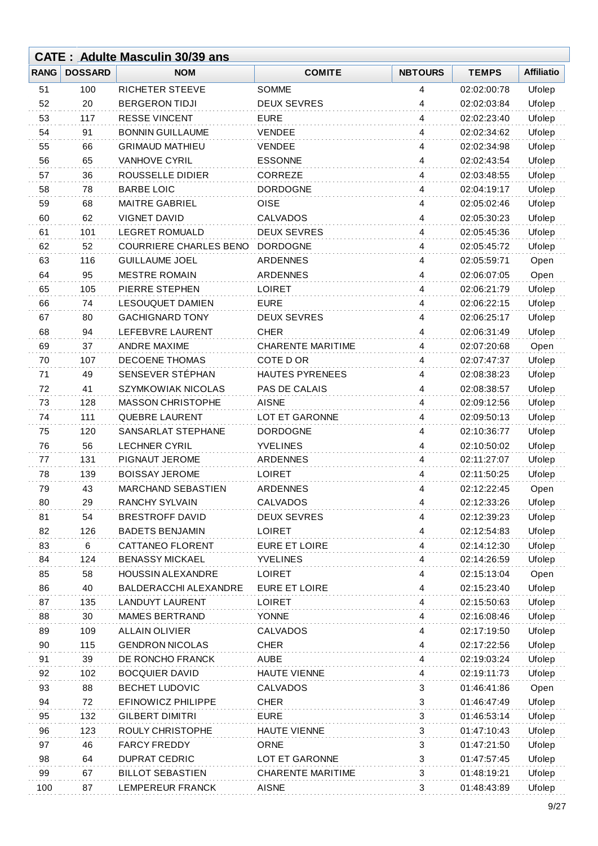|             |                | <b>CATE: Adulte Masculin 30/39 ans</b> |                          |                         |                            |                   |
|-------------|----------------|----------------------------------------|--------------------------|-------------------------|----------------------------|-------------------|
| <b>RANG</b> | <b>DOSSARD</b> | <b>NOM</b>                             | <b>COMITE</b>            | <b>NBTOURS</b>          | <b>TEMPS</b>               | <b>Affiliatio</b> |
| 51          | 100            | <b>RICHETER STEEVE</b>                 | <b>SOMME</b>             | 4                       | 02:02:00:78                | Ufolep            |
| 52          | 20             | <b>BERGERON TIDJI</b>                  | <b>DEUX SEVRES</b>       | 4                       | 02:02:03:84                | Ufolep            |
| 53          | 117            | <b>RESSE VINCENT</b>                   | <b>EURE</b>              | 4                       | 02:02:23:40                | Ufolep            |
| 54          | 91             | <b>BONNIN GUILLAUME</b>                | <b>VENDEE</b>            | 4                       | 02:02:34:62                | Ufolep            |
| 55          | 66             | <b>GRIMAUD MATHIEU</b>                 | <b>VENDEE</b>            | 4                       | 02:02:34:98                | Ufolep            |
| 56          | 65             | <b>VANHOVE CYRIL</b>                   | <b>ESSONNE</b>           | 4                       | 02:02:43:54                | Ufolep            |
| 57          | 36             | ROUSSELLE DIDIER                       | CORREZE                  | 4                       | 02:03:48:55                | Ufolep            |
| 58          | 78             | <b>BARBE LOIC</b>                      | <b>DORDOGNE</b>          | 4                       | 02:04:19:17                | Ufolep            |
| 59          | 68             | <b>MAITRE GABRIEL</b>                  | <b>OISE</b>              | 4                       | 02:05:02:46                | Ufolep            |
| 60          | 62             | VIGNET DAVID                           | <b>CALVADOS</b>          | 4                       | 02:05:30:23                | Ufolep            |
| 61          | 101            | <b>LEGRET ROMUALD</b>                  | <b>DEUX SEVRES</b>       | 4                       | 02:05:45:36                | Ufolep            |
| 62          | 52             | <b>COURRIERE CHARLES BENO</b>          | <b>DORDOGNE</b>          | 4                       | 02:05:45:72                | Ufolep            |
| 63          | 116            | <b>GUILLAUME JOEL</b>                  | <b>ARDENNES</b>          | 4                       | 02:05:59:71                | Open              |
| 64          | 95             | <b>MESTRE ROMAIN</b>                   | ARDENNES                 | $\overline{4}$          | 02:06:07:05                | Open              |
| 65          | 105            | PIERRE STEPHEN                         | <b>LOIRET</b>            | 4                       | 02:06:21:79                | Ufolep            |
| 66          | 74             | <b>LESOUQUET DAMIEN</b>                | <b>EURE</b>              | 4                       | 02:06:22:15                | Ufolep            |
| 67          | 80             | <b>GACHIGNARD TONY</b>                 | <b>DEUX SEVRES</b>       | $\overline{4}$          | 02:06:25:17                | Ufolep            |
| 68          | 94             | LEFEBVRE LAURENT                       | <b>CHER</b>              | 4                       | 02:06:31:49                | Ufolep            |
| 69          | 37             | ANDRE MAXIME                           | <b>CHARENTE MARITIME</b> | 4                       | 02:07:20:68                | Open              |
| 70          | 107            | <b>DECOENE THOMAS</b>                  | COTE D OR                | 4                       | 02:07:47:37                | Ufolep            |
| 71          | 49             | SENSEVER STÉPHAN                       | <b>HAUTES PYRENEES</b>   | 4                       | 02:08:38:23                | Ufolep            |
| 72          | 41             | <b>SZYMKOWIAK NICOLAS</b>              | PAS DE CALAIS            | 4                       | 02:08:38:57                | Ufolep            |
| 73          | 128            | <b>MASSON CHRISTOPHE</b>               | <b>AISNE</b>             | 4                       | 02:09:12:56                | Ufolep            |
| 74          | 111            | <b>QUEBRE LAURENT</b>                  | <b>LOT ET GARONNE</b>    | 4                       | 02:09:50:13                | Ufolep            |
| 75          | 120            | SANSARLAT STEPHANE                     | <b>DORDOGNE</b>          | 4                       | 02:10:36:77                | Ufolep            |
| 76          | 56             | <b>LECHNER CYRIL</b>                   | <b>YVELINES</b>          | 4                       | 02:10:50:02                | Ufolep            |
| 77          | 131            | PIGNAUT JEROME                         | ARDENNES                 | 4                       | 02:11:27:07                | Ufolep            |
| 78          | 139            | <b>BOISSAY JEROME</b>                  | <b>LOIRET</b>            | 4                       | 02:11:50:25                | Ufolep            |
| 79          | 43             | MARCHAND SEBASTIEN                     | <b>ARDENNES</b>          | 4                       | 02:12:22:45                | Open              |
| 80          | 29             | <b>RANCHY SYLVAIN</b>                  | CALVADOS                 | 4                       | 02:12:33:26                | Ufolep            |
| 81          | 54             | <b>BRESTROFF DAVID</b>                 | <b>DEUX SEVRES</b>       | 4                       | 02:12:39:23                | Ufolep            |
| 82          | 126            | <b>BADETS BENJAMIN</b>                 | <b>LOIRET</b>            | 4                       | 02:12:54:83                | Ufolep            |
| 83          | 6              | CATTANEO FLORENT                       | <b>EURE ET LOIRE</b>     | 4                       | 02:14:12:30                | Ufolep            |
| 84          | 124            | <b>BENASSY MICKAEL</b>                 | <b>YVELINES</b>          | 4                       | 02:14:26:59                | Ufolep            |
| 85          | 58             | <b>HOUSSIN ALEXANDRE</b>               | <b>LOIRET</b>            | 4                       | 02:15:13:04                | Open              |
| 86          | 40             | BALDERACCHI ALEXANDRE                  | <b>EURE ET LOIRE</b>     | 4                       | 02:15:23:40                | Ufolep            |
| 87          | 135            | <b>LANDUYT LAURENT</b>                 | <b>LOIRET</b>            | 4                       | 02:15:50:63                | Ufolep            |
| 88          | 30             | <b>MAMES BERTRAND</b>                  | <b>YONNE</b>             | 4                       | 02:16:08:46                | Ufolep            |
| 89          | 109            | <b>ALLAIN OLIVIER</b>                  | <b>CALVADOS</b>          | $\overline{\mathbf{4}}$ |                            | Ufolep            |
| 90          | 115            | <b>GENDRON NICOLAS</b>                 | <b>CHER</b>              | 4                       | 02:17:19:50<br>02:17:22:56 | Ufolep            |
| 91          | 39             | DE RONCHO FRANCK                       | <b>AUBE</b>              | 4                       | 02:19:03:24                | Ufolep            |
|             |                | <b>BOCQUIER DAVID</b>                  | <b>HAUTE VIENNE</b>      |                         |                            |                   |
| 92          | 102            |                                        |                          | 4                       | 02:19:11:73                | Ufolep            |
| 93          | 88             | <b>BECHET LUDOVIC</b>                  | <b>CALVADOS</b>          | 3                       | 01:46:41:86                | Open              |
| 94          | 72             | EFINOWICZ PHILIPPE                     | <b>CHER</b>              | 3                       | 01:46:47:49                | Ufolep            |
| 95          | 132            | <b>GILBERT DIMITRI</b>                 | <b>EURE</b>              | 3                       | 01:46:53:14                | Ufolep            |
| 96          | 123            | ROULY CHRISTOPHE                       | <b>HAUTE VIENNE</b>      | 3                       | 01:47:10:43                | Ufolep            |
| 97          | 46             | <b>FARCY FREDDY</b>                    | <b>ORNE</b>              | $\mathbf{3}$            | 01:47:21:50                | Ufolep            |
| 98          | 64             | <b>DUPRAT CEDRIC</b>                   | LOT ET GARONNE           | 3                       | 01:47:57:45                | Ufolep            |
| 99          | 67             | <b>BILLOT SEBASTIEN</b>                | <b>CHARENTE MARITIME</b> | 3                       | 01:48:19:21                | Ufolep            |
| 100         | 87             | LEMPEREUR FRANCK                       | <b>AISNE</b>             | 3                       | 01:48:43:89                | Ufolep            |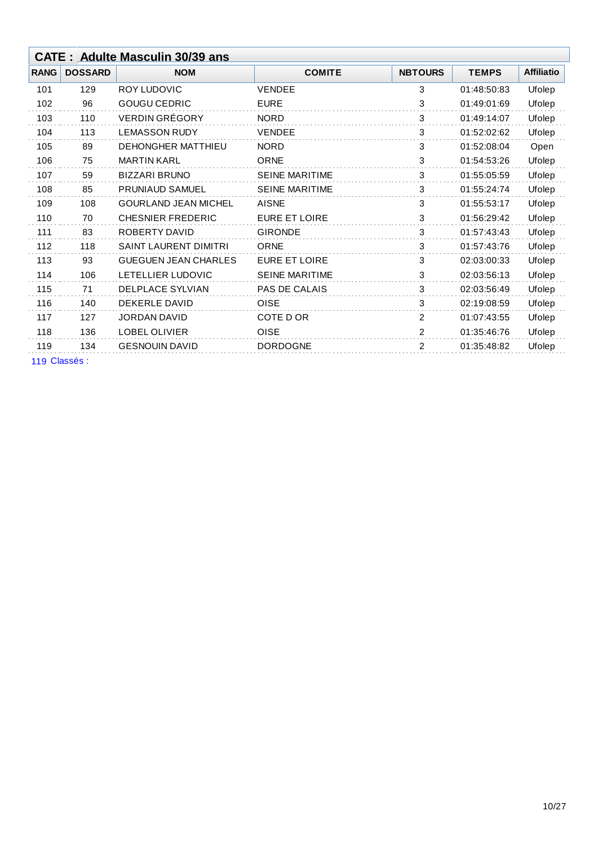| <b>CATE: Adulte Masculin 30/39 ans</b> |                |                              |                       |                |              |                   |
|----------------------------------------|----------------|------------------------------|-----------------------|----------------|--------------|-------------------|
| <b>RANG</b>                            | <b>DOSSARD</b> | <b>NOM</b>                   | <b>COMITE</b>         | <b>NBTOURS</b> | <b>TEMPS</b> | <b>Affiliatio</b> |
| 101                                    | 129            | ROY LUDOVIC                  | <b>VENDEE</b>         | 3              | 01:48:50:83  | Ufolep            |
| 102                                    | 96             | <b>GOUGU CEDRIC</b>          | <b>EURE</b>           | 3              | 01:49:01:69  | Ufolep            |
| 103                                    | 110            | <b>VERDIN GRÉGORY</b>        | <b>NORD</b>           | 3              | 01:49:14:07  | Ufolep            |
| 104                                    | 113            | <b>LEMASSON RUDY</b>         | <b>VENDEE</b>         | 3              | 01:52:02:62  | Ufolep            |
| 105                                    | 89             | <b>DEHONGHER MATTHIEU</b>    | <b>NORD</b>           | 3              | 01:52:08:04  | Open              |
| 106                                    | 75             | <b>MARTIN KARL</b>           | <b>ORNE</b>           | 3              | 01:54:53:26  | Ufolep            |
| 107                                    | 59             | <b>BIZZARI BRUNO</b>         | <b>SEINE MARITIME</b> | 3              | 01:55:05:59  | Ufolep            |
| 108                                    | 85             | <b>PRUNIAUD SAMUEL</b>       | <b>SEINE MARITIME</b> | 3              | 01:55:24:74  | Ufolep            |
| 109                                    | 108            | <b>GOURLAND JEAN MICHEL</b>  | <b>AISNE</b>          | 3              | 01:55:53:17  | Ufolep            |
| 110                                    | 70             | <b>CHESNIER FREDERIC</b>     | <b>EURE ET LOIRE</b>  | 3              | 01:56:29:42  | Ufolep            |
| 111                                    | 83             | ROBERTY DAVID                | <b>GIRONDE</b>        | 3              | 01:57:43:43  | Ufolep            |
| 112                                    | 118            | <b>SAINT LAURENT DIMITRI</b> | <b>ORNE</b>           | 3              | 01:57:43:76  | Ufolep            |
| 113                                    | 93             | <b>GUEGUEN JEAN CHARLES</b>  | <b>EURE ET LOIRE</b>  | 3              | 02:03:00:33  | Ufolep            |
| 114                                    | 106            | LETELLIER LUDOVIC            | <b>SEINE MARITIME</b> | 3              | 02:03:56:13  | Ufolep            |
| 115                                    | 71             | <b>DELPLACE SYLVIAN</b>      | <b>PAS DE CALAIS</b>  | 3              | 02:03:56:49  | Ufolep            |
| 116                                    | 140            | <b>DEKERLE DAVID</b>         | <b>OISE</b>           | 3              | 02:19:08:59  | Ufolep            |
| 117                                    | 127            | <b>JORDAN DAVID</b>          | COTE D OR             | 2              | 01:07:43:55  | Ufolep            |
| 118                                    | 136            | <b>LOBEL OLIVIER</b>         | <b>OISE</b>           | 2              | 01:35:46:76  | Ufolep            |
| 119                                    | 134            | <b>GESNOUIN DAVID</b>        | <b>DORDOGNE</b>       | 2              | 01:35:48:82  | Ufolep            |
| $\lambda$                              |                |                              |                       |                |              |                   |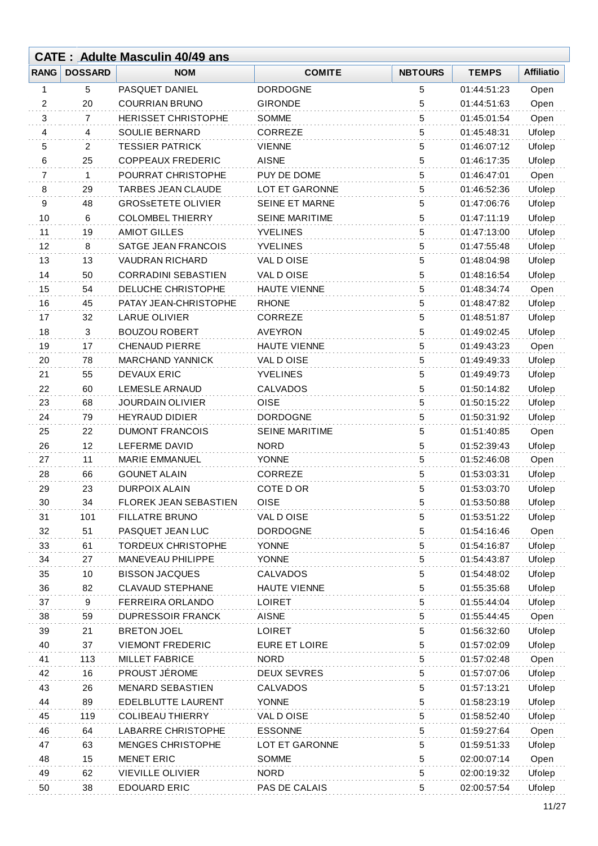|             | <b>CATE: Adulte Masculin 40/49 ans</b> |                              |                       |                |              |                   |  |
|-------------|----------------------------------------|------------------------------|-----------------------|----------------|--------------|-------------------|--|
| <b>RANG</b> | <b>DOSSARD</b>                         | <b>NOM</b>                   | <b>COMITE</b>         | <b>NBTOURS</b> | <b>TEMPS</b> | <b>Affiliatio</b> |  |
| 1           | 5                                      | PASQUET DANIEL               | <b>DORDOGNE</b>       | 5              | 01:44:51:23  | Open              |  |
| 2           | 20                                     | <b>COURRIAN BRUNO</b>        | <b>GIRONDE</b>        | 5              | 01:44:51:63  | Open              |  |
| 3           | 7                                      | <b>HERISSET CHRISTOPHE</b>   | <b>SOMME</b>          | 5              | 01:45:01:54  | Open              |  |
| 4           | 4                                      | SOULIE BERNARD               | CORREZE               | 5              | 01:45:48:31  | Ufolep            |  |
| 5           | 2                                      | <b>TESSIER PATRICK</b>       | <b>VIENNE</b>         | 5              | 01:46:07:12  | Ufolep            |  |
| 6           | 25                                     | <b>COPPEAUX FREDERIC</b>     | <b>AISNE</b>          | 5              | 01:46:17:35  | Ufolep            |  |
| 7           | $\mathbf{1}$                           | POURRAT CHRISTOPHE           | PUY DE DOME           | 5              | 01:46:47:01  | Open              |  |
| 8           | 29                                     | <b>TARBES JEAN CLAUDE</b>    | LOT ET GARONNE        | 5              | 01:46:52:36  | Ufolep            |  |
| 9           | 48                                     | <b>GROSSETETE OLIVIER</b>    | <b>SEINE ET MARNE</b> | 5              | 01:47:06:76  | Ufolep            |  |
| 10          | 6                                      | <b>COLOMBEL THIERRY</b>      | <b>SEINE MARITIME</b> | 5              | 01:47:11:19  | Ufolep            |  |
| 11          | 19                                     | <b>AMIOT GILLES</b>          | <b>YVELINES</b>       | 5              | 01:47:13:00  | Ufolep            |  |
| 12          | 8                                      | SATGE JEAN FRANCOIS          | <b>YVELINES</b>       | 5              | 01:47:55:48  | Ufolep            |  |
| 13          | 13                                     | <b>VAUDRAN RICHARD</b>       | VAL DOISE             | 5              | 01:48:04:98  | Ufolep            |  |
| 14          | 50                                     | <b>CORRADINI SEBASTIEN</b>   | VAL DOISE             | 5              | 01:48:16:54  | Ufolep            |  |
| 15          | 54                                     | DELUCHE CHRISTOPHE           | <b>HAUTE VIENNE</b>   | 5              | 01:48:34:74  | Open              |  |
| 16          | 45                                     | PATAY JEAN-CHRISTOPHE        | <b>RHONE</b>          | 5              | 01:48:47:82  | Ufolep            |  |
| 17          | 32                                     | <b>LARUE OLIVIER</b>         | <b>CORREZE</b>        | 5              | 01:48:51:87  | Ufolep            |  |
| 18          | 3                                      | <b>BOUZOU ROBERT</b>         | <b>AVEYRON</b>        | 5              | 01:49:02:45  | Ufolep            |  |
| 19          | 17                                     | <b>CHENAUD PIERRE</b>        | <b>HAUTE VIENNE</b>   | 5              | 01:49:43:23  | Open              |  |
| 20          | 78                                     | <b>MARCHAND YANNICK</b>      | VAL D OISE            | 5              | 01:49:49:33  | Ufolep            |  |
| 21          | 55                                     | <b>DEVAUX ERIC</b>           | <b>YVELINES</b>       | 5              | 01:49:49:73  | Ufolep            |  |
| 22          | 60                                     | <b>LEMESLE ARNAUD</b>        | CALVADOS              | 5              | 01:50:14:82  | Ufolep            |  |
| 23          | 68                                     | <b>JOURDAIN OLIVIER</b>      | <b>OISE</b>           | 5              | 01:50:15:22  | Ufolep            |  |
| 24          | 79                                     | <b>HEYRAUD DIDIER</b>        | <b>DORDOGNE</b>       | 5              | 01:50:31:92  | Ufolep            |  |
| 25          | 22                                     | <b>DUMONT FRANCOIS</b>       | <b>SEINE MARITIME</b> | 5              | 01:51:40:85  | Open              |  |
| 26          | 12                                     | LEFERME DAVID                | <b>NORD</b>           | 5              | 01:52:39:43  | Ufolep            |  |
| 27          | 11                                     | <b>MARIE EMMANUEL</b>        | <b>YONNE</b>          | 5              | 01:52:46:08  | Open              |  |
| 28          | 66                                     | <b>GOUNET ALAIN</b>          | <b>CORREZE</b>        | 5              | 01:53:03:31  | Ufolep            |  |
| 29          | 23                                     | <b>DURPOIX ALAIN</b>         | COTE D OR             | 5              | 01:53:03:70  | Ufolep            |  |
| 30          | 34                                     | <b>FLOREK JEAN SEBASTIEN</b> | <b>OISE</b>           | 5              | 01:53:50:88  | Ufolep            |  |
| 31          | 101                                    | <b>FILLATRE BRUNO</b>        | VAL DOISE             | 5              | 01:53:51:22  | Ufolep            |  |
| 32          | 51                                     | PASQUET JEAN LUC             | <b>DORDOGNE</b>       | $\sqrt{5}$     | 01:54:16:46  | Open              |  |
| 33          | 61                                     | <b>TORDEUX CHRISTOPHE</b>    | <b>YONNE</b>          | 5              | 01:54:16:87  | Ufolep            |  |
| 34          | 27                                     | MANEVEAU PHILIPPE            | <b>YONNE</b>          | 5              | 01:54:43:87  | Ufolep            |  |
| 35          | 10                                     | <b>BISSON JACQUES</b>        | <b>CALVADOS</b>       | 5              | 01:54:48:02  | Ufolep            |  |
| 36          | 82                                     | <b>CLAVAUD STEPHANE</b>      | <b>HAUTE VIENNE</b>   | 5              | 01:55:35:68  | Ufolep            |  |
| 37          | 9                                      | FERREIRA ORLANDO             | <b>LOIRET</b>         | 5              | 01:55:44:04  | Ufolep            |  |
| 38          | 59                                     | <b>DUPRESSOIR FRANCK</b>     | <b>AISNE</b>          | 5              | 01:55:44:45  | Open              |  |
| 39          | 21                                     | <b>BRETON JOEL</b>           | <b>LOIRET</b>         | 5              | 01:56:32:60  | Ufolep            |  |
| 40          | 37                                     | <b>VIEMONT FREDERIC</b>      | <b>EURE ET LOIRE</b>  | 5              | 01:57:02:09  | Ufolep            |  |
| 41          | 113                                    | <b>MILLET FABRICE</b>        | <b>NORD</b>           | 5              | 01:57:02:48  | Open              |  |
| 42          | 16                                     | PROUST JÉROME                | <b>DEUX SEVRES</b>    | 5              | 01:57:07:06  | Ufolep            |  |
| 43          | 26                                     | <b>MENARD SEBASTIEN</b>      | <b>CALVADOS</b>       | 5              | 01:57:13:21  | Ufolep            |  |
| 44          | 89                                     | EDELBLUTTE LAURENT           | <b>YONNE</b>          | 5              | 01:58:23:19  | Ufolep            |  |
| 45          | 119                                    | <b>COLIBEAU THIERRY</b>      | VAL D OISE            | $\sqrt{5}$     | 01:58:52:40  | Ufolep            |  |
| 46          | 64                                     | <b>LABARRE CHRISTOPHE</b>    | <b>ESSONNE</b>        | $\sqrt{5}$     | 01:59:27:64  | Open              |  |
| 47          | 63                                     | MENGES CHRISTOPHE            | LOT ET GARONNE        | 5              | 01:59:51:33  | Ufolep            |  |
| 48          | 15                                     | <b>MENET ERIC</b>            | <b>SOMME</b>          | 5              | 02:00:07:14  | Open              |  |
| 49          | 62                                     | <b>VIEVILLE OLIVIER</b>      | <b>NORD</b>           | 5              | 02:00:19:32  | Ufolep            |  |
| 50          | 38                                     | <b>EDOUARD ERIC</b>          | PAS DE CALAIS         | 5              | 02:00:57:54  | Ufolep            |  |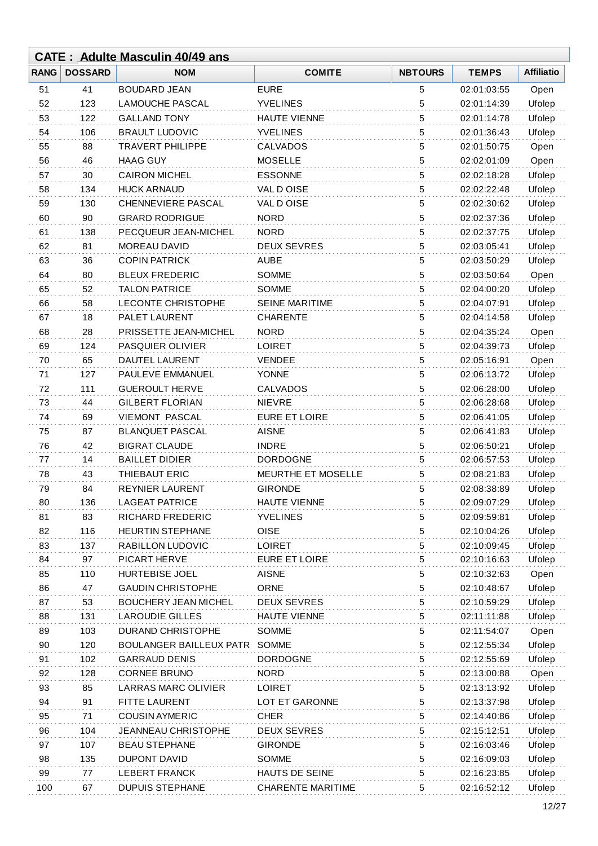|             |                | <b>CATE: Adulte Masculin 40/49 ans</b> |                          |                |              |                   |
|-------------|----------------|----------------------------------------|--------------------------|----------------|--------------|-------------------|
| <b>RANG</b> | <b>DOSSARD</b> | <b>NOM</b>                             | <b>COMITE</b>            | <b>NBTOURS</b> | <b>TEMPS</b> | <b>Affiliatio</b> |
| 51          | 41             | <b>BOUDARD JEAN</b>                    | <b>EURE</b>              | 5              | 02:01:03:55  | Open              |
| 52          | 123            | <b>LAMOUCHE PASCAL</b>                 | <b>YVELINES</b>          | 5              | 02:01:14:39  | Ufolep            |
| 53          | 122            | <b>GALLAND TONY</b>                    | <b>HAUTE VIENNE</b>      | 5              | 02:01:14:78  | Ufolep            |
| 54          | 106            | <b>BRAULT LUDOVIC</b>                  | <b>YVELINES</b>          | 5              | 02:01:36:43  | Ufolep            |
| 55          | 88             | <b>TRAVERT PHILIPPE</b>                | <b>CALVADOS</b>          | 5              | 02:01:50:75  | Open              |
| 56          | 46             | <b>HAAG GUY</b>                        | <b>MOSELLE</b>           | 5              | 02:02:01:09  | Open              |
| 57          | 30             | <b>CAIRON MICHEL</b>                   | <b>ESSONNE</b>           | 5              | 02:02:18:28  | Ufolep            |
| 58          | 134            | <b>HUCK ARNAUD</b>                     | VAL DOISE                | 5              | 02:02:22:48  | Ufolep            |
| 59          | 130            | CHENNEVIERE PASCAL                     | VAL DOISE                | 5              | 02:02:30:62  | Ufolep            |
| 60          | 90             | <b>GRARD RODRIGUE</b>                  | <b>NORD</b>              | 5              | 02:02:37:36  | Ufolep            |
| 61          | 138            | PECQUEUR JEAN-MICHEL                   | <b>NORD</b>              | 5              | 02:02:37:75  | Ufolep            |
| 62          | 81             | MOREAU DAVID                           | <b>DEUX SEVRES</b>       | 5              | 02:03:05:41  | Ufolep            |
| 63          | 36             | <b>COPIN PATRICK</b>                   | <b>AUBE</b>              | 5              | 02:03:50:29  | Ufolep            |
| 64          | 80             | <b>BLEUX FREDERIC</b>                  | <b>SOMME</b>             | 5              | 02:03:50:64  | Open              |
| 65          | 52             | <b>TALON PATRICE</b>                   | <b>SOMME</b>             | 5              | 02:04:00:20  | Ufolep            |
| 66          | 58             | <b>LECONTE CHRISTOPHE</b>              | <b>SEINE MARITIME</b>    | 5              | 02:04:07:91  | Ufolep            |
| 67          | 18             | PALET LAURENT                          | <b>CHARENTE</b>          | 5              | 02:04:14:58  | Ufolep            |
| 68          | 28             | PRISSETTE JEAN-MICHEL                  | <b>NORD</b>              | 5              | 02:04:35:24  | Open              |
| 69          | 124            | PASQUIER OLIVIER                       | <b>LOIRET</b>            | 5              | 02:04:39:73  | Ufolep            |
| 70          | 65             | DAUTEL LAURENT                         | <b>VENDEE</b>            | 5              | 02:05:16:91  | Open              |
| 71          | 127            | PAULEVE EMMANUEL                       | <b>YONNE</b>             | 5              | 02:06:13:72  | Ufolep            |
| 72          | 111            | <b>GUEROULT HERVE</b>                  | <b>CALVADOS</b>          | 5              | 02:06:28:00  | Ufolep            |
| 73          | 44             | <b>GILBERT FLORIAN</b>                 | <b>NIEVRE</b>            | 5              | 02:06:28:68  | Ufolep            |
| 74          | 69             | <b>VIEMONT PASCAL</b>                  | <b>EURE ET LOIRE</b>     | 5              | 02:06:41:05  | Ufolep            |
| 75          | 87             | <b>BLANQUET PASCAL</b>                 | <b>AISNE</b>             | 5              | 02:06:41:83  | Ufolep            |
| 76          | 42             | <b>BIGRAT CLAUDE</b>                   | <b>INDRE</b>             | 5              | 02:06:50:21  | Ufolep            |
| 77          | 14             | <b>BAILLET DIDIER</b>                  | <b>DORDOGNE</b>          | 5              | 02:06:57:53  | Ufolep            |
| 78          | 43             | THIEBAUT ERIC                          | MEURTHE ET MOSELLE       | 5              | 02:08:21:83  | Ufolep            |
| 79          | 84             | <b>REYNIER LAURENT</b>                 | <b>GIRONDE</b>           | 5              | 02:08:38:89  | Ufolep            |
| 80          | 136            | <b>LAGEAT PATRICE</b>                  | <b>HAUTE VIENNE</b>      | 5              | 02:09:07:29  | Ufolep            |
| 81          | 83             | RICHARD FREDERIC                       | <b>YVELINES</b>          | 5              | 02:09:59:81  | Ufolep            |
| 82          | 116            | <b>HEURTIN STEPHANE</b>                | <b>OISE</b>              | $\sqrt{5}$     | 02:10:04:26  | Ufolep            |
| 83          | 137            | RABILLON LUDOVIC                       | <b>LOIRET</b>            | 5              | 02:10:09:45  | Ufolep            |
| 84          | 97             | PICART HERVE                           | <b>EURE ET LOIRE</b>     | 5              | 02:10:16:63  | Ufolep            |
| 85          | 110            | HURTEBISE JOEL                         | <b>AISNE</b>             | 5              | 02:10:32:63  | Open              |
| 86          | 47             | <b>GAUDIN CHRISTOPHE</b>               | <b>ORNE</b>              | 5              | 02:10:48:67  | Ufolep            |
| 87          | 53             | <b>BOUCHERY JEAN MICHEL</b>            | <b>DEUX SEVRES</b>       | 5              | 02:10:59:29  | Ufolep            |
| 88          | 131            | <b>LAROUDIE GILLES</b>                 | <b>HAUTE VIENNE</b>      | 5              | 02:11:11:88  | Ufolep            |
| 89          | 103            | DURAND CHRISTOPHE                      | <b>SOMME</b>             | 5              | 02:11:54:07  | Open              |
| 90          | 120            | <b>BOULANGER BAILLEUX PATR</b>         | SOMME                    | 5              | 02:12:55:34  | Ufolep            |
| 91          | 102            | <b>GARRAUD DENIS</b>                   | <b>DORDOGNE</b>          | 5              | 02:12:55:69  | Ufolep            |
| 92          | 128            | <b>CORNEE BRUNO</b>                    | <b>NORD</b>              | 5              | 02:13:00:88  | Open              |
| 93          | 85             | <b>LARRAS MARC OLIVIER</b>             | <b>LOIRET</b>            | 5              | 02:13:13:92  | Ufolep            |
| 94          | 91             | <b>FITTE LAURENT</b>                   | LOT ET GARONNE           | 5              | 02:13:37:98  | Ufolep            |
| 95          | 71             | <b>COUSIN AYMERIC</b>                  | <b>CHER</b>              | $\sqrt{5}$     | 02:14:40:86  | Ufolep            |
| 96          | 104            | JEANNEAU CHRISTOPHE                    | <b>DEUX SEVRES</b>       | 5              | 02:15:12:51  | Ufolep            |
| 97          | 107            | <b>BEAU STEPHANE</b>                   | <b>GIRONDE</b>           | 5              | 02:16:03:46  | Ufolep            |
| 98          | 135            | <b>DUPONT DAVID</b>                    | <b>SOMME</b>             | 5              | 02:16:09:03  | Ufolep            |
| 99          | 77             | <b>LEBERT FRANCK</b>                   | HAUTS DE SEINE           | 5              | 02:16:23:85  | Ufolep            |
| 100         | 67             | <b>DUPUIS STEPHANE</b>                 | <b>CHARENTE MARITIME</b> | 5              | 02:16:52:12  | Ufolep            |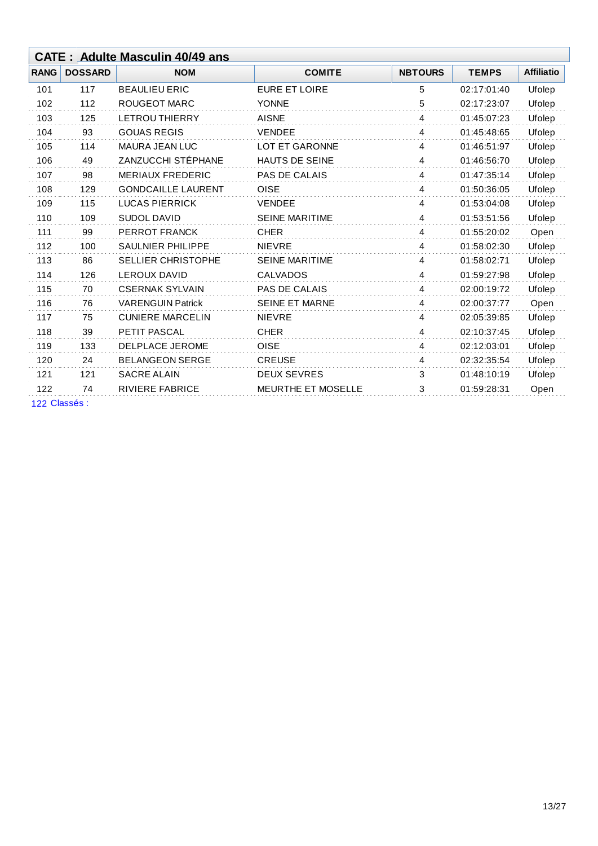|             |                | <b>CATE: Adulte Masculin 40/49 ans</b> |                           |                |              |                   |
|-------------|----------------|----------------------------------------|---------------------------|----------------|--------------|-------------------|
| <b>RANG</b> | <b>DOSSARD</b> | <b>NOM</b>                             | <b>COMITE</b>             | <b>NBTOURS</b> | <b>TEMPS</b> | <b>Affiliatio</b> |
| 101         | 117            | <b>BEAULIEU ERIC</b>                   | <b>EURE ET LOIRE</b>      | 5              | 02:17:01:40  | Ufolep            |
| 102         | 112            | <b>ROUGEOT MARC</b>                    | <b>YONNE</b>              | 5              | 02:17:23:07  | Ufolep            |
| 103         | 125            | <b>LETROU THIERRY</b>                  | <b>AISNE</b>              | 4              | 01:45:07:23  | Ufolep            |
| 104         | 93             | <b>GOUAS REGIS</b>                     | <b>VENDEE</b>             | 4              | 01:45:48:65  | Ufolep            |
| 105         | 114            | MAURA JEAN LUC                         | <b>LOT ET GARONNE</b>     | 4              | 01:46:51:97  | Ufolep            |
| 106         | 49             | ZANZUCCHI STÉPHANE                     | <b>HAUTS DE SEINE</b>     | 4              | 01:46:56:70  | Ufolep            |
| 107         | 98             | <b>MERIAUX FREDERIC</b>                | PAS DE CALAIS             | 4              | 01:47:35:14  | Ufolep            |
| 108         | 129            | <b>GONDCAILLE LAURENT</b>              | <b>OISE</b>               | 4              | 01:50:36:05  | Ufolep            |
| 109         | 115            | <b>LUCAS PIERRICK</b>                  | <b>VENDEE</b>             | 4              | 01:53:04:08  | Ufolep            |
| 110         | 109            | <b>SUDOL DAVID</b>                     | <b>SEINE MARITIME</b>     | 4              | 01:53:51:56  | Ufolep            |
| 111         | 99             | PERROT FRANCK                          | <b>CHER</b>               | 4              | 01:55:20:02  | Open              |
| 112         | 100            | <b>SAULNIER PHILIPPE</b>               | <b>NIEVRE</b>             | $\overline{4}$ | 01:58:02:30  | Ufolep            |
| 113         | 86             | <b>SELLIER CHRISTOPHE</b>              | <b>SEINE MARITIME</b>     | $\overline{4}$ | 01:58:02:71  | Ufolep            |
| 114         | 126            | <b>LEROUX DAVID</b>                    | <b>CALVADOS</b>           | 4              | 01:59:27:98  | Ufolep            |
| 115         | 70             | <b>CSERNAK SYLVAIN</b>                 | PAS DE CALAIS             | 4              | 02:00:19:72  | Ufolep            |
| 116         | 76             | <b>VARENGUIN Patrick</b>               | SEINE ET MARNE            | 4              | 02:00:37:77  | Open              |
| 117         | 75             | <b>CUNIERE MARCELIN</b>                | <b>NIEVRE</b>             | 4              | 02:05:39:85  | Ufolep            |
| 118         | 39             | PETIT PASCAL                           | <b>CHER</b>               | 4              | 02:10:37:45  | Ufolep            |
| 119         | 133            | DELPLACE JEROME                        | <b>OISE</b>               | 4              | 02:12:03:01  | Ufolep            |
| 120         | 24             | <b>BELANGEON SERGE</b>                 | <b>CREUSE</b>             | 4              | 02:32:35:54  | Ufolep            |
| 121         | 121            | <b>SACRE ALAIN</b>                     | <b>DEUX SEVRES</b>        | 3              | 01:48:10:19  | Ufolep            |
| 122         | 74             | <b>RIVIERE FABRICE</b>                 | <b>MEURTHE ET MOSELLE</b> | 3              | 01:59:28:31  | Open              |
|             |                |                                        |                           |                |              |                   |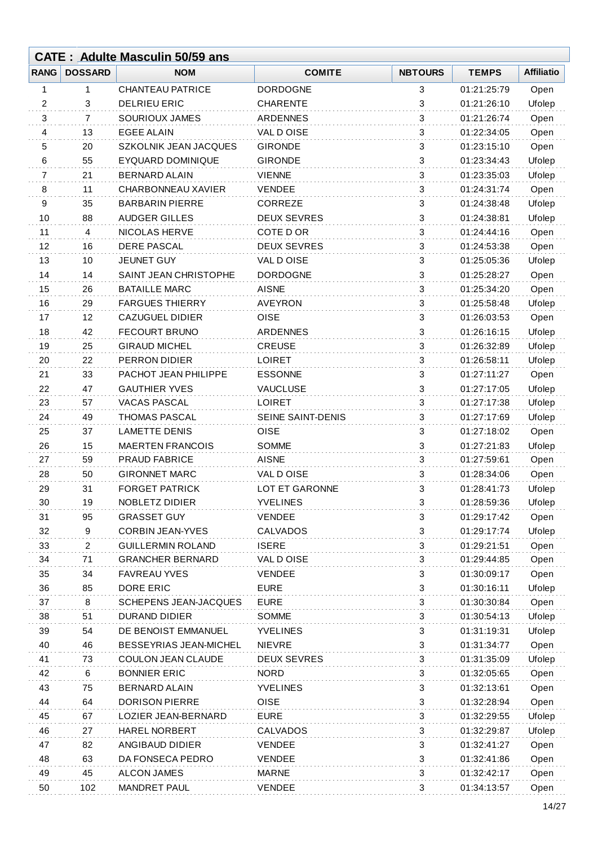|             |                | <b>CATE: Adulte Masculin 50/59 ans</b> |                    |                |              |                   |
|-------------|----------------|----------------------------------------|--------------------|----------------|--------------|-------------------|
| <b>RANG</b> | <b>DOSSARD</b> | <b>NOM</b>                             | <b>COMITE</b>      | <b>NBTOURS</b> | <b>TEMPS</b> | <b>Affiliatio</b> |
| 1           | 1              | <b>CHANTEAU PATRICE</b>                | <b>DORDOGNE</b>    | 3              | 01:21:25:79  | Open              |
| 2           | 3              | <b>DELRIEU ERIC</b>                    | <b>CHARENTE</b>    | 3              | 01:21:26:10  | Ufolep            |
| 3           | $\overline{7}$ | <b>SOURIOUX JAMES</b>                  | <b>ARDENNES</b>    | 3              | 01:21:26:74  | Open              |
| 4           | 13             | <b>EGEE ALAIN</b>                      | VAL DOISE          | 3              | 01:22:34:05  | Open              |
| 5           | 20             | SZKOLNIK JEAN JACQUES                  | <b>GIRONDE</b>     | 3              | 01:23:15:10  | Open              |
| 6           | 55             | <b>EYQUARD DOMINIQUE</b>               | <b>GIRONDE</b>     | 3              | 01:23:34:43  | Ufolep            |
| 7           | 21             | <b>BERNARD ALAIN</b>                   | <b>VIENNE</b>      | 3              | 01:23:35:03  | Ufolep            |
| 8           | 11             | CHARBONNEAU XAVIER                     | <b>VENDEE</b>      | 3              | 01:24:31:74  | Open              |
| 9           | 35             | <b>BARBARIN PIERRE</b>                 | CORREZE            | 3              | 01:24:38:48  | Ufolep            |
| 10          | 88             | <b>AUDGER GILLES</b>                   | <b>DEUX SEVRES</b> | $\sqrt{3}$     | 01:24:38:81  | Ufolep            |
| 11          | 4              | <b>NICOLAS HERVE</b>                   | COTE D OR          | 3              | 01:24:44:16  | Open              |
| 12          | 16             | <b>DERE PASCAL</b>                     | <b>DEUX SEVRES</b> | 3              | 01:24:53:38  | Open              |
| 13          | 10             | JEUNET GUY                             | VAL DOISE          | 3              | 01:25:05:36  | Ufolep            |
| 14          | 14             | SAINT JEAN CHRISTOPHE                  | <b>DORDOGNE</b>    | 3              | 01:25:28:27  | Open              |
| 15          | 26             | <b>BATAILLE MARC</b>                   | <b>AISNE</b>       | 3              | 01:25:34:20  | Open              |
| 16          | 29             | <b>FARGUES THIERRY</b>                 | <b>AVEYRON</b>     | 3              | 01:25:58:48  | Ufolep            |
| 17          | 12             | <b>CAZUGUEL DIDIER</b>                 | <b>OISE</b>        | 3              | 01:26:03:53  | Open              |
| 18          | 42             | <b>FECOURT BRUNO</b>                   | <b>ARDENNES</b>    | 3              | 01:26:16:15  | Ufolep            |
| 19          | 25             | <b>GIRAUD MICHEL</b>                   | <b>CREUSE</b>      | 3              | 01:26:32:89  | Ufolep            |
| 20          | 22             | PERRON DIDIER                          | <b>LOIRET</b>      | 3              | 01:26:58:11  | Ufolep            |
| 21          | 33             | PACHOT JEAN PHILIPPE                   | <b>ESSONNE</b>     | 3              | 01:27:11:27  | Open              |
| 22          | 47             | <b>GAUTHIER YVES</b>                   | <b>VAUCLUSE</b>    | 3              | 01:27:17:05  | Ufolep            |
| 23          | 57             | <b>VACAS PASCAL</b>                    | <b>LOIRET</b>      | 3              | 01:27:17:38  | Ufolep            |
| 24          | 49             | <b>THOMAS PASCAL</b>                   | SEINE SAINT-DENIS  | 3              | 01:27:17:69  | Ufolep            |
| 25          | 37             | <b>LAMETTE DENIS</b>                   | <b>OISE</b>        | 3              | 01:27:18:02  | Open              |
| 26          | 15             | <b>MAERTEN FRANCOIS</b>                | <b>SOMME</b>       | 3              | 01:27:21:83  | Ufolep            |
| 27          | 59             | <b>PRAUD FABRICE</b>                   | <b>AISNE</b>       | 3              | 01:27:59:61  | Open              |
| 28          | 50             | <b>GIRONNET MARC</b>                   | VAL DOISE          | 3              | 01:28:34:06  | Open              |
| 29          | 31             | <b>FORGET PATRICK</b>                  | LOT ET GARONNE     | 3              | 01:28:41:73  | Ufolep            |
| 30          | 19             | NOBLETZ DIDIER                         | <b>YVELINES</b>    | 3              | 01:28:59:36  | Ufolep            |
| 31          | 95             | <b>GRASSET GUY</b>                     | <b>VENDEE</b>      | 3              | 01:29:17:42  | Open              |
| 32          | 9              | <b>CORBIN JEAN-YVES</b>                | <b>CALVADOS</b>    | $\sqrt{3}$     | 01:29:17:74  | Ufolep            |
| 33          | $\overline{2}$ | <b>GUILLERMIN ROLAND</b>               | <b>ISERE</b>       | 3              | 01:29:21:51  | Open              |
| 34          | 71             | <b>GRANCHER BERNARD</b>                | VAL DOISE          | 3              | 01:29:44:85  | Open              |
| 35          | 34             | <b>FAVREAU YVES</b>                    | <b>VENDEE</b>      | $\sqrt{3}$     | 01:30:09:17  | Open              |
| 36          | 85             | DORE ERIC                              | <b>EURE</b>        | 3              | 01:30:16:11  | Ufolep            |
| 37          | 8              | <b>SCHEPENS JEAN-JACQUES</b>           | <b>EURE</b>        | 3              | 01:30:30:84  | Open              |
| 38          | 51             | <b>DURAND DIDIER</b>                   | <b>SOMME</b>       | 3              | 01:30:54:13  | Ufolep            |
| 39          | 54             | DE BENOIST EMMANUEL                    | <b>YVELINES</b>    | $\sqrt{3}$     | 01:31:19:31  | Ufolep            |
| 40          | 46             | BESSEYRIAS JEAN-MICHEL                 | <b>NIEVRE</b>      | 3              | 01:31:34:77  | Open              |
| 41          | 73             | COULON JEAN CLAUDE                     | <b>DEUX SEVRES</b> | 3              | 01:31:35:09  | Ufolep            |
| 42          | 6              | <b>BONNIER ERIC</b>                    | <b>NORD</b>        | 3              | 01:32:05:65  | Open              |
| 43          | 75             | <b>BERNARD ALAIN</b>                   | <b>YVELINES</b>    | 3              | 01:32:13:61  | Open              |
| 44          | 64             | <b>DORISON PIERRE</b>                  | <b>OISE</b>        | 3              | 01:32:28:94  | Open              |
| 45          | 67             | LOZIER JEAN-BERNARD                    | <b>EURE</b>        | 3              | 01:32:29:55  | Ufolep            |
| 46          | 27             | <b>HAREL NORBERT</b>                   | <b>CALVADOS</b>    | $\sqrt{3}$     | 01:32:29:87  | Ufolep            |
| 47          | 82             | ANGIBAUD DIDIER                        | <b>VENDEE</b>      | 3              | 01:32:41:27  | Open              |
| 48          | 63             | DA FONSECA PEDRO                       | <b>VENDEE</b>      | 3              | 01:32:41:86  | Open              |
| 49          | 45             | <b>ALCON JAMES</b>                     | <b>MARNE</b>       | 3              | 01:32:42:17  | Open              |
| 50          | 102            | <b>MANDRET PAUL</b>                    | <b>VENDEE</b>      | 3              | 01:34:13:57  | Open              |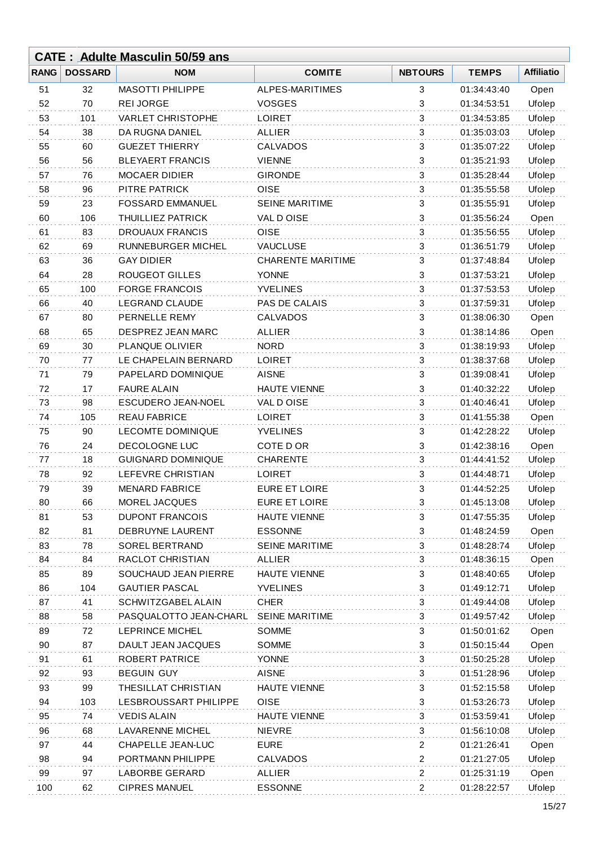|             |                | <b>CATE: Adulte Masculin 50/59 ans</b> |                          |                           |              |                   |
|-------------|----------------|----------------------------------------|--------------------------|---------------------------|--------------|-------------------|
| <b>RANG</b> | <b>DOSSARD</b> | <b>NOM</b>                             | <b>COMITE</b>            | <b>NBTOURS</b>            | <b>TEMPS</b> | <b>Affiliatio</b> |
| 51          | 32             | <b>MASOTTI PHILIPPE</b>                | ALPES-MARITIMES          | 3                         | 01:34:43:40  | Open              |
| 52          | 70             | <b>REI JORGE</b>                       | <b>VOSGES</b>            | 3                         | 01:34:53:51  | Ufolep            |
| 53          | 101            | <b>VARLET CHRISTOPHE</b>               | <b>LOIRET</b>            | 3                         | 01:34:53:85  | Ufolep            |
| 54          | 38             | DA RUGNA DANIEL                        | <b>ALLIER</b>            | 3                         | 01:35:03:03  | Ufolep            |
| 55          | 60             | <b>GUEZET THIERRY</b>                  | <b>CALVADOS</b>          | 3                         | 01:35:07:22  | Ufolep            |
| 56          | 56             | <b>BLEYAERT FRANCIS</b>                | <b>VIENNE</b>            | 3                         | 01:35:21:93  | Ufolep            |
| 57          | 76             | <b>MOCAER DIDIER</b>                   | <b>GIRONDE</b>           | 3                         | 01:35:28:44  | Ufolep            |
| 58          | 96             | PITRE PATRICK                          | <b>OISE</b>              | $\mathbf{3}$              | 01:35:55:58  | Ufolep            |
| 59          | 23             | <b>FOSSARD EMMANUEL</b>                | SEINE MARITIME           | 3                         | 01:35:55:91  | Ufolep            |
| 60          | 106            | THUILLIEZ PATRICK                      | VAL DOISE                | 3                         | 01:35:56:24  | Open              |
| 61          | 83             | <b>DROUAUX FRANCIS</b>                 | OISE                     | 3                         | 01:35:56:55  | Ufolep            |
| 62          | 69             | RUNNEBURGER MICHEL                     | <b>VAUCLUSE</b>          | 3                         | 01:36:51:79  | Ufolep            |
| 63          | 36             | <b>GAY DIDIER</b>                      | <b>CHARENTE MARITIME</b> | 3                         | 01:37:48:84  | Ufolep            |
| 64          | 28             | <b>ROUGEOT GILLES</b>                  | <b>YONNE</b>             | $\ensuremath{\mathsf{3}}$ | 01:37:53:21  | Ufolep            |
| 65          | 100            | <b>FORGE FRANCOIS</b>                  | <b>YVELINES</b>          | 3                         | 01:37:53:53  | Ufolep            |
| 66          | 40             | <b>LEGRAND CLAUDE</b>                  | PAS DE CALAIS            | 3                         | 01:37:59:31  | Ufolep            |
| 67          | 80             | PERNELLE REMY                          | <b>CALVADOS</b>          | 3                         | 01:38:06:30  | Open              |
| 68          | 65             | DESPREZ JEAN MARC                      | <b>ALLIER</b>            | 3                         | 01:38:14:86  | Open              |
| 69          | 30             | PLANQUE OLIVIER                        | <b>NORD</b>              | $\mathbf{3}$              | 01:38:19:93  | Ufolep            |
| 70          | 77             | LE CHAPELAIN BERNARD                   | <b>LOIRET</b>            | 3                         | 01:38:37:68  | Ufolep            |
| 71          | 79             | PAPELARD DOMINIQUE                     | <b>AISNE</b>             | 3                         | 01:39:08:41  | Ufolep            |
| 72          | 17             | <b>FAURE ALAIN</b>                     | <b>HAUTE VIENNE</b>      | 3                         | 01:40:32:22  | Ufolep            |
| 73          | 98             | <b>ESCUDERO JEAN-NOEL</b>              | VAL DOISE                | 3                         | 01:40:46:41  | Ufolep            |
| 74          | 105            | <b>REAU FABRICE</b>                    | <b>LOIRET</b>            | 3                         | 01:41:55:38  | Open              |
| 75          | 90             | <b>LECOMTE DOMINIQUE</b>               | <b>YVELINES</b>          | $\ensuremath{\mathsf{3}}$ | 01:42:28:22  | Ufolep            |
| 76          | 24             | DECOLOGNE LUC                          | COTE D OR                | 3                         | 01:42:38:16  | Open              |
| 77          | 18             | <b>GUIGNARD DOMINIQUE</b>              | <b>CHARENTE</b>          | 3                         | 01:44:41:52  | Ufolep            |
| 78          | 92             | LEFEVRE CHRISTIAN                      | <b>LOIRET</b>            | 3                         | 01:44:48:71  | Ufolep            |
| 79          | 39             | <b>MENARD FABRICE</b>                  | <b>EURE ET LOIRE</b>     | 3                         | 01:44:52:25  | Ufolep            |
| 80          | 66             | MOREL JACQUES                          | <b>EURE ET LOIRE</b>     | 3                         | 01:45:13:08  | Ufolep            |
| 81          | 53             | <b>DUPONT FRANCOIS</b>                 | <b>HAUTE VIENNE</b>      | 3                         | 01:47:55:35  | Ufolep            |
| 82          | 81             | DEBRUYNE LAURENT                       | <b>ESSONNE</b>           | 3                         | 01:48:24:59  | Open              |
| 83          | 78             | SOREL BERTRAND                         | SEINE MARITIME           | 3                         | 01:48:28:74  | Ufolep            |
| 84          | 84             | RACLOT CHRISTIAN                       | <b>ALLIER</b>            | 3                         | 01:48:36:15  | Open              |
| 85          | 89             | SOUCHAUD JEAN PIERRE                   | <b>HAUTE VIENNE</b>      | 3                         | 01:48:40:65  | Ufolep            |
| 86          | 104            | <b>GAUTIER PASCAL</b>                  | <b>YVELINES</b>          | 3                         | 01:49:12:71  | Ufolep            |
| 87          | 41             | SCHWITZGABEL ALAIN                     | <b>CHER</b>              | 3                         | 01:49:44:08  | Ufolep            |
| 88          | 58             | PASQUALOTTO JEAN-CHARL                 | <b>SEINE MARITIME</b>    | 3                         | 01:49:57:42  | Ufolep            |
| 89          | 72             | LEPRINCE MICHEL                        | <b>SOMME</b>             | 3                         | 01:50:01:62  | Open              |
| 90          | 87             | DAULT JEAN JACQUES                     | SOMME                    | 3                         | 01:50:15:44  | Open              |
| 91          | 61             | <b>ROBERT PATRICE</b>                  | <b>YONNE</b>             | 3                         | 01:50:25:28  | Ufolep            |
| 92          | 93             | <b>BEGUIN GUY</b>                      | <b>AISNE</b>             | 3                         | 01:51:28:96  | Ufolep            |
| 93          | 99             | THESILLAT CHRISTIAN                    | <b>HAUTE VIENNE</b>      | 3                         | 01:52:15:58  | Ufolep            |
| 94          | 103            | LESBROUSSART PHILIPPE                  | <b>OISE</b>              | 3                         | 01:53:26:73  | Ufolep            |
| 95          | 74             | <b>VEDIS ALAIN</b>                     | <b>HAUTE VIENNE</b>      | 3                         | 01:53:59:41  | Ufolep            |
| 96          | 68             | <b>LAVARENNE MICHEL</b>                | <b>NIEVRE</b>            | 3                         | 01:56:10:08  | Ufolep            |
| 97          | 44             | CHAPELLE JEAN-LUC                      | <b>EURE</b>              | $\overline{c}$            | 01:21:26:41  | Open              |
| 98          | 94             | PORTMANN PHILIPPE                      | CALVADOS                 | 2                         | 01:21:27:05  | Ufolep            |
| 99          | 97             | <b>LABORBE GERARD</b>                  | <b>ALLIER</b>            | $\overline{c}$            | 01:25:31:19  | Open              |
| 100         | 62             | <b>CIPRES MANUEL</b>                   | <b>ESSONNE</b>           | $\overline{\mathbf{c}}$   | 01:28:22:57  | Ufolep            |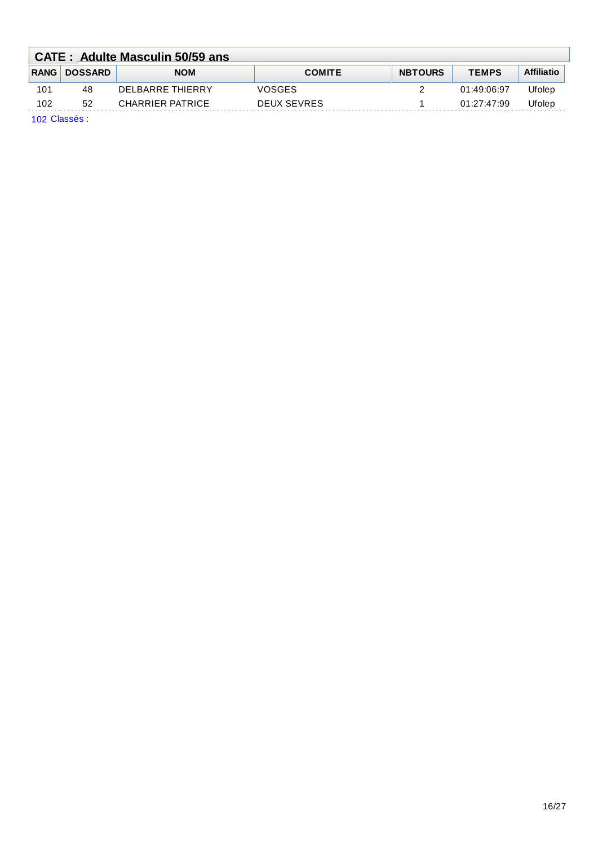|                                                  | <b>CATE: Adulte Masculin 50/59 ans</b> |                  |               |                |              |                   |  |  |  |
|--------------------------------------------------|----------------------------------------|------------------|---------------|----------------|--------------|-------------------|--|--|--|
|                                                  | <b>RANG DOSSARD</b>                    | <b>NOM</b>       | <b>COMITE</b> | <b>NBTOURS</b> | <b>TEMPS</b> | <b>Affiliatio</b> |  |  |  |
| 101                                              | 48                                     | DELBARRE THIFRRY | VOSGES        |                | 01:49:06:97  | Jfolep            |  |  |  |
| 102                                              | 52                                     | CHARRIER PATRICE | DEUX SEVRES   |                | 01:27:47:99  | Ufolep            |  |  |  |
| $\sim$ $\sim$ $\sim$ $\sim$ $\sim$ $\sim$ $\sim$ |                                        |                  |               |                |              |                   |  |  |  |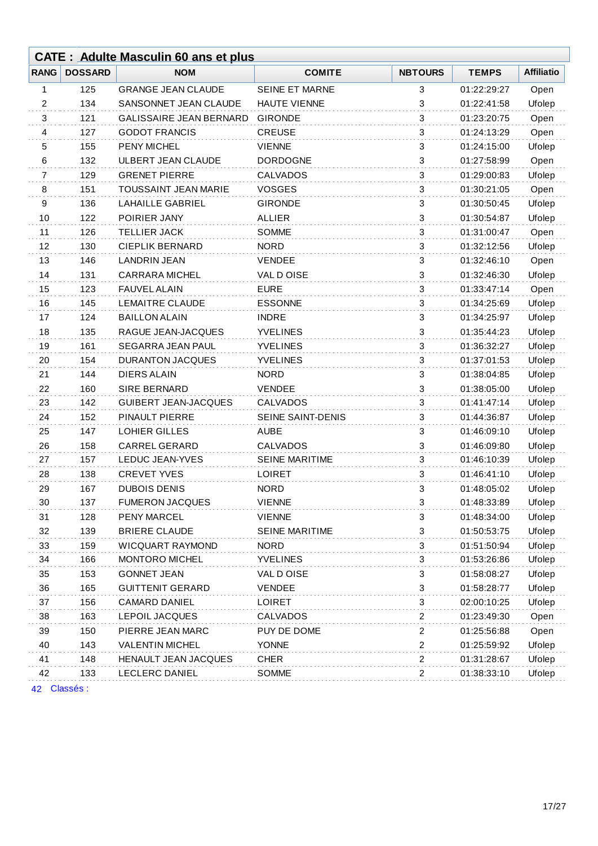|             | <b>CATE: Adulte Masculin 60 ans et plus</b> |                             |                       |                           |              |                   |  |
|-------------|---------------------------------------------|-----------------------------|-----------------------|---------------------------|--------------|-------------------|--|
| <b>RANG</b> | <b>DOSSARD</b>                              | <b>NOM</b>                  | <b>COMITE</b>         | <b>NBTOURS</b>            | <b>TEMPS</b> | <b>Affiliatio</b> |  |
| 1           | 125                                         | <b>GRANGE JEAN CLAUDE</b>   | <b>SEINE ET MARNE</b> | 3                         | 01:22:29:27  | Open              |  |
| 2           | 134                                         | SANSONNET JEAN CLAUDE       | <b>HAUTE VIENNE</b>   | 3                         | 01:22:41:58  | Ufolep            |  |
| 3           | 121                                         | GALISSAIRE JEAN BERNARD     | <b>GIRONDE</b>        | 3                         | 01:23:20:75  | Open              |  |
| 4           | 127                                         | <b>GODOT FRANCIS</b>        | <b>CREUSE</b>         | 3                         | 01:24:13:29  | Open              |  |
| 5           | 155                                         | <b>PENY MICHEL</b>          | <b>VIENNE</b>         | 3                         | 01:24:15:00  | Ufolep            |  |
| 6           | 132                                         | ULBERT JEAN CLAUDE          | <b>DORDOGNE</b>       | 3                         | 01:27:58:99  | Open              |  |
| 7           | 129                                         | <b>GRENET PIERRE</b>        | <b>CALVADOS</b>       | 3                         | 01:29:00:83  | Ufolep            |  |
| 8           | 151                                         | <b>TOUSSAINT JEAN MARIE</b> | <b>VOSGES</b>         | 3                         | 01:30:21:05  | Open              |  |
| 9           | 136                                         | LAHAILLE GABRIEL            | <b>GIRONDE</b>        | 3                         | 01:30:50:45  | Ufolep            |  |
| 10          | 122                                         | POIRIER JANY                | <b>ALLIER</b>         | 3                         | 01:30:54:87  | Ufolep            |  |
| 11          | 126                                         | <b>TELLIER JACK</b>         | <b>SOMME</b>          | 3                         | 01:31:00:47  | Open              |  |
| 12          | 130                                         | <b>CIEPLIK BERNARD</b>      | <b>NORD</b>           | 3                         | 01:32:12:56  | Ufolep            |  |
| 13          | 146                                         | <b>LANDRIN JEAN</b>         | <b>VENDEE</b>         | 3                         | 01:32:46:10  | Open              |  |
| 14          | 131                                         | <b>CARRARA MICHEL</b>       | VAL DOISE             | 3                         | 01:32:46:30  | Ufolep            |  |
| 15          | 123                                         | <b>FAUVEL ALAIN</b>         | <b>EURE</b>           | 3                         | 01:33:47:14  | Open              |  |
| 16          | 145                                         | LEMAITRE CLAUDE             | <b>ESSONNE</b>        | 3                         | 01:34:25:69  | Ufolep            |  |
| 17          | 124                                         | <b>BAILLON ALAIN</b>        | <b>INDRE</b>          | 3                         | 01:34:25:97  | Ufolep            |  |
| 18          | 135                                         | RAGUE JEAN-JACQUES          | <b>YVELINES</b>       | 3                         | 01:35:44:23  | Ufolep            |  |
| 19          | 161                                         | SEGARRA JEAN PAUL           | <b>YVELINES</b>       | 3                         | 01:36:32:27  | Ufolep            |  |
| 20          | 154                                         | <b>DURANTON JACQUES</b>     | <b>YVELINES</b>       | 3                         | 01:37:01:53  | Ufolep            |  |
| 21          | 144                                         | <b>DIERS ALAIN</b>          | <b>NORD</b>           | 3                         | 01:38:04:85  | Ufolep            |  |
| 22          | 160                                         | <b>SIRE BERNARD</b>         | <b>VENDEE</b>         | 3                         | 01:38:05:00  | Ufolep            |  |
| 23          | 142                                         | <b>GUIBERT JEAN-JACQUES</b> | <b>CALVADOS</b>       | 3                         | 01:41:47:14  | Ufolep            |  |
| 24          | 152                                         | PINAULT PIERRE              | SEINE SAINT-DENIS     | 3                         | 01:44:36:87  | Ufolep            |  |
| 25          | 147                                         | LOHIER GILLES               | <b>AUBE</b>           | 3                         | 01:46:09:10  | Ufolep            |  |
| 26          | 158                                         | <b>CARREL GERARD</b>        | <b>CALVADOS</b>       | 3                         | 01:46:09:80  | Ufolep            |  |
| 27          | 157                                         | LEDUC JEAN-YVES             | <b>SEINE MARITIME</b> | 3                         | 01:46:10:39  | Ufolep            |  |
| 28          | 138                                         | <b>CREVET YVES</b>          | <b>LOIRET</b>         | 3                         | 01:46:41:10  | Ufolep            |  |
| 29          | 167                                         | <b>DUBOIS DENIS</b>         | <b>NORD</b>           | 3                         | 01:48:05:02  | Ufolep            |  |
| 30          | 137                                         | <b>FUMERON JACQUES</b>      | <b>VIENNE</b>         | 3                         | 01:48:33:89  | Ufolep            |  |
| 31          | 128                                         | PENY MARCEL                 | <b>VIENNE</b>         | 3                         | 01:48:34:00  | Ufolep            |  |
| 32          | 139                                         | <b>BRIERE CLAUDE</b>        | <b>SEINE MARITIME</b> | 3                         | 01:50:53:75  | Ufolep            |  |
| 33          | 159                                         | <b>WICQUART RAYMOND</b>     | <b>NORD</b>           | 3                         | 01:51:50:94  | Ufolep            |  |
| 34          | 166                                         | MONTORO MICHEL              | <b>YVELINES</b>       | 3                         | 01:53:26:86  | Ufolep            |  |
| 35          | 153                                         | <b>GONNET JEAN</b>          | VAL D OISE            | 3                         | 01:58:08:27  | Ufolep            |  |
| 36          | 165                                         | <b>GUITTENIT GERARD</b>     | <b>VENDEE</b>         | $\ensuremath{\mathsf{3}}$ | 01:58:28:77  | Ufolep            |  |
| 37          | 156                                         | CAMARD DANIEL               | <b>LOIRET</b>         | 3                         | 02:00:10:25  | Ufolep            |  |
| 38          | 163                                         | LEPOIL JACQUES              | <b>CALVADOS</b>       | 2                         | 01:23:49:30  | Open              |  |
| 39          | 150                                         | PIERRE JEAN MARC            | PUY DE DOME           | $\overline{c}$            | 01:25:56:88  | Open              |  |
| 40          | 143                                         | <b>VALENTIN MICHEL</b>      | <b>YONNE</b>          | $\overline{c}$            | 01:25:59:92  | Ufolep            |  |
| 41          | 148                                         | HENAULT JEAN JACQUES        | <b>CHER</b>           | $\boldsymbol{2}$          | 01:31:28:67  | Ufolep            |  |
| 42          | 133                                         | LECLERC DANIEL              | SOMME                 | 2                         | 01:38:33:10  | Ufolep            |  |
|             |                                             |                             |                       |                           |              |                   |  |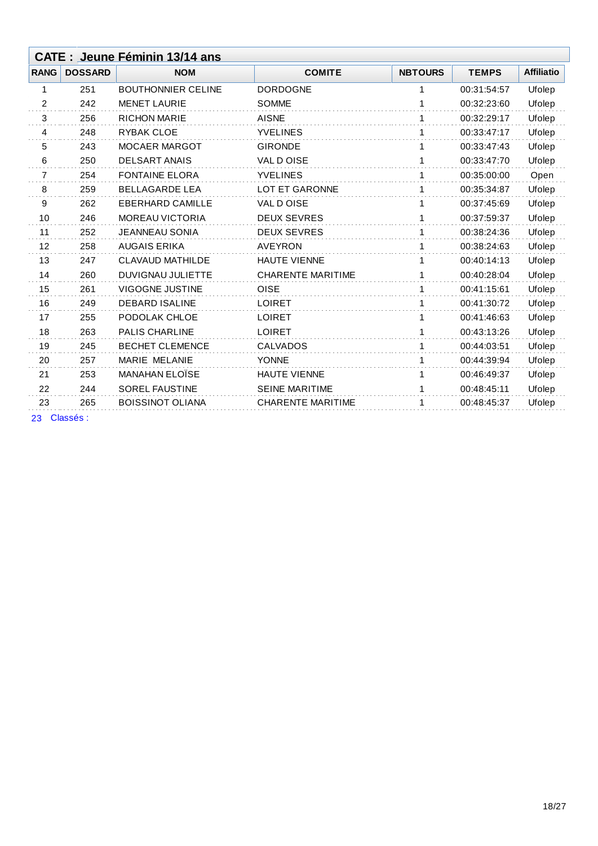|             |                | CATE : Jeune Féminin 13/14 ans |                          |                |              |                   |
|-------------|----------------|--------------------------------|--------------------------|----------------|--------------|-------------------|
| <b>RANG</b> | <b>DOSSARD</b> | <b>NOM</b>                     | <b>COMITE</b>            | <b>NBTOURS</b> | <b>TEMPS</b> | <b>Affiliatio</b> |
| 1           | 251            | <b>BOUTHONNIER CELINE</b>      | <b>DORDOGNE</b>          | 1              | 00:31:54:57  | Ufolep            |
| 2           | 242            | <b>MENET LAURIE</b>            | <b>SOMME</b>             | 1              | 00:32:23:60  | Ufolep            |
| 3           | 256            | <b>RICHON MARIE</b>            | <b>AISNE</b>             | 1              | 00:32:29:17  | Ufolep            |
| 4           | 248            | <b>RYBAK CLOE</b>              | <b>YVELINES</b>          | 1              | 00:33:47:17  | Ufolep            |
| 5           | 243            | <b>MOCAER MARGOT</b>           | <b>GIRONDE</b>           | 1              | 00:33:47:43  | Ufolep            |
| 6           | 250            | <b>DELSART ANAIS</b>           | VAL DOISE                | 1              | 00:33:47:70  | Ufolep            |
| 7           | 254            | <b>FONTAINE ELORA</b>          | <b>YVELINES</b>          | 1              | 00:35:00:00  | Open              |
| 8           | 259            | <b>BELLAGARDE LEA</b>          | <b>LOT ET GARONNE</b>    | 1              | 00:35:34:87  | Ufolep            |
| 9           | 262            | <b>EBERHARD CAMILLE</b>        | VAL DOISE                | 1              | 00:37:45:69  | Ufolep            |
| 10          | 246            | <b>MOREAU VICTORIA</b>         | <b>DEUX SEVRES</b>       | $\mathbf{1}$   | 00:37:59:37  | Ufolep            |
| 11          | 252            | <b>JEANNEAU SONIA</b>          | <b>DEUX SEVRES</b>       | 1              | 00:38:24:36  | Ufolep            |
| 12          | 258            | <b>AUGAIS ERIKA</b>            | <b>AVEYRON</b>           | $\mathbf 1$    | 00:38:24:63  | Ufolep            |
| 13          | 247            | <b>CLAVAUD MATHILDE</b>        | <b>HAUTE VIENNE</b>      | 1              | 00:40:14:13  | Ufolep            |
| 14          | 260            | <b>DUVIGNAU JULIETTE</b>       | <b>CHARENTE MARITIME</b> | 1              | 00:40:28:04  | Ufolep            |
| 15          | 261            | <b>VIGOGNE JUSTINE</b>         | <b>OISE</b>              | 1              | 00:41:15:61  | Ufolep            |
| 16          | 249            | <b>DEBARD ISALINE</b>          | <b>LOIRET</b>            | 1              | 00:41:30:72  | Ufolep            |
| 17          | 255            | PODOLAK CHLOE                  | <b>LOIRET</b>            | 1              | 00:41:46:63  | Ufolep            |
| 18          | 263            | <b>PALIS CHARLINE</b>          | <b>LOIRET</b>            | 1              | 00:43:13:26  | Ufolep            |
| 19          | 245            | <b>BECHET CLEMENCE</b>         | <b>CALVADOS</b>          | 1              | 00:44:03:51  | Ufolep            |
| 20          | 257            | MARIE MELANIE                  | <b>YONNE</b>             | 1              | 00:44:39:94  | Ufolep            |
| 21          | 253            | <b>MANAHAN ELOÏSE</b>          | HAUTE VIENNE             | 1              | 00:46:49:37  | Ufolep            |
| 22          | 244            | <b>SOREL FAUSTINE</b>          | <b>SEINE MARITIME</b>    | 1              | 00:48:45:11  | Ufolep            |
| 23          | 265            | <b>BOISSINOT OLIANA</b>        | <b>CHARENTE MARITIME</b> | 1              | 00:48:45:37  | Ufolep            |
|             |                |                                |                          |                |              |                   |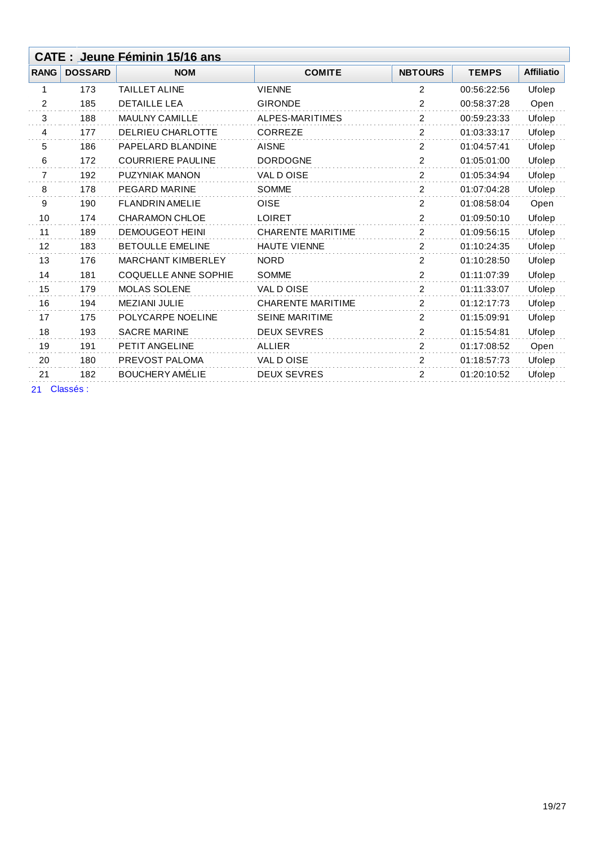|                | CATE : Jeune Féminin 15/16 ans |                             |                          |                |              |                   |  |  |
|----------------|--------------------------------|-----------------------------|--------------------------|----------------|--------------|-------------------|--|--|
| <b>RANG</b>    | <b>DOSSARD</b>                 | <b>NOM</b>                  | <b>COMITE</b>            | <b>NBTOURS</b> | <b>TEMPS</b> | <b>Affiliatio</b> |  |  |
| 1              | 173                            | <b>TAILLET ALINE</b>        | <b>VIENNE</b>            | 2              | 00:56:22:56  | Ufolep            |  |  |
| $\overline{2}$ | 185                            | <b>DETAILLE LEA</b>         | <b>GIRONDE</b>           | 2              | 00:58:37:28  | Open              |  |  |
| 3              | 188                            | <b>MAULNY CAMILLE</b>       | ALPES-MARITIMES          | 2              | 00:59:23:33  | Ufolep            |  |  |
| 4              | 177                            | <b>DELRIEU CHARLOTTE</b>    | <b>CORREZE</b>           | 2              | 01:03:33:17  | Ufolep            |  |  |
| 5              | 186                            | PAPELARD BLANDINE           | <b>AISNE</b>             | 2              | 01:04:57:41  | Ufolep            |  |  |
| 6              | 172                            | <b>COURRIERE PAULINE</b>    | <b>DORDOGNE</b>          | 2              | 01:05:01:00  | Ufolep            |  |  |
| 7              | 192                            | PUZYNIAK MANON              | <b>VAL D OISE</b>        | 2              | 01:05:34:94  | Ufolep            |  |  |
| 8              | 178                            | <b>PEGARD MARINE</b>        | <b>SOMME</b>             | 2              | 01:07:04:28  | Ufolep            |  |  |
| 9              | 190                            | <b>FLANDRIN AMELIE</b>      | <b>OISE</b>              | 2              | 01:08:58:04  | Open              |  |  |
| 10             | 174                            | <b>CHARAMON CHLOE</b>       | <b>LOIRET</b>            | 2              | 01:09:50:10  | Ufolep            |  |  |
| 11             | 189                            | <b>DEMOUGEOT HEINI</b>      | <b>CHARENTE MARITIME</b> | 2              | 01:09:56:15  | Ufolep            |  |  |
| 12             | 183                            | <b>BETOULLE EMELINE</b>     | <b>HAUTE VIENNE</b>      | 2              | 01:10:24:35  | Ufolep            |  |  |
| 13             | 176                            | <b>MARCHANT KIMBERLEY</b>   | <b>NORD</b>              | 2              | 01:10:28:50  | Ufolep            |  |  |
| 14             | 181                            | <b>COQUELLE ANNE SOPHIE</b> | <b>SOMME</b>             | 2              | 01:11:07:39  | Ufolep            |  |  |
| 15             | 179                            | <b>MOLAS SOLENE</b>         | VAL DOISE                | 2              | 01:11:33:07  | Ufolep            |  |  |
| 16             | 194                            | <b>MEZIANI JULIE</b>        | <b>CHARENTE MARITIME</b> | 2              | 01:12:17:73  | Ufolep            |  |  |
| 17             | 175                            | POLYCARPE NOELINE           | <b>SEINE MARITIME</b>    | 2              | 01:15:09:91  | Ufolep            |  |  |
| 18             | 193                            | <b>SACRE MARINE</b>         | <b>DEUX SEVRES</b>       | 2              | 01:15:54:81  | Ufolep            |  |  |
| 19             | 191                            | PETIT ANGELINE              | <b>ALLIER</b>            | 2              | 01:17:08:52  | Open              |  |  |
| 20             | 180                            | PREVOST PALOMA              | VAL DOISE                | 2              | 01:18:57:73  | Ufolep            |  |  |
| 21             | 182                            | <b>BOUCHERY AMÉLIE</b>      | <b>DEUX SEVRES</b>       | 2              | 01:20:10:52  | Ufolep            |  |  |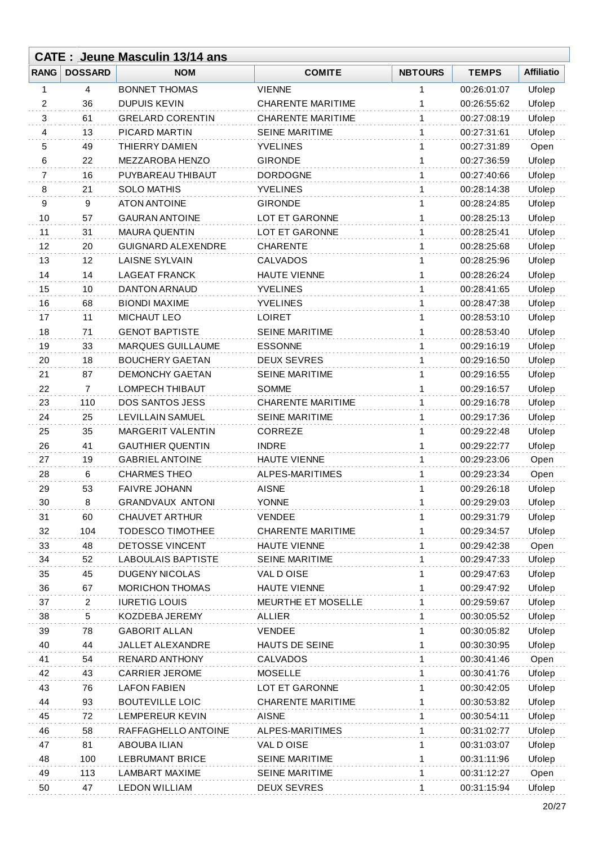|             |                | <b>CATE: Jeune Masculin 13/14 ans</b> |                          |                |              |                   |
|-------------|----------------|---------------------------------------|--------------------------|----------------|--------------|-------------------|
| <b>RANG</b> | <b>DOSSARD</b> | <b>NOM</b>                            | <b>COMITE</b>            | <b>NBTOURS</b> | <b>TEMPS</b> | <b>Affiliatio</b> |
| 1           | 4              | <b>BONNET THOMAS</b>                  | <b>VIENNE</b>            | 1              | 00:26:01:07  | Ufolep            |
| 2           | 36             | <b>DUPUIS KEVIN</b>                   | <b>CHARENTE MARITIME</b> | 1              | 00:26:55:62  | Ufolep            |
| 3           | 61             | <b>GRELARD CORENTIN</b>               | <b>CHARENTE MARITIME</b> | 1              | 00:27:08:19  | Ufolep            |
| 4           | 13             | PICARD MARTIN                         | <b>SEINE MARITIME</b>    | $\mathbf{1}$   | 00:27:31:61  | Ufolep            |
| 5           | 49             | THIERRY DAMIEN                        | <b>YVELINES</b>          | 1              | 00:27:31:89  | Open              |
| 6           | 22             | MEZZAROBA HENZO                       | <b>GIRONDE</b>           | 1              | 00:27:36:59  | Ufolep            |
| 7           | 16             | PUYBAREAU THIBAUT                     | <b>DORDOGNE</b>          | 1              | 00:27:40:66  | Ufolep            |
| 8           | 21             | <b>SOLO MATHIS</b>                    | <b>YVELINES</b>          | 1              | 00:28:14:38  | Ufolep            |
| 9           | 9              | <b>ATON ANTOINE</b>                   | <b>GIRONDE</b>           | 1              | 00:28:24:85  | Ufolep            |
| 10          | 57             | <b>GAURAN ANTOINE</b>                 | <b>LOT ET GARONNE</b>    | 1              | 00:28:25:13  | Ufolep            |
| 11          | 31             | <b>MAURA QUENTIN</b>                  | LOT ET GARONNE           | 1              | 00:28:25:41  | Ufolep            |
| 12          | 20             | <b>GUIGNARD ALEXENDRE</b>             | <b>CHARENTE</b>          | 1              | 00:28:25:68  | Ufolep            |
| 13          | 12             | <b>LAISNE SYLVAIN</b>                 | <b>CALVADOS</b>          | 1              | 00:28:25:96  | Ufolep            |
| 14          | 14             | <b>LAGEAT FRANCK</b>                  | <b>HAUTE VIENNE</b>      | 1              | 00:28:26:24  | Ufolep            |
| 15          | 10             | <b>DANTON ARNAUD</b>                  | <b>YVELINES</b>          | 1              | 00:28:41:65  | Ufolep            |
| 16          | 68             | <b>BIONDI MAXIME</b>                  | <b>YVELINES</b>          | 1              | 00:28:47:38  | Ufolep            |
| 17          | 11             | <b>MICHAUT LEO</b>                    | <b>LOIRET</b>            | 1              | 00:28:53:10  | Ufolep            |
| 18          | 71             | <b>GENOT BAPTISTE</b>                 | <b>SEINE MARITIME</b>    | 1              | 00:28:53:40  | Ufolep            |
| 19          | 33             | MARQUES GUILLAUME                     | <b>ESSONNE</b>           | 1              | 00:29:16:19  | Ufolep            |
| 20          | 18             | <b>BOUCHERY GAETAN</b>                | <b>DEUX SEVRES</b>       | 1              | 00:29:16:50  | Ufolep            |
| 21          | 87             | <b>DEMONCHY GAETAN</b>                | <b>SEINE MARITIME</b>    | 1              | 00:29:16:55  | Ufolep            |
| 22          | $\overline{7}$ | LOMPECH THIBAUT                       | SOMME                    | 1              | 00:29:16:57  | Ufolep            |
| 23          | 110            | <b>DOS SANTOS JESS</b>                | <b>CHARENTE MARITIME</b> | 1              | 00:29:16:78  | Ufolep            |
| 24          | 25             | LEVILLAIN SAMUEL                      | <b>SEINE MARITIME</b>    | 1              | 00:29:17:36  | Ufolep            |
| 25          | 35             | <b>MARGERIT VALENTIN</b>              | <b>CORREZE</b>           | 1              | 00:29:22:48  | Ufolep            |
| 26          | 41             | <b>GAUTHIER QUENTIN</b>               | <b>INDRE</b>             | 1              | 00:29:22:77  | Ufolep            |
| 27          | 19             | <b>GABRIEL ANTOINE</b>                | <b>HAUTE VIENNE</b>      | 1              | 00:29:23:06  | Open              |
| 28          | 6              | <b>CHARMES THEO</b>                   | ALPES-MARITIMES          | 1              | 00:29:23:34  | Open              |
| 29          | 53             | <b>FAIVRE JOHANN</b>                  | <b>AISNE</b>             | 1              | 00:29:26:18  | Ufolep            |
| 30          | 8              | <b>GRANDVAUX ANTONI</b>               | <b>YONNE</b>             | 1              | 00:29:29:03  | Ufolep            |
| 31          | 60             | <b>CHAUVET ARTHUR</b>                 | <b>VENDEE</b>            | 1              | 00:29:31:79  | Ufolep            |
| 32          | 104            | <b>TODESCO TIMOTHEE</b>               | <b>CHARENTE MARITIME</b> | 1              | 00:29:34:57  | Ufolep            |
| 33          | 48             | <b>DETOSSE VINCENT</b>                | HAUTE VIENNE             | 1              | 00:29:42:38  | Open              |
| 34          | 52             | <b>LABOULAIS BAPTISTE</b>             | <b>SEINE MARITIME</b>    | 1              | 00:29:47:33  | Ufolep            |
| 35          | 45             | <b>DUGENY NICOLAS</b>                 | VAL DOISE                | 1              | 00:29:47:63  | Ufolep            |
| 36          | 67             | <b>MORICHON THOMAS</b>                | <b>HAUTE VIENNE</b>      | 1              | 00:29:47:92  | Ufolep            |
| 37          | 2              | <b>IURETIG LOUIS</b>                  | MEURTHE ET MOSELLE       | 1              | 00:29:59:67  | Ufolep            |
| 38          | 5              | KOZDEBA JEREMY                        | <b>ALLIER</b>            | 1              | 00:30:05:52  | Ufolep            |
| 39          | 78             | <b>GABORIT ALLAN</b>                  | <b>VENDEE</b>            | 1              | 00:30:05:82  | Ufolep            |
| 40          | 44             | JALLET ALEXANDRE                      | HAUTS DE SEINE           | 1              | 00:30:30:95  | Ufolep            |
| 41          | 54             | <b>RENARD ANTHONY</b>                 | <b>CALVADOS</b>          | 1              | 00:30:41:46  | Open              |
| 42          | 43             | <b>CARRIER JEROME</b>                 | <b>MOSELLE</b>           | 1              | 00:30:41:76  | Ufolep            |
| 43          | 76             | <b>LAFON FABIEN</b>                   | LOT ET GARONNE           | 1              | 00:30:42:05  | Ufolep            |
| 44          | 93             | <b>BOUTEVILLE LOIC</b>                | <b>CHARENTE MARITIME</b> | 1              | 00:30:53:82  | Ufolep            |
| 45          | 72             | LEMPEREUR KEVIN                       | <b>AISNE</b>             | 1              | 00:30:54:11  | Ufolep            |
| 46          | 58             | RAFFAGHELLO ANTOINE                   | ALPES-MARITIMES          | 1              | 00:31:02:77  | Ufolep            |
| 47          | 81             | ABOUBA ILIAN                          | VAL DOISE                | 1              | 00:31:03:07  | Ufolep            |
| 48          | 100            | <b>LEBRUMANT BRICE</b>                | <b>SEINE MARITIME</b>    | 1              | 00:31:11:96  | Ufolep            |
| 49          | 113            | LAMBART MAXIME                        | <b>SEINE MARITIME</b>    | 1              | 00:31:12:27  | Open              |
| 50          | 47             | <b>LEDON WILLIAM</b>                  | <b>DEUX SEVRES</b>       | 1              | 00:31:15:94  | Ufolep            |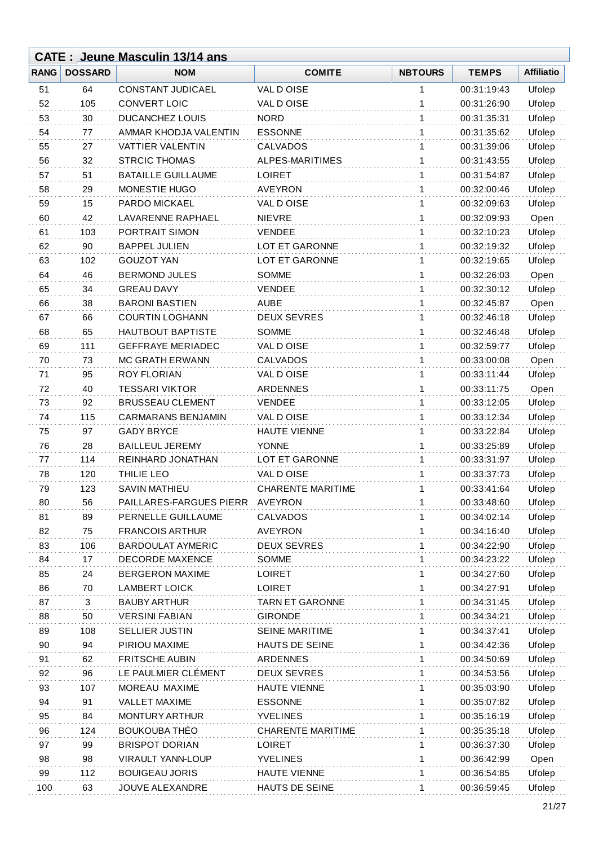|             |                | <b>CATE: Jeune Masculin 13/14 ans</b> |                          |                |              |                   |
|-------------|----------------|---------------------------------------|--------------------------|----------------|--------------|-------------------|
| <b>RANG</b> | <b>DOSSARD</b> | <b>NOM</b>                            | <b>COMITE</b>            | <b>NBTOURS</b> | <b>TEMPS</b> | <b>Affiliatio</b> |
| 51          | 64             | <b>CONSTANT JUDICAEL</b>              | VAL DOISE                | 1              | 00:31:19:43  | Ufolep            |
| 52          | 105            | <b>CONVERT LOIC</b>                   | VAL DOISE                | 1              | 00:31:26:90  | Ufolep            |
| 53          | 30             | <b>DUCANCHEZ LOUIS</b>                | <b>NORD</b>              | 1              | 00:31:35:31  | Ufolep            |
| 54          | 77             | AMMAR KHODJA VALENTIN                 | <b>ESSONNE</b>           | 1              | 00:31:35:62  | Ufolep            |
| 55          | 27             | VATTIER VALENTIN                      | <b>CALVADOS</b>          | 1              | 00:31:39:06  | Ufolep            |
| 56          | 32             | <b>STRCIC THOMAS</b>                  | ALPES-MARITIMES          | 1              | 00:31:43:55  | Ufolep            |
| 57          | 51             | <b>BATAILLE GUILLAUME</b>             | <b>LOIRET</b>            | 1              | 00:31:54:87  | Ufolep            |
| 58          | 29             | MONESTIE HUGO                         | <b>AVEYRON</b>           | 1              | 00:32:00:46  | Ufolep            |
| 59          | 15             | PARDO MICKAEL                         | VAL DOISE                | 1              | 00:32:09:63  | Ufolep            |
| 60          | 42             | <b>LAVARENNE RAPHAEL</b>              | <b>NIEVRE</b>            | 1              | 00:32:09:93  | Open              |
| 61          | 103            | PORTRAIT SIMON                        | <b>VENDEE</b>            | 1              | 00:32:10:23  | Ufolep            |
| 62          | 90             | <b>BAPPEL JULIEN</b>                  | <b>LOT ET GARONNE</b>    | 1              | 00:32:19:32  | Ufolep            |
| 63          | 102            | <b>GOUZOT YAN</b>                     | LOT ET GARONNE           | 1              | 00:32:19:65  | Ufolep            |
| 64          | 46             | <b>BERMOND JULES</b>                  | <b>SOMME</b>             | 1              | 00:32:26:03  | Open              |
| 65          | 34             | <b>GREAU DAVY</b>                     | <b>VENDEE</b>            | 1              | 00:32:30:12  | Ufolep            |
| 66          | 38             | <b>BARONI BASTIEN</b>                 | <b>AUBE</b>              | 1              | 00:32:45:87  | Open              |
| 67          | 66             | <b>COURTIN LOGHANN</b>                | <b>DEUX SEVRES</b>       | 1              | 00:32:46:18  | Ufolep            |
| 68          | 65             | HAUTBOUT BAPTISTE                     | <b>SOMME</b>             | 1              | 00:32:46:48  | Ufolep            |
| 69          | 111            | <b>GEFFRAYE MERIADEC</b>              | VAL D OISE               | 1              | 00:32:59:77  | Ufolep            |
| 70          | 73             | MC GRATH ERWANN                       | CALVADOS                 | 1              | 00:33:00:08  | Open              |
| 71          | 95             | <b>ROY FLORIAN</b>                    | VAL DOISE                | 1              | 00:33:11:44  | Ufolep            |
| 72          | 40             | <b>TESSARI VIKTOR</b>                 | <b>ARDENNES</b>          | 1              | 00:33:11:75  | Open              |
| 73          | 92             | <b>BRUSSEAU CLEMENT</b>               | <b>VENDEE</b>            | 1              | 00:33:12:05  | Ufolep            |
| 74          | 115            | <b>CARMARANS BENJAMIN</b>             | VAL DOISE                | 1              | 00:33:12:34  | Ufolep            |
| 75          | 97             | <b>GADY BRYCE</b>                     | <b>HAUTE VIENNE</b>      | 1              | 00:33:22:84  | Ufolep            |
| 76          | 28             | <b>BAILLEUL JEREMY</b>                | <b>YONNE</b>             | 1              | 00:33:25:89  | Ufolep            |
| 77          | 114            | REINHARD JONATHAN                     | LOT ET GARONNE           | 1              | 00:33:31:97  | Ufolep            |
| 78          | 120            | THILIE LEO                            | VAL DOISE                | 1              | 00:33:37:73  | Ufolep            |
| 79          | 123            | <b>SAVIN MATHIEU</b>                  | <b>CHARENTE MARITIME</b> | 1              | 00:33:41:64  | Ufolep            |
| 80          | 56             | PAILLARES-FARGUES PIERR               | <b>AVEYRON</b>           | 1              | 00:33:48:60  | Ufolep            |
| 81          | 89             | PERNELLE GUILLAUME                    | CALVADOS                 | 1              | 00:34:02:14  | Ufolep            |
| 82          | 75             | <b>FRANCOIS ARTHUR</b>                | <b>AVEYRON</b>           | 1              | 00:34:16:40  | Ufolep            |
| 83          | 106            | <b>BARDOULAT AYMERIC</b>              | <b>DEUX SEVRES</b>       | 1              | 00:34:22:90  | Ufolep            |
| 84          | 17             | <b>DECORDE MAXENCE</b>                | SOMME                    | 1              | 00:34:23:22  | Ufolep            |
| 85          | 24             | <b>BERGERON MAXIME</b>                | <b>LOIRET</b>            | 1              | 00:34:27:60  | Ufolep            |
| 86          | 70             | <b>LAMBERT LOICK</b>                  | <b>LOIRET</b>            | 1              | 00:34:27:91  | Ufolep            |
| 87          | 3              | <b>BAUBY ARTHUR</b>                   | <b>TARN ET GARONNE</b>   | 1              | 00:34:31:45  | Ufolep            |
| 88          | 50             | <b>VERSINI FABIAN</b>                 | <b>GIRONDE</b>           | 1              | 00:34:34:21  | Ufolep            |
| 89          | 108            | <b>SELLIER JUSTIN</b>                 | <b>SEINE MARITIME</b>    | 1              | 00:34:37:41  | Ufolep            |
| 90          | 94             | PIRIOU MAXIME                         | HAUTS DE SEINE           | 1              | 00:34:42:36  | Ufolep            |
| 91          | 62             | <b>FRITSCHE AUBIN</b>                 | <b>ARDENNES</b>          | 1              | 00:34:50:69  | Ufolep            |
| 92          | 96             | LE PAULMIER CLEMENT                   | <b>DEUX SEVRES</b>       | 1              | 00:34:53:56  | Ufolep            |
| 93          | 107            | MOREAU MAXIME                         | <b>HAUTE VIENNE</b>      | 1              | 00:35:03:90  | Ufolep            |
| 94          | 91             | <b>VALLET MAXIME</b>                  | <b>ESSONNE</b>           | 1              | 00:35:07:82  | Ufolep            |
| 95          | 84             | MONTURY ARTHUR                        | <b>YVELINES</b>          | 1              | 00:35:16:19  | Ufolep            |
| 96          | 124            | <b>BOUKOUBA THÉO</b>                  | <b>CHARENTE MARITIME</b> | 1              | 00:35:35:18  | Ufolep            |
| 97          | 99             | <b>BRISPOT DORIAN</b>                 | <b>LOIRET</b>            | 1              | 00:36:37:30  | Ufolep            |
| 98          | 98             | <b>VIRAULT YANN-LOUP</b>              | <b>YVELINES</b>          | 1              | 00:36:42:99  | Open              |
| 99          | 112            | <b>BOUIGEAU JORIS</b>                 | <b>HAUTE VIENNE</b>      | 1              | 00:36:54:85  | Ufolep            |
| 100         | 63             | JOUVE ALEXANDRE                       | HAUTS DE SEINE           | 1              | 00:36:59:45  | Ufolep            |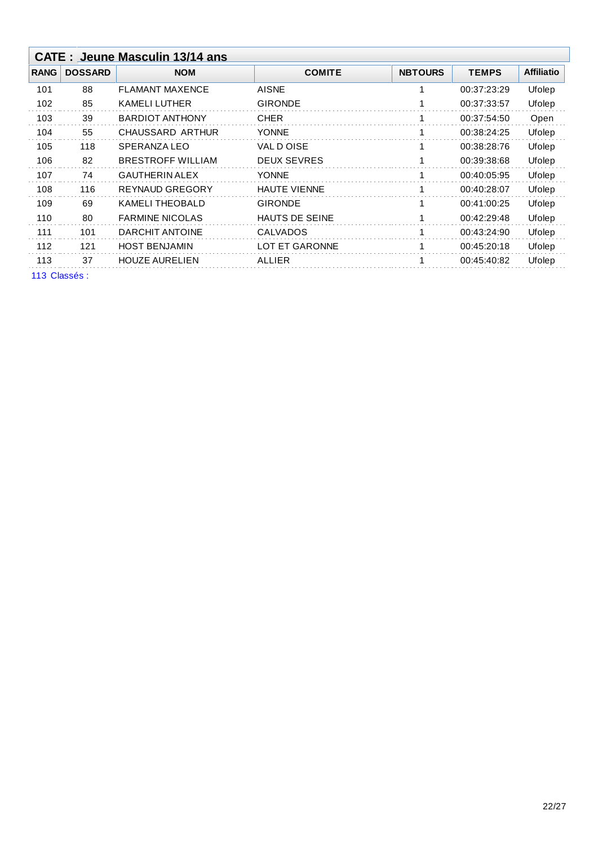|              | <b>CATE: Jeune Masculin 13/14 ans</b> |                          |                       |                |              |                   |  |  |
|--------------|---------------------------------------|--------------------------|-----------------------|----------------|--------------|-------------------|--|--|
| <b>RANG</b>  | <b>DOSSARD</b>                        | <b>NOM</b>               | <b>COMITE</b>         | <b>NBTOURS</b> | <b>TEMPS</b> | <b>Affiliatio</b> |  |  |
| 101          | 88                                    | <b>FLAMANT MAXENCE</b>   | <b>AISNE</b>          | 1              | 00:37:23:29  | Ufolep            |  |  |
| 102          | 85                                    | <b>KAMELI LUTHER</b>     | <b>GIRONDE</b>        |                | 00:37:33:57  | Ufolep            |  |  |
| 103          | 39                                    | <b>BARDIOT ANTHONY</b>   | <b>CHER</b>           | 1              | 00:37:54:50  | Open              |  |  |
| 104          | 55                                    | CHAUSSARD ARTHUR         | <b>YONNE</b>          |                | 00:38:24:25  | Ufolep            |  |  |
| 105          | 118                                   | SPERANZA LEO             | VAL DOISE             | 1              | 00:38:28:76  | Ufolep            |  |  |
| 106          | 82                                    | <b>BRESTROFF WILLIAM</b> | <b>DEUX SEVRES</b>    | 1              | 00:39:38:68  | Ufolep            |  |  |
| 107          | 74                                    | <b>GAUTHERIN ALEX</b>    | <b>YONNE</b>          | 1              | 00:40:05:95  | Ufolep            |  |  |
| 108          | 116                                   | <b>REYNAUD GREGORY</b>   | <b>HAUTE VIENNE</b>   | 1              | 00:40:28:07  | Ufolep            |  |  |
| 109          | 69                                    | <b>KAMELI THEOBALD</b>   | <b>GIRONDE</b>        | 1              | 00:41:00:25  | Ufolep            |  |  |
| 110          | 80                                    | <b>FARMINE NICOLAS</b>   | <b>HAUTS DE SEINE</b> | 1              | 00:42:29:48  | Ufolep            |  |  |
| 111          | 101                                   | DARCHIT ANTOINE          | <b>CALVADOS</b>       | 1              | 00:43:24:90  | Ufolep            |  |  |
| 112          | 121                                   | <b>HOST BENJAMIN</b>     | <b>LOT ET GARONNE</b> | 1              | 00:45:20:18  | Ufolep            |  |  |
| 113          | 37                                    | <b>HOUZE AURELIEN</b>    | ALLIER                | 1              | 00:45:40:82  | Ufolep            |  |  |
| 113 Classés: |                                       |                          |                       |                |              |                   |  |  |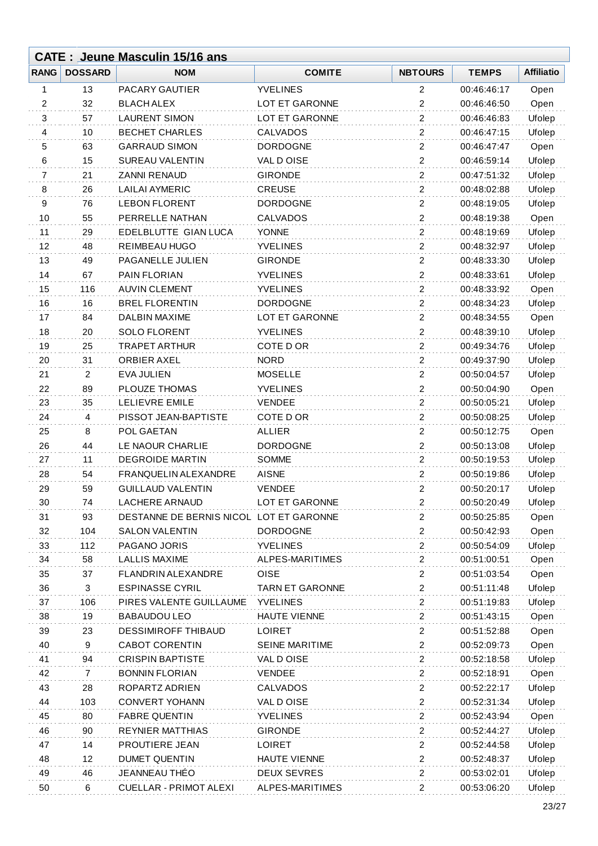|             |                | <b>CATE: Jeune Masculin 15/16 ans</b>   |                        |                         |              |                   |
|-------------|----------------|-----------------------------------------|------------------------|-------------------------|--------------|-------------------|
| <b>RANG</b> | <b>DOSSARD</b> | <b>NOM</b>                              | <b>COMITE</b>          | <b>NBTOURS</b>          | <b>TEMPS</b> | <b>Affiliatio</b> |
| 1           | 13             | <b>PACARY GAUTIER</b>                   | <b>YVELINES</b>        | 2                       | 00:46:46:17  | Open              |
| 2           | 32             | <b>BLACH ALEX</b>                       | LOT ET GARONNE         | 2                       | 00:46:46:50  | Open              |
| 3           | 57             | <b>LAURENT SIMON</b>                    | LOT ET GARONNE         | $\overline{2}$          | 00:46:46:83  | Ufolep            |
| 4           | 10             | <b>BECHET CHARLES</b>                   | <b>CALVADOS</b>        | $\overline{2}$          | 00:46:47:15  | Ufolep            |
| 5           | 63             | <b>GARRAUD SIMON</b>                    | <b>DORDOGNE</b>        | $\overline{c}$          | 00:46:47:47  | Open              |
| 6           | 15             | <b>SUREAU VALENTIN</b>                  | VAL DOISE              | 2                       | 00:46:59:14  | Ufolep            |
| 7           | 21             | <b>ZANNI RENAUD</b>                     | <b>GIRONDE</b>         | $\overline{2}$          | 00:47:51:32  | Ufolep            |
| 8           | 26             | <b>LAILAI AYMERIC</b>                   | <b>CREUSE</b>          | $\overline{c}$          | 00:48:02:88  | Ufolep            |
| 9           | 76             | <b>LEBON FLORENT</b>                    | <b>DORDOGNE</b>        | $\overline{c}$          | 00:48:19:05  | Ufolep            |
| 10          | 55             | PERRELLE NATHAN                         | <b>CALVADOS</b>        | $\overline{2}$          | 00:48:19:38  | Open              |
| 11          | 29             | EDELBLUTTE GIAN LUCA                    | <b>YONNE</b>           | $\overline{c}$          | 00:48:19:69  | Ufolep            |
| 12          | 48             | REIMBEAU HUGO                           | <b>YVELINES</b>        | $\mathbf{2}$            | 00:48:32:97  | Ufolep            |
| 13          | 49             | PAGANELLE JULIEN                        | <b>GIRONDE</b>         | $\overline{2}$          | 00:48:33:30  | Ufolep            |
| 14          | 67             | PAIN FLORIAN                            | <b>YVELINES</b>        | $\overline{c}$          | 00:48:33:61  | Ufolep            |
| 15          | 116            | <b>AUVIN CLEMENT</b>                    | <b>YVELINES</b>        | $\mathbf{2}$            | 00:48:33:92  | Open              |
| 16          | 16             | <b>BREL FLORENTIN</b>                   | <b>DORDOGNE</b>        | $\overline{c}$          | 00:48:34:23  | Ufolep            |
| 17          | 84             | DALBIN MAXIME                           | LOT ET GARONNE         | $\overline{c}$          | 00:48:34:55  | Open              |
| 18          | 20             | <b>SOLO FLORENT</b>                     | <b>YVELINES</b>        | $\overline{c}$          | 00:48:39:10  | Ufolep            |
| 19          | 25             | <b>TRAPET ARTHUR</b>                    | COTE D OR              | $\overline{c}$          | 00:49:34:76  | Ufolep            |
| 20          | 31             | ORBIER AXEL                             | <b>NORD</b>            | $\boldsymbol{2}$        | 00:49:37:90  | Ufolep            |
| 21          | $\overline{2}$ | <b>EVA JULIEN</b>                       | <b>MOSELLE</b>         | $\mathbf{2}$            | 00:50:04:57  | Ufolep            |
| 22          | 89             | PLOUZE THOMAS                           | <b>YVELINES</b>        | $\overline{\mathbf{c}}$ | 00:50:04:90  | Open              |
| 23          | 35             | <b>LELIEVRE EMILE</b>                   | <b>VENDEE</b>          | $\overline{c}$          | 00:50:05:21  | Ufolep            |
| 24          | 4              | PISSOT JEAN-BAPTISTE                    | COTE D OR              | $\overline{2}$          | 00:50:08:25  | Ufolep            |
| 25          | $\,8\,$        | POL GAETAN                              | <b>ALLIER</b>          | $\overline{2}$          | 00:50:12:75  | Open              |
| 26          | 44             | LE NAOUR CHARLIE                        | <b>DORDOGNE</b>        | $\overline{c}$          | 00:50:13:08  | Ufolep            |
| 27          | 11             | <b>DEGROIDE MARTIN</b>                  | <b>SOMME</b>           | $\overline{c}$          | 00:50:19:53  | Ufolep            |
| 28          | 54             | <b>FRANQUELIN ALEXANDRE</b>             | <b>AISNE</b>           | $\overline{c}$          | 00:50:19:86  | Ufolep            |
| 29          | 59             | <b>GUILLAUD VALENTIN</b>                | VENDEE                 | 2                       | 00:50:20:17  | Ufolep            |
| 30          | 74             | <b>LACHERE ARNAUD</b>                   | LOT ET GARONNE         | 2                       | 00:50:20:49  | Ufolep            |
| 31          | 93             | DESTANNE DE BERNIS NICOL LOT ET GARONNE |                        | 2                       | 00:50:25:85  | Open              |
| 32          | 104            | <b>SALON VALENTIN</b>                   | <b>DORDOGNE</b>        | $\overline{2}$          | 00:50:42:93  | Open              |
| 33          | 112            | PAGANO JORIS                            | <b>YVELINES</b>        | $\overline{c}$          | 00:50:54:09  | Ufolep            |
| 34          | 58             | <b>LALLIS MAXIME</b>                    | ALPES-MARITIMES        | $\overline{\mathbf{c}}$ | 00:51:00:51  | Open              |
| 35          | 37             | <b>FLANDRIN ALEXANDRE</b>               | <b>OISE</b>            | $\overline{2}$          | 00:51:03:54  | Open              |
| 36          | 3              | <b>ESPINASSE CYRIL</b>                  | <b>TARN ET GARONNE</b> | $\overline{c}$          | 00:51:11:48  | Ufolep            |
| 37          | 106            | PIRES VALENTE GUILLAUME                 | <b>YVELINES</b>        | 2                       | 00:51:19:83  | Ufolep            |
| 38          | 19             | <b>BABAUDOU LEO</b>                     | HAUTE VIENNE           | $\overline{2}$          | 00:51:43:15  | Open              |
| 39          | 23             | <b>DESSIMIROFF THIBAUD</b>              | <b>LOIRET</b>          | $\overline{c}$          | 00:51:52:88  | Open              |
| 40          | 9              | <b>CABOT CORENTIN</b>                   | <b>SEINE MARITIME</b>  | $\overline{c}$          | 00:52:09:73  | Open              |
| 41          | 94             | <b>CRISPIN BAPTISTE</b>                 | VAL DOISE              | 2                       | 00:52:18:58  | Ufolep            |
| 42          | $\overline{7}$ | <b>BONNIN FLORIAN</b>                   | <b>VENDEE</b>          | 2                       | 00:52:18:91  | Open              |
| 43          | 28             | ROPARTZ ADRIEN                          | <b>CALVADOS</b>        | $\overline{c}$          | 00:52:22:17  | Ufolep            |
| 44          | 103            | <b>CONVERT YOHANN</b>                   | VAL DOISE              | $\overline{c}$          | 00:52:31:34  | Ufolep            |
| 45          | 80             | <b>FABRE QUENTIN</b>                    | <b>YVELINES</b>        | $\overline{c}$          | 00:52:43:94  | Open              |
| 46          | 90             | <b>REYNIER MATTHIAS</b>                 | <b>GIRONDE</b>         | $\overline{2}$          | 00:52:44:27  | Ufolep            |
| 47          | 14             | PROUTIERE JEAN                          | <b>LOIRET</b>          | $\overline{2}$          | 00:52:44:58  | Ufolep            |
| 48          | 12             | <b>DUMET QUENTIN</b>                    | <b>HAUTE VIENNE</b>    | 2                       | 00:52:48:37  | Ufolep            |
| 49          | 46             | JEANNEAU THÉO                           | <b>DEUX SEVRES</b>     | 2                       | 00:53:02:01  | Ufolep            |
| 50          | 6              | CUELLAR - PRIMOT ALEXI                  | ALPES-MARITIMES        | 2                       | 00:53:06:20  | Ufolep            |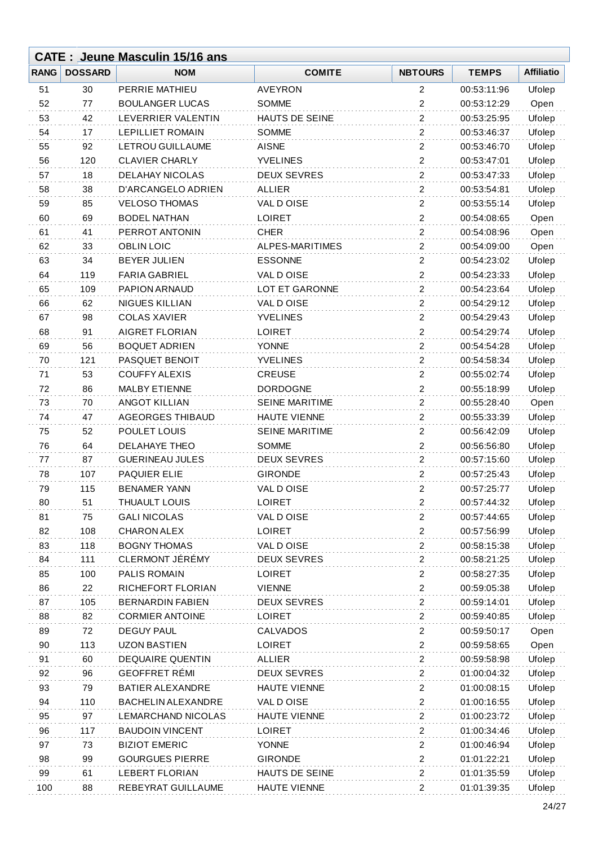|             |                | <b>CATE: Jeune Masculin 15/16 ans</b> |                       |                         |              |                   |
|-------------|----------------|---------------------------------------|-----------------------|-------------------------|--------------|-------------------|
| <b>RANG</b> | <b>DOSSARD</b> | <b>NOM</b>                            | <b>COMITE</b>         | <b>NBTOURS</b>          | <b>TEMPS</b> | <b>Affiliatio</b> |
| 51          | 30             | PERRIE MATHIEU                        | <b>AVEYRON</b>        | 2                       | 00:53:11:96  | Ufolep            |
| 52          | 77             | <b>BOULANGER LUCAS</b>                | <b>SOMME</b>          | $\overline{c}$          | 00:53:12:29  | Open              |
| 53          | 42             | LEVERRIER VALENTIN                    | HAUTS DE SEINE        | $\overline{c}$          | 00:53:25:95  | Ufolep            |
| 54          | 17             | <b>LEPILLIET ROMAIN</b>               | <b>SOMME</b>          | $\overline{2}$          | 00:53:46:37  | Ufolep            |
| 55          | 92             | LETROU GUILLAUME                      | <b>AISNE</b>          | $\overline{\mathbf{c}}$ | 00:53:46:70  | Ufolep            |
| 56          | 120            | <b>CLAVIER CHARLY</b>                 | <b>YVELINES</b>       | $\overline{c}$          | 00:53:47:01  | Ufolep            |
| 57          | 18             | <b>DELAHAY NICOLAS</b>                | <b>DEUX SEVRES</b>    | $\overline{2}$          | 00:53:47:33  | Ufolep            |
| 58          | 38             | D'ARCANGELO ADRIEN                    | <b>ALLIER</b>         | $\overline{c}$          | 00:53:54:81  | Ufolep            |
| 59          | 85             | <b>VELOSO THOMAS</b>                  | VAL DOISE             | $\overline{c}$          | 00:53:55:14  | Ufolep            |
| 60          | 69             | <b>BODEL NATHAN</b>                   | LOIRET                | $\overline{2}$          | 00:54:08:65  | Open              |
| 61          | 41             | PERROT ANTONIN                        | <b>CHER</b>           | $\overline{2}$          | 00:54:08:96  | Open              |
| 62          | 33             | <b>OBLIN LOIC</b>                     | ALPES-MARITIMES       | 2                       | 00:54:09:00  | Open              |
| 63          | 34             | <b>BEYER JULIEN</b>                   | <b>ESSONNE</b>        | $\overline{2}$          | 00:54:23:02  | Ufolep            |
| 64          | 119            | <b>FARIA GABRIEL</b>                  | VAL DOISE             | $\overline{c}$          | 00:54:23:33  | Ufolep            |
| 65          | 109            | PAPION ARNAUD                         | LOT ET GARONNE        | $\overline{2}$          | 00:54:23:64  | Ufolep            |
| 66          | 62             | NIGUES KILLIAN                        | VAL D OISE            | $\overline{\mathbf{c}}$ | 00:54:29:12  | Ufolep            |
| 67          | 98             | <b>COLAS XAVIER</b>                   | <b>YVELINES</b>       | $\overline{c}$          | 00:54:29:43  | Ufolep            |
| 68          | 91             | <b>AIGRET FLORIAN</b>                 | <b>LOIRET</b>         | $\boldsymbol{2}$        | 00:54:29:74  | Ufolep            |
| 69          | 56             | <b>BOQUET ADRIEN</b>                  | <b>YONNE</b>          | $\overline{c}$          | 00:54:54:28  | Ufolep            |
| 70          | 121            | PASQUET BENOIT                        | <b>YVELINES</b>       | $\boldsymbol{2}$        | 00:54:58:34  | Ufolep            |
| 71          | 53             | <b>COUFFY ALEXIS</b>                  | <b>CREUSE</b>         | $\overline{2}$          | 00:55:02:74  | Ufolep            |
| 72          | 86             | <b>MALBY ETIENNE</b>                  | <b>DORDOGNE</b>       | $\overline{2}$          | 00:55:18:99  | Ufolep            |
| 73          | 70             | <b>ANGOT KILLIAN</b>                  | <b>SEINE MARITIME</b> | $\overline{c}$          | 00:55:28:40  | Open              |
| 74          | 47             | <b>AGEORGES THIBAUD</b>               | HAUTE VIENNE          | 2                       | 00:55:33:39  | Ufolep            |
| 75          | 52             | POULET LOUIS                          | <b>SEINE MARITIME</b> | $\overline{c}$          | 00:56:42:09  | Ufolep            |
| 76          | 64             | <b>DELAHAYE THEO</b>                  | <b>SOMME</b>          | $\overline{c}$          | 00:56:56:80  | Ufolep            |
| 77          | 87             | <b>GUERINEAU JULES</b>                | <b>DEUX SEVRES</b>    | $\overline{c}$          | 00:57:15:60  | Ufolep            |
| 78          | 107            | <b>PAQUIER ELIE</b>                   | <b>GIRONDE</b>        | $\overline{\mathbf{c}}$ | 00:57:25:43  | Ufolep            |
| 79          | 115            | <b>BENAMER YANN</b>                   | VAL D OISE            | $\overline{c}$          | 00:57:25:77  | Ufolep            |
| 80          | 51             | THUAULT LOUIS                         | <b>LOIRET</b>         | 2                       | 00:57:44:32  | Ufolep            |
| 81          | 75             | <b>GALI NICOLAS</b>                   | VAL D OISE            | 2                       | 00:57:44:65  | Ufolep            |
| 82          | 108            | <b>CHARON ALEX</b>                    | <b>LOIRET</b>         | $\overline{c}$          | 00:57:56:99  | Ufolep            |
| 83          | 118            | <b>BOGNY THOMAS</b>                   | VAL DOISE             | $\overline{c}$          | 00:58:15:38  | Ufolep            |
| 84          | 111            | CLERMONT JÉRÉMY                       | <b>DEUX SEVRES</b>    | $\boldsymbol{2}$        | 00:58:21:25  | Ufolep            |
| 85          | 100            | PALIS ROMAIN                          | <b>LOIRET</b>         | $\overline{c}$          | 00:58:27:35  | Ufolep            |
| 86          | 22             | RICHEFORT FLORIAN                     | <b>VIENNE</b>         | $\overline{c}$          | 00:59:05:38  | Ufolep            |
| 87          | 105            | <b>BERNARDIN FABIEN</b>               | <b>DEUX SEVRES</b>    | 2                       | 00:59:14:01  | Ufolep            |
| 88          | 82             | <b>CORMIER ANTOINE</b>                | <b>LOIRET</b>         | $\overline{2}$          | 00:59:40:85  | Ufolep            |
| 89          | 72             | <b>DEGUY PAUL</b>                     | <b>CALVADOS</b>       | $\boldsymbol{2}$        | 00:59:50:17  | Open              |
| 90          | 113            | <b>UZON BASTIEN</b>                   | <b>LOIRET</b>         | $\overline{c}$          | 00:59:58:65  | Open              |
| 91          | 60             | <b>DEQUAIRE QUENTIN</b>               | <b>ALLIER</b>         | $\boldsymbol{2}$        | 00:59:58:98  | Ufolep            |
| 92          | 96             | <b>GEOFFRET RÉMI</b>                  | <b>DEUX SEVRES</b>    | 2                       | 01:00:04:32  | Ufolep            |
| 93          | 79             | <b>BATIER ALEXANDRE</b>               | HAUTE VIENNE          | 2                       | 01:00:08:15  | Ufolep            |
| 94          | 110            | <b>BACHELIN ALEXANDRE</b>             | VAL D OISE            | $\overline{c}$          | 01:00:16:55  | Ufolep            |
| 95          | 97             | <b>LEMARCHAND NICOLAS</b>             | <b>HAUTE VIENNE</b>   | $\overline{c}$          | 01:00:23:72  | Ufolep            |
| 96          | 117            | <b>BAUDOIN VINCENT</b>                | <b>LOIRET</b>         | $\overline{c}$          | 01:00:34:46  | Ufolep            |
| 97          | 73             | <b>BIZIOT EMERIC</b>                  | <b>YONNE</b>          | $\overline{c}$          | 01:00:46:94  | Ufolep            |
| 98          | 99             | <b>GOURGUES PIERRE</b>                | <b>GIRONDE</b>        | $\overline{c}$          | 01:01:22:21  | Ufolep            |
| 99          | 61             | <b>LEBERT FLORIAN</b>                 | HAUTS DE SEINE        | 2                       | 01:01:35:59  | Ufolep            |
| 100         | 88             | REBEYRAT GUILLAUME                    | <b>HAUTE VIENNE</b>   | $\overline{\mathbf{c}}$ | 01:01:39:35  | Ufolep            |
|             |                |                                       |                       |                         |              |                   |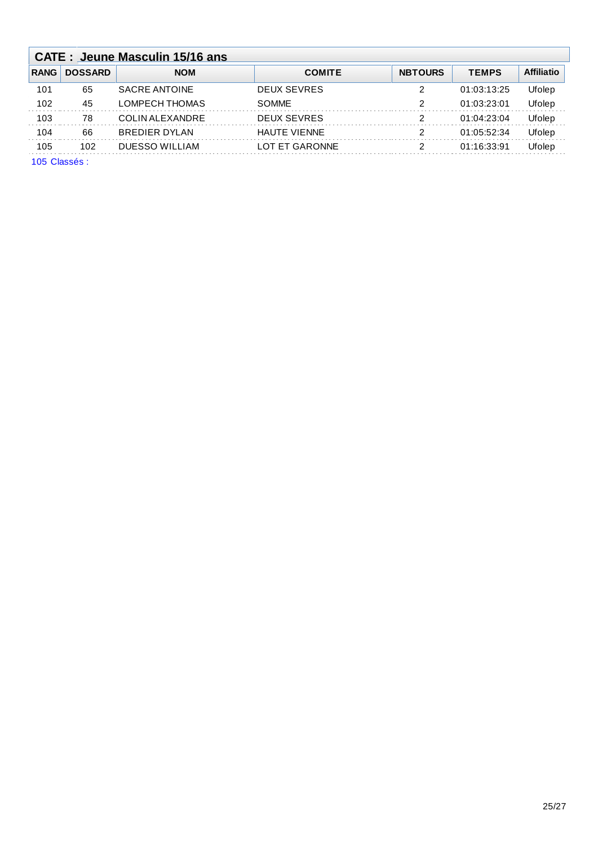|             | <b>CATE: Jeune Masculin 15/16 ans</b> |                 |                     |                |              |                   |  |  |  |  |
|-------------|---------------------------------------|-----------------|---------------------|----------------|--------------|-------------------|--|--|--|--|
| <b>RANG</b> | <b>DOSSARD</b>                        | <b>NOM</b>      | <b>COMITE</b>       | <b>NBTOURS</b> | <b>TEMPS</b> | <b>Affiliatio</b> |  |  |  |  |
| 101         | 65                                    | SACRE ANTOINE   | <b>DEUX SEVRES</b>  | 2              | 01:03:13:25  | Ufolep            |  |  |  |  |
| 102         | 45                                    | LOMPECH THOMAS  | <b>SOMME</b>        | 2              | 01:03:23:01  | Ufolep            |  |  |  |  |
| 103         | 78                                    | COLIN ALEXANDRE | <b>DEUX SEVRES</b>  | 2              | 01:04:23:04  | Ufolep            |  |  |  |  |
| 104         | 66                                    | BREDIER DYLAN   | <b>HAUTE VIENNE</b> | 2              | 01:05:52:34  | Ufolep            |  |  |  |  |
| 105         | 102                                   | DUESSO WILLIAM  | LOT ET GARONNE      | 2              | 01:16:33:91  | Ufolep            |  |  |  |  |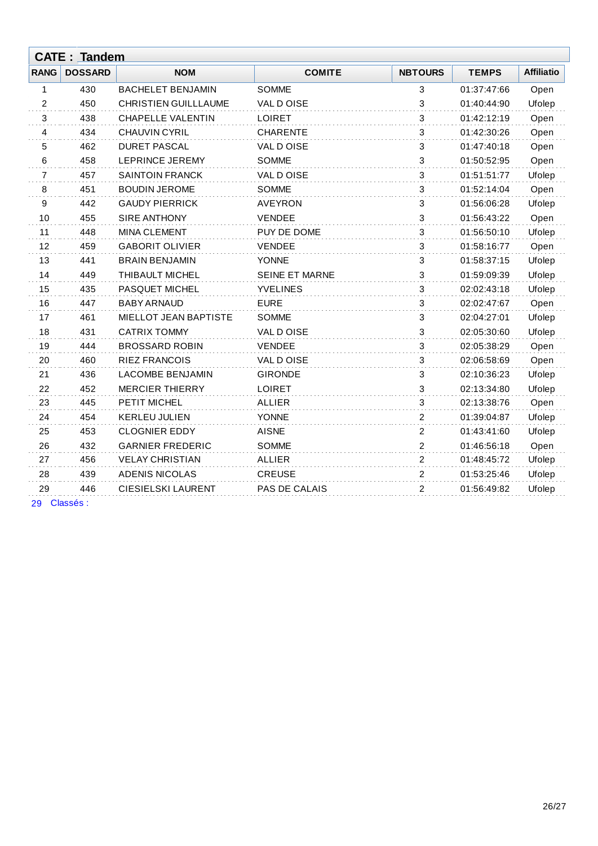|                | <b>CATE: Tandem</b> |                             |                       |                |              |                   |  |  |  |  |
|----------------|---------------------|-----------------------------|-----------------------|----------------|--------------|-------------------|--|--|--|--|
| <b>RANG</b>    | <b>DOSSARD</b>      | <b>NOM</b>                  | <b>COMITE</b>         | <b>NBTOURS</b> | <b>TEMPS</b> | <b>Affiliatio</b> |  |  |  |  |
| 1              | 430                 | <b>BACHELET BENJAMIN</b>    | <b>SOMME</b>          | 3              | 01:37:47:66  | Open              |  |  |  |  |
| $\overline{c}$ | 450                 | <b>CHRISTIEN GUILLLAUME</b> | VAL DOISE             | 3              | 01:40:44:90  | Ufolep            |  |  |  |  |
| 3              | 438                 | <b>CHAPELLE VALENTIN</b>    | <b>LOIRET</b>         | 3              | 01:42:12:19  | Open              |  |  |  |  |
| 4              | 434                 | <b>CHAUVIN CYRIL</b>        | <b>CHARENTE</b>       | 3              | 01:42:30:26  | Open              |  |  |  |  |
| 5              | 462                 | <b>DURET PASCAL</b>         | VAL DOISE             | 3              | 01:47:40:18  | Open              |  |  |  |  |
| 6              | 458                 | LEPRINCE JEREMY             | <b>SOMME</b>          | 3              | 01:50:52:95  | Open              |  |  |  |  |
| 7              | 457                 | <b>SAINTOIN FRANCK</b>      | VAL DOISE             | 3              | 01:51:51:77  | Ufolep            |  |  |  |  |
| 8              | 451                 | <b>BOUDIN JEROME</b>        | <b>SOMME</b>          | 3              | 01:52:14:04  | Open              |  |  |  |  |
| 9              | 442                 | <b>GAUDY PIERRICK</b>       | AVEYRON               | 3              | 01:56:06:28  | Ufolep            |  |  |  |  |
| 10             | 455                 | <b>SIRE ANTHONY</b>         | <b>VENDEE</b>         | 3              | 01:56:43:22  | Open              |  |  |  |  |
| 11             | 448                 | <b>MINA CLEMENT</b>         | PUY DE DOME           | 3              | 01:56:50:10  | Ufolep            |  |  |  |  |
| 12             | 459                 | <b>GABORIT OLIVIER</b>      | <b>VENDEE</b>         | 3              | 01:58:16:77  | Open              |  |  |  |  |
| 13             | 441                 | <b>BRAIN BENJAMIN</b>       | <b>YONNE</b>          | 3              | 01:58:37:15  | Ufolep            |  |  |  |  |
| 14             | 449                 | <b>THIBAULT MICHEL</b>      | <b>SEINE ET MARNE</b> | 3              | 01:59:09:39  | Ufolep            |  |  |  |  |
| 15             | 435                 | PASQUET MICHEL              | <b>YVELINES</b>       | 3              | 02:02:43:18  | Ufolep            |  |  |  |  |
| 16             | 447                 | <b>BABY ARNAUD</b>          | <b>EURE</b>           | 3              | 02:02:47:67  | Open              |  |  |  |  |
| 17             | 461                 | MIELLOT JEAN BAPTISTE       | <b>SOMME</b>          | 3              | 02:04:27:01  | Ufolep            |  |  |  |  |
| 18             | 431                 | <b>CATRIX TOMMY</b>         | VAL DOISE             | 3              | 02:05:30:60  | Ufolep            |  |  |  |  |
| 19             | 444                 | <b>BROSSARD ROBIN</b>       | <b>VENDEE</b>         | 3              | 02:05:38:29  | Open              |  |  |  |  |
| 20             | 460                 | <b>RIEZ FRANCOIS</b>        | VAL DOISE             | 3              | 02:06:58:69  | Open              |  |  |  |  |
| 21             | 436                 | <b>LACOMBE BENJAMIN</b>     | <b>GIRONDE</b>        | 3              | 02:10:36:23  | Ufolep            |  |  |  |  |
| 22             | 452                 | <b>MERCIER THIERRY</b>      | <b>LOIRET</b>         | 3              | 02:13:34:80  | Ufolep            |  |  |  |  |
| 23             | 445                 | PETIT MICHEL                | <b>ALLIER</b>         | 3              | 02:13:38:76  | Open              |  |  |  |  |
| 24             | 454                 | <b>KERLEU JULIEN</b>        | <b>YONNE</b>          | 2              | 01:39:04:87  | Ufolep            |  |  |  |  |
| 25             | 453                 | <b>CLOGNIER EDDY</b>        | <b>AISNE</b>          | 2              | 01:43:41:60  | Ufolep            |  |  |  |  |
| 26             | 432                 | <b>GARNIER FREDERIC</b>     | <b>SOMME</b>          | 2              | 01:46:56:18  | Open              |  |  |  |  |
| 27             | 456                 | <b>VELAY CHRISTIAN</b>      | <b>ALLIER</b>         | $\overline{2}$ | 01:48:45:72  | Ufolep            |  |  |  |  |
| 28             | 439                 | <b>ADENIS NICOLAS</b>       | <b>CREUSE</b>         | $\overline{c}$ | 01:53:25:46  | Ufolep            |  |  |  |  |
| 29             | 446                 | <b>CIESIELSKI LAURENT</b>   | PAS DE CALAIS         | $\overline{2}$ | 01:56:49:82  | Ufolep            |  |  |  |  |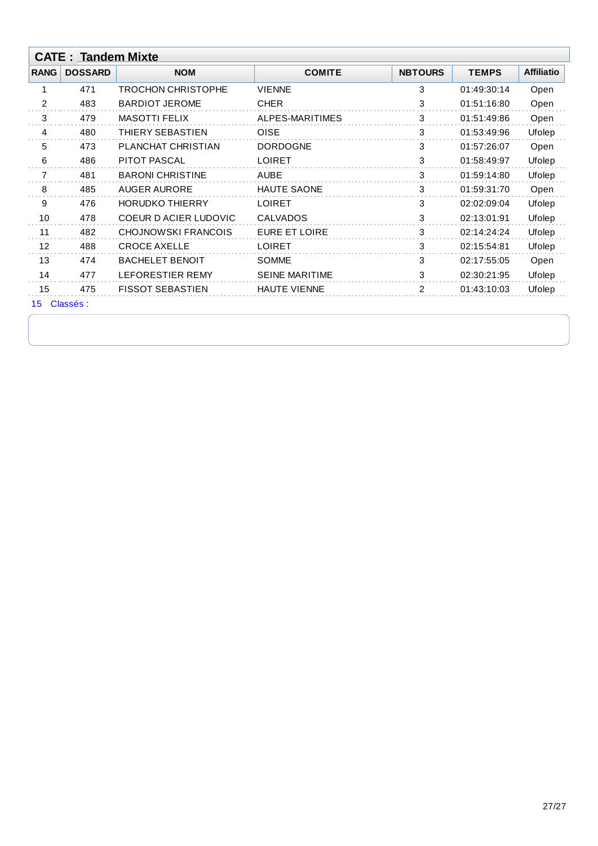| <b>RANG</b>    | <b>DOSSARD</b> | <b>NOM</b>                   | <b>COMITE</b>         | <b>NBTOURS</b> | <b>TEMPS</b> | <b>Affiliatio</b> |
|----------------|----------------|------------------------------|-----------------------|----------------|--------------|-------------------|
|                | 471            | TROCHON CHRISTOPHE           | <b>VIENNE</b>         | 3              | 01:49:30:14  | Open              |
| $\overline{2}$ | 483            | <b>BARDIOT JEROME</b>        | <b>CHER</b>           | 3              | 01:51:16:80  | Open              |
| 3              | 479            | <b>MASOTTI FELIX</b>         | ALPES-MARITIMES       | 3              | 01:51:49:86  | Open              |
| 4              | 480            | THIERY SEBASTIEN             | <b>OISE</b>           | 3              | 01:53:49:96  | Ufolep            |
| 5              | 473            | PLANCHAT CHRISTIAN           | <b>DORDOGNE</b>       | 3              | 01:57:26:07  | Open              |
| 6              | 486            | <b>PITOT PASCAL</b>          | <b>LOIRET</b>         | 3              | 01:58:49:97  | Ufolep            |
| $\overline{7}$ | 481            | <b>BARONI CHRISTINE</b>      | <b>AUBE</b>           | 3              | 01:59:14:80  | Ufolep            |
| 8              | 485            | <b>AUGER AURORE</b>          | <b>HAUTE SAONE</b>    | 3              | 01:59:31:70  | Open              |
| 9              | 476            | <b>HORUDKO THIERRY</b>       | <b>LOIRET</b>         | 3              | 02:02:09:04  | Ufolep            |
| 10             | 478            | <b>COEUR D ACIER LUDOVIC</b> | <b>CALVADOS</b>       | 3              | 02:13:01:91  | Ufolep            |
| 11             | 482            | <b>CHOJNOWSKI FRANCOIS</b>   | <b>EURE ET LOIRE</b>  | 3              | 02:14:24:24  | Ufolep            |
| 12             | 488            | <b>CROCE AXELLE</b>          | <b>LOIRET</b>         | 3              | 02:15:54:81  | Ufolep            |
| 13             | 474            | <b>BACHELET BENOIT</b>       | <b>SOMME</b>          | 3              | 02:17:55:05  | Open              |
| 14             | 477            | LEFORESTIER REMY             | <b>SEINE MARITIME</b> | 3              | 02:30:21:95  | Ufolep            |
| 15             | 475            | <b>FISSOT SEBASTIEN</b>      | <b>HAUTE VIENNE</b>   | $\overline{2}$ | 01:43:10:03  | Ufolep            |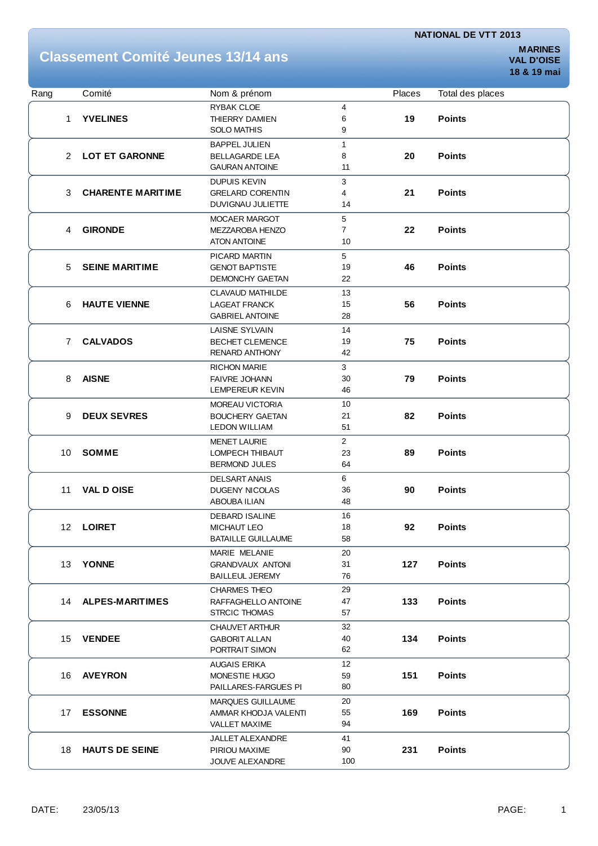## **Classement Comité Jeunes 13/14 ans**

**MARINES 18 & 19 mai**

| Rang            | Comité                   | Nom & prénom                                      |                | Places | Total des places |
|-----------------|--------------------------|---------------------------------------------------|----------------|--------|------------------|
|                 |                          | <b>RYBAK CLOE</b>                                 | 4              |        |                  |
| 1               | <b>YVELINES</b>          | THIERRY DAMIEN                                    | 6              | 19     | <b>Points</b>    |
|                 |                          | <b>SOLO MATHIS</b>                                | 9              |        |                  |
|                 |                          | <b>BAPPEL JULIEN</b>                              | $\mathbf{1}$   |        |                  |
| $\overline{2}$  | <b>LOT ET GARONNE</b>    | <b>BELLAGARDE LEA</b>                             | 8              | 20     | <b>Points</b>    |
|                 |                          | <b>GAURAN ANTOINE</b>                             | 11             |        |                  |
|                 |                          | DUPUIS KEVIN                                      | 3              |        |                  |
| 3               | <b>CHARENTE MARITIME</b> | <b>GRELARD CORENTIN</b>                           | 4              | 21     | <b>Points</b>    |
|                 |                          | DUVIGNAU JULIETTE                                 | 14             |        |                  |
|                 |                          | MOCAER MARGOT                                     | 5              |        |                  |
| 4               | <b>GIRONDE</b>           | MEZZAROBA HENZO                                   | $\overline{7}$ | 22     | <b>Points</b>    |
|                 |                          | <b>ATON ANTOINE</b>                               | 10             |        |                  |
|                 |                          | PICARD MARTIN                                     | 5              |        |                  |
| 5               | <b>SEINE MARITIME</b>    | <b>GENOT BAPTISTE</b>                             | 19             | 46     | <b>Points</b>    |
|                 |                          | <b>DEMONCHY GAETAN</b>                            | 22             |        |                  |
|                 |                          | <b>CLAVAUD MATHILDE</b>                           | 13             |        |                  |
| 6               | <b>HAUTE VIENNE</b>      | <b>LAGEAT FRANCK</b>                              | 15             | 56     | <b>Points</b>    |
|                 |                          | <b>GABRIEL ANTOINE</b>                            | 28             |        |                  |
|                 |                          | LAISNE SYLVAIN                                    | 14             |        |                  |
| $\overline{7}$  | <b>CALVADOS</b>          | <b>BECHET CLEMENCE</b>                            | 19             | 75     | <b>Points</b>    |
|                 |                          | <b>RENARD ANTHONY</b>                             | 42             |        |                  |
|                 |                          | <b>RICHON MARIE</b>                               | 3              |        |                  |
| 8               | <b>AISNE</b>             | <b>FAIVRE JOHANN</b>                              | 30             | 79     | <b>Points</b>    |
|                 |                          | LEMPEREUR KEVIN                                   | 46             |        |                  |
|                 |                          | <b>MOREAU VICTORIA</b>                            | 10             |        |                  |
| 9               | <b>DEUX SEVRES</b>       | <b>BOUCHERY GAETAN</b>                            | 21             | 82     | <b>Points</b>    |
|                 |                          | <b>LEDON WILLIAM</b>                              | 51             |        |                  |
|                 | <b>SOMME</b>             | <b>MENET LAURIE</b>                               | $\overline{2}$ |        |                  |
| 10              |                          | LOMPECH THIBAUT                                   | 23             | 89     | <b>Points</b>    |
|                 |                          | <b>BERMOND JULES</b>                              | 64             |        |                  |
|                 |                          | <b>DELSART ANAIS</b>                              | 6              |        |                  |
| 11              | <b>VAL D OISE</b>        | <b>DUGENY NICOLAS</b>                             | 36             | 90     | <b>Points</b>    |
|                 |                          | <b>ABOUBA ILIAN</b>                               | 48             |        |                  |
|                 |                          | DEBARD ISALINE                                    | 16             |        |                  |
| 12 <sub>2</sub> | <b>LOIRET</b>            | MICHAUT LEO                                       | 18             | 92     | <b>Points</b>    |
|                 |                          | <b>BATAILLE GUILLAUME</b>                         | 58             |        |                  |
|                 |                          | MARIE MELANIE                                     | 20             |        |                  |
| 13              | <b>YONNE</b>             | <b>GRANDVAUX ANTONI</b><br><b>BAILLEUL JEREMY</b> | 31             | 127    | <b>Points</b>    |
|                 |                          |                                                   | 76             |        |                  |
|                 |                          | CHARMES THEO                                      | 29             |        |                  |
|                 | 14 ALPES-MARITIMES       | RAFFAGHELLO ANTOINE<br><b>STRCIC THOMAS</b>       | 47<br>57       | 133    | <b>Points</b>    |
|                 |                          |                                                   |                |        |                  |
|                 | <b>VENDEE</b>            | CHAUVET ARTHUR                                    | 32             |        |                  |
| 15              |                          | <b>GABORIT ALLAN</b><br>PORTRAIT SIMON            | 40<br>62       | 134    | <b>Points</b>    |
|                 |                          |                                                   |                |        |                  |
| 16              | <b>AVEYRON</b>           | <b>AUGAIS ERIKA</b><br>MONESTIE HUGO              | 12<br>59       | 151    | <b>Points</b>    |
|                 |                          | PAILLARES-FARGUES PI                              | 80             |        |                  |
|                 |                          |                                                   | 20             |        |                  |
| 17              | <b>ESSONNE</b>           | <b>MARQUES GUILLAUME</b><br>AMMAR KHODJA VALENTI  | 55             | 169    | <b>Points</b>    |
|                 |                          | <b>VALLET MAXIME</b>                              | 94             |        |                  |
|                 |                          | JALLET ALEXANDRE                                  | 41             |        |                  |
| 18              | <b>HAUTS DE SEINE</b>    | PIRIOU MAXIME                                     | 90             | 231    | <b>Points</b>    |
|                 |                          | JOUVE ALEXANDRE                                   | 100            |        |                  |
|                 |                          |                                                   |                |        |                  |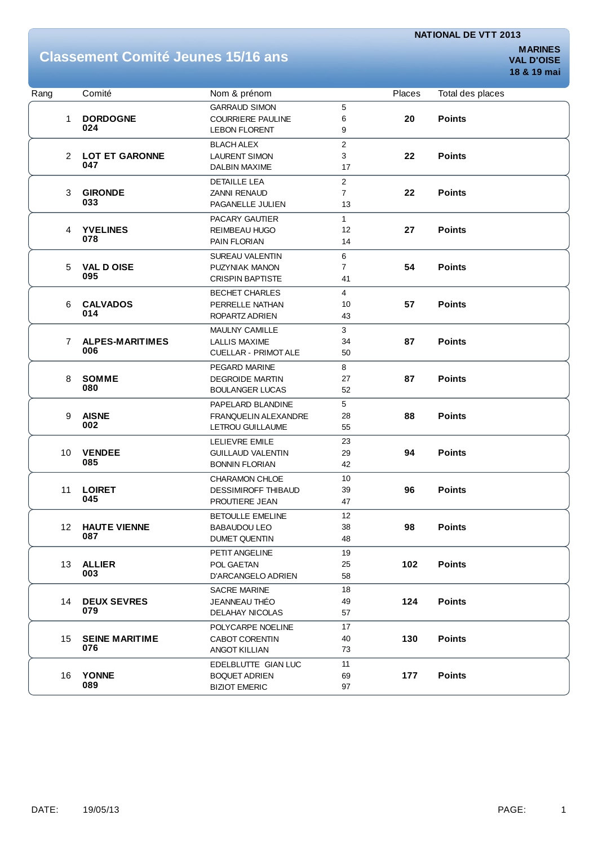### **Classement Comité Jeunes 15/16 ans**

| Rang            |                | Comité                 | Nom & prénom                |                         | Places | Total des places |
|-----------------|----------------|------------------------|-----------------------------|-------------------------|--------|------------------|
|                 |                |                        | <b>GARRAUD SIMON</b>        | 5                       |        |                  |
|                 | 1              | <b>DORDOGNE</b>        | <b>COURRIERE PAULINE</b>    | 6                       | 20     | <b>Points</b>    |
|                 |                | 024                    | <b>LEBON FLORENT</b>        | 9                       |        |                  |
|                 |                |                        | <b>BLACH ALEX</b>           | 2                       |        |                  |
|                 | $\overline{2}$ | <b>LOT ET GARONNE</b>  | <b>LAURENT SIMON</b>        | 3                       | 22     | <b>Points</b>    |
|                 |                | 047                    | DALBIN MAXIME               | 17                      |        |                  |
|                 |                |                        | <b>DETAILLE LEA</b>         | $\overline{\mathbf{c}}$ |        |                  |
|                 | 3              | <b>GIRONDE</b>         | <b>ZANNI RENAUD</b>         | 7                       | 22     | <b>Points</b>    |
|                 |                | 033                    | PAGANELLE JULIEN            | 13                      |        |                  |
|                 |                |                        | PACARY GAUTIER              | $\mathbf{1}$            |        |                  |
|                 | 4              | <b>YVELINES</b>        | REIMBEAU HUGO               | 12                      | 27     | <b>Points</b>    |
|                 |                | 078                    | PAIN FLORIAN                | 14                      |        |                  |
|                 |                |                        | <b>SUREAU VALENTIN</b>      | 6                       |        |                  |
|                 | 5              | <b>VAL D OISE</b>      | PUZYNIAK MANON              | $\overline{7}$          | 54     | <b>Points</b>    |
|                 |                | 095                    | <b>CRISPIN BAPTISTE</b>     | 41                      |        |                  |
|                 |                |                        | <b>BECHET CHARLES</b>       | $\overline{4}$          |        |                  |
|                 | 6              | <b>CALVADOS</b>        | PERRELLE NATHAN             | 10                      | 57     | <b>Points</b>    |
|                 |                | 014                    | ROPARTZ ADRIEN              | 43                      |        |                  |
|                 |                |                        | <b>MAULNY CAMILLE</b>       | 3                       |        |                  |
|                 | 7              | <b>ALPES-MARITIMES</b> | LALLIS MAXIME               | 34                      | 87     | <b>Points</b>    |
|                 |                | 006                    | <b>CUELLAR - PRIMOT ALE</b> | 50                      |        |                  |
|                 |                |                        | PEGARD MARINE               | 8                       |        |                  |
|                 | 8              | <b>SOMME</b>           | <b>DEGROIDE MARTIN</b>      | 27                      | 87     | <b>Points</b>    |
|                 |                | 080                    | <b>BOULANGER LUCAS</b>      | 52                      |        |                  |
|                 |                |                        | PAPELARD BLANDINE           | 5                       |        |                  |
| 9               |                | <b>AISNE</b>           | <b>FRANQUELIN ALEXANDRE</b> | 28                      | 88     | <b>Points</b>    |
|                 |                | 002                    | LETROU GUILLAUME            | 55                      |        |                  |
|                 |                |                        | <b>LELIEVRE EMILE</b>       | 23                      |        |                  |
| 10 <sup>1</sup> |                | <b>VENDEE</b>          | <b>GUILLAUD VALENTIN</b>    | 29                      | 94     | <b>Points</b>    |
|                 |                | 085                    | <b>BONNIN FLORIAN</b>       | 42                      |        |                  |
|                 |                |                        | CHARAMON CHLOE              | 10                      |        |                  |
| 11              |                | <b>LOIRET</b>          | <b>DESSIMIROFF THIBAUD</b>  | 39                      | 96     | <b>Points</b>    |
|                 |                | 045                    | PROUTIERE JEAN              | 47                      |        |                  |
|                 |                |                        | <b>BETOULLE EMELINE</b>     | 12                      |        |                  |
| 12 <sup>2</sup> |                | <b>HAUTE VIENNE</b>    | <b>BABAUDOU LEO</b>         | 38                      | 98     | <b>Points</b>    |
|                 |                | 087                    | <b>DUMET QUENTIN</b>        | 48                      |        |                  |
|                 |                |                        | PETIT ANGELINE              | 19                      |        |                  |
| 13              |                | <b>ALLIER</b>          | POL GAETAN                  | 25                      | 102    | <b>Points</b>    |
|                 |                | 003                    | D'ARCANGELO ADRIEN          | 58                      |        |                  |
|                 |                |                        | SACRE MARINE                | 18                      |        |                  |
| 14              |                | <b>DEUX SEVRES</b>     | JEANNEAU THÉO               | 49                      | 124    | <b>Points</b>    |
|                 |                | 079                    | <b>DELAHAY NICOLAS</b>      | 57                      |        |                  |
|                 |                |                        | POLYCARPE NOELINE           | 17                      |        |                  |
| 15              |                | <b>SEINE MARITIME</b>  | CABOT CORENTIN              | 40                      | 130    | <b>Points</b>    |
|                 |                | 076                    | <b>ANGOT KILLIAN</b>        | 73                      |        |                  |
|                 |                |                        | EDELBLUTTE GIAN LUC         | 11                      |        |                  |
|                 | 16             | <b>YONNE</b>           | <b>BOQUET ADRIEN</b>        | 69                      | 177    | <b>Points</b>    |
|                 |                | 089                    | <b>BIZIOT EMERIC</b>        | 97                      |        |                  |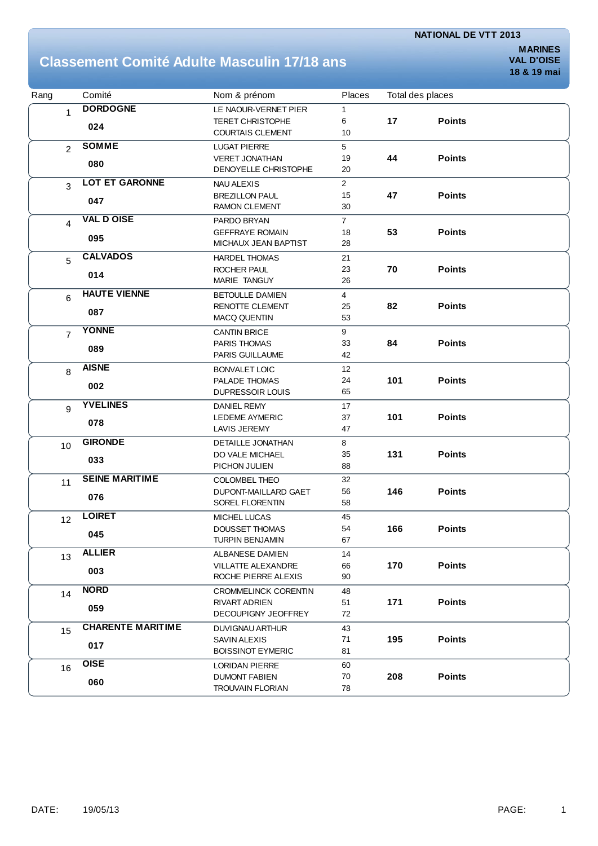### **Classement Comité Adulte Masculin 17/18 ans**

**MARINES 18 & 19 mai**

| Rang           | Comité                   | Nom & prénom                | Places         |     | Total des places |  |
|----------------|--------------------------|-----------------------------|----------------|-----|------------------|--|
| 1              | <b>DORDOGNE</b>          | LE NAOUR-VERNET PIER        | 1              |     |                  |  |
|                |                          | <b>TERET CHRISTOPHE</b>     | 6              | 17  | <b>Points</b>    |  |
|                | 024                      | <b>COURTAIS CLEMENT</b>     | 10             |     |                  |  |
| $\overline{2}$ | <b>SOMME</b>             | <b>LUGAT PIERRE</b>         | 5              |     |                  |  |
|                | 080                      | <b>VERET JONATHAN</b>       | 19             | 44  | <b>Points</b>    |  |
|                |                          | DENOYELLE CHRISTOPHE        | 20             |     |                  |  |
| 3              | <b>LOT ET GARONNE</b>    | <b>NAU ALEXIS</b>           | $\overline{2}$ |     |                  |  |
|                |                          | <b>BREZILLON PAUL</b>       | 15             | 47  | <b>Points</b>    |  |
|                | 047                      | <b>RAMON CLEMENT</b>        | 30             |     |                  |  |
| 4              | <b>VAL D OISE</b>        | PARDO BRYAN                 | $\overline{7}$ |     |                  |  |
|                |                          | <b>GEFFRAYE ROMAIN</b>      | 18             | 53  | <b>Points</b>    |  |
|                | 095                      | MICHAUX JEAN BAPTIST        | 28             |     |                  |  |
| 5              | <b>CALVADOS</b>          | <b>HARDEL THOMAS</b>        | 21             |     |                  |  |
|                |                          | <b>ROCHER PAUL</b>          | 23             | 70  | <b>Points</b>    |  |
|                | 014                      | MARIE TANGUY                | 26             |     |                  |  |
| 6              | <b>HAUTE VIENNE</b>      | <b>BETOULLE DAMIEN</b>      | $\overline{4}$ |     |                  |  |
|                |                          | RENOTTE CLEMENT             | 25             | 82  | <b>Points</b>    |  |
|                | 087                      | <b>MACQ QUENTIN</b>         | 53             |     |                  |  |
| $\overline{7}$ | <b>YONNE</b>             | <b>CANTIN BRICE</b>         | 9              |     |                  |  |
|                |                          | PARIS THOMAS                | 33             | 84  | <b>Points</b>    |  |
|                | 089                      | PARIS GUILLAUME             | 42             |     |                  |  |
| 8              | <b>AISNE</b>             | <b>BONVALET LOIC</b>        | 12             |     |                  |  |
|                |                          | PALADE THOMAS               | 24             | 101 | <b>Points</b>    |  |
|                | 002                      | DUPRESSOIR LOUIS            | 65             |     |                  |  |
| 9              | <b>YVELINES</b>          | <b>DANIEL REMY</b>          | 17             |     |                  |  |
|                |                          | <b>LEDEME AYMERIC</b>       | 37             | 101 | <b>Points</b>    |  |
|                | 078                      | <b>LAVIS JEREMY</b>         | 47             |     |                  |  |
| 10             | <b>GIRONDE</b>           | <b>DETAILLE JONATHAN</b>    | 8              |     |                  |  |
|                | 033                      | DO VALE MICHAEL             | 35             | 131 | <b>Points</b>    |  |
|                |                          | PICHON JULIEN               | 88             |     |                  |  |
| 11             | <b>SEINE MARITIME</b>    | COLOMBEL THEO               | 32             |     |                  |  |
|                | 076                      | DUPONT-MAILLARD GAET        | 56             | 146 | <b>Points</b>    |  |
|                |                          | SOREL FLORENTIN             | 58             |     |                  |  |
| 12             | <b>LOIRET</b>            | MICHEL LUCAS                | 45             |     |                  |  |
|                | 045                      | <b>DOUSSET THOMAS</b>       | 54             | 166 | <b>Points</b>    |  |
|                |                          | TURPIN BENJAMIN             | 67             |     |                  |  |
| 13             | <b>ALLIER</b>            | <b>ALBANESE DAMIEN</b>      | 14             |     |                  |  |
|                | 003                      | <b>VILLATTE ALEXANDRE</b>   | 66             | 170 | <b>Points</b>    |  |
|                |                          | ROCHE PIERRE ALEXIS         | 90             |     |                  |  |
| 14             | <b>NORD</b>              | <b>CROMMELINCK CORENTIN</b> | 48             |     |                  |  |
|                | 059                      | RIVART ADRIEN               | 51             | 171 | <b>Points</b>    |  |
|                |                          | DECOUPIGNY JEOFFREY         | 72             |     |                  |  |
| 15             | <b>CHARENTE MARITIME</b> | DUVIGNAU ARTHUR             | 43             |     |                  |  |
|                | 017                      | <b>SAVIN ALEXIS</b>         | 71             | 195 | <b>Points</b>    |  |
|                |                          | <b>BOISSINOT EYMERIC</b>    | 81             |     |                  |  |
| 16             | <b>OISE</b>              | <b>LORIDAN PIERRE</b>       | 60             |     |                  |  |
|                |                          | <b>DUMONT FABIEN</b>        | 70             | 208 | <b>Points</b>    |  |
|                | 060                      | <b>TROUVAIN FLORIAN</b>     | 78             |     |                  |  |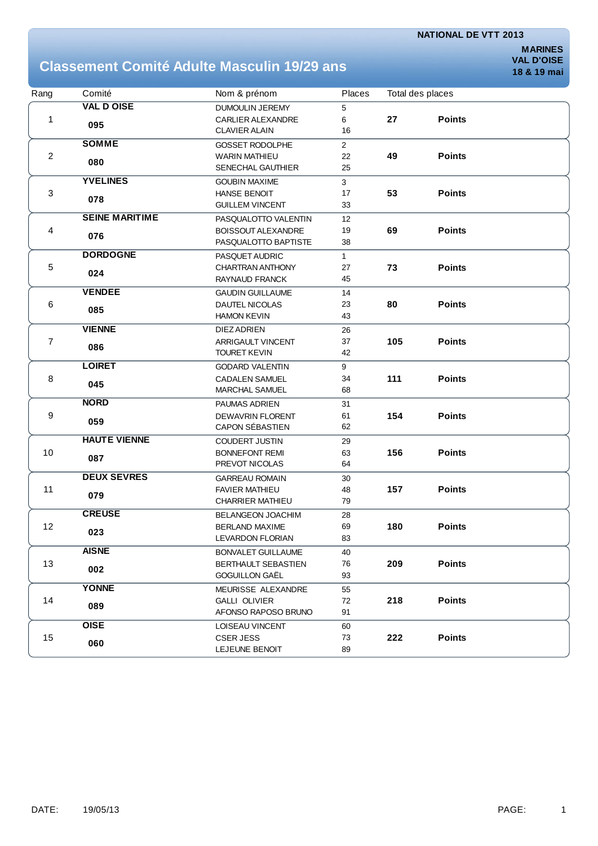### **Classement Comité Adulte Masculin 19/29 ans**

| Rang           | Comité                | Nom & prénom               | Places         | Total des places |               |  |
|----------------|-----------------------|----------------------------|----------------|------------------|---------------|--|
|                | <b>VAL D OISE</b>     | DUMOULIN JEREMY            | 5              |                  |               |  |
| 1              | 095                   | <b>CARLIER ALEXANDRE</b>   | 6              | 27               | <b>Points</b> |  |
|                |                       | <b>CLAVIER ALAIN</b>       | 16             |                  |               |  |
|                | <b>SOMME</b>          | <b>GOSSET RODOLPHE</b>     | $\overline{2}$ |                  |               |  |
| $\mathbf{2}$   |                       | <b>WARIN MATHIEU</b>       | 22             | 49               | <b>Points</b> |  |
|                | 080                   | SENECHAL GAUTHIER          | 25             |                  |               |  |
|                | <b>YVELINES</b>       | <b>GOUBIN MAXIME</b>       | 3              |                  |               |  |
| 3              |                       | HANSE BENOIT               | 17             | 53               | <b>Points</b> |  |
|                | 078                   | <b>GUILLEM VINCENT</b>     | 33             |                  |               |  |
|                | <b>SEINE MARITIME</b> | PASQUALOTTO VALENTIN       | 12             |                  |               |  |
| 4              | 076                   | <b>BOISSOUT ALEXANDRE</b>  | 19             | 69               | <b>Points</b> |  |
|                |                       | PASQUALOTTO BAPTISTE       | 38             |                  |               |  |
|                | <b>DORDOGNE</b>       | PASQUET AUDRIC             | $\mathbf{1}$   |                  |               |  |
| $\,$ 5 $\,$    |                       | CHARTRAN ANTHONY           | 27             | 73               | <b>Points</b> |  |
|                | 024                   | RAYNAUD FRANCK             | 45             |                  |               |  |
|                | <b>VENDEE</b>         | <b>GAUDIN GUILLAUME</b>    | 14             |                  |               |  |
| 6              |                       | DAUTEL NICOLAS             | 23             | 80               | <b>Points</b> |  |
|                | 085                   | <b>HAMON KEVIN</b>         | 43             |                  |               |  |
|                | <b>VIENNE</b>         | DIEZ ADRIEN                | 26             |                  |               |  |
| $\overline{7}$ |                       | <b>ARRIGAULT VINCENT</b>   | 37             | 105              | <b>Points</b> |  |
|                | 086                   | <b>TOURET KEVIN</b>        | 42             |                  |               |  |
|                | <b>LOIRET</b>         | <b>GODARD VALENTIN</b>     | 9              |                  |               |  |
| 8              |                       | <b>CADALEN SAMUEL</b>      | 34             | 111              | <b>Points</b> |  |
|                | 045                   | <b>MARCHAL SAMUEL</b>      | 68             |                  |               |  |
|                | <b>NORD</b>           | PAUMAS ADRIEN              | 31             |                  |               |  |
| 9              |                       | <b>DEWAVRIN FLORENT</b>    | 61             | 154              | <b>Points</b> |  |
|                | 059                   | <b>CAPON SÉBASTIEN</b>     | 62             |                  |               |  |
|                | <b>HAUTE VIENNE</b>   | COUDERT JUSTIN             | 29             |                  |               |  |
| 10             |                       | <b>BONNEFONT REMI</b>      | 63             | 156              | <b>Points</b> |  |
|                | 087                   | PREVOT NICOLAS             | 64             |                  |               |  |
|                | <b>DEUX SEVRES</b>    | <b>GARREAU ROMAIN</b>      | 30             |                  |               |  |
| 11             |                       | <b>FAVIER MATHIEU</b>      | 48             | 157              | <b>Points</b> |  |
|                | 079                   | <b>CHARRIER MATHIEU</b>    | 79             |                  |               |  |
|                | <b>CREUSE</b>         | <b>BELANGEON JOACHIM</b>   | 28             |                  |               |  |
| 12             |                       | <b>BERLAND MAXIME</b>      | 69             | 180              | <b>Points</b> |  |
|                | 023                   | LEVARDON FLORIAN           | 83             |                  |               |  |
|                | <b>AISNE</b>          | <b>BONVALET GUILLAUME</b>  | 40             |                  |               |  |
| 13             |                       | <b>BERTHAULT SEBASTIEN</b> | 76             | 209              | <b>Points</b> |  |
|                | 002                   | GOGUILLON GAËL             | 93             |                  |               |  |
|                | <b>YONNE</b>          | MEURISSE ALEXANDRE         | 55             |                  |               |  |
| 14             | 089                   | <b>GALLI OLIVIER</b>       | 72             | 218              | <b>Points</b> |  |
|                |                       | AFONSO RAPOSO BRUNO        | 91             |                  |               |  |
|                | <b>OISE</b>           | LOISEAU VINCENT            | 60             |                  |               |  |
| 15             | 060                   | <b>CSER JESS</b>           | 73             | 222              | <b>Points</b> |  |
|                |                       | LEJEUNE BENOIT             | 89             |                  |               |  |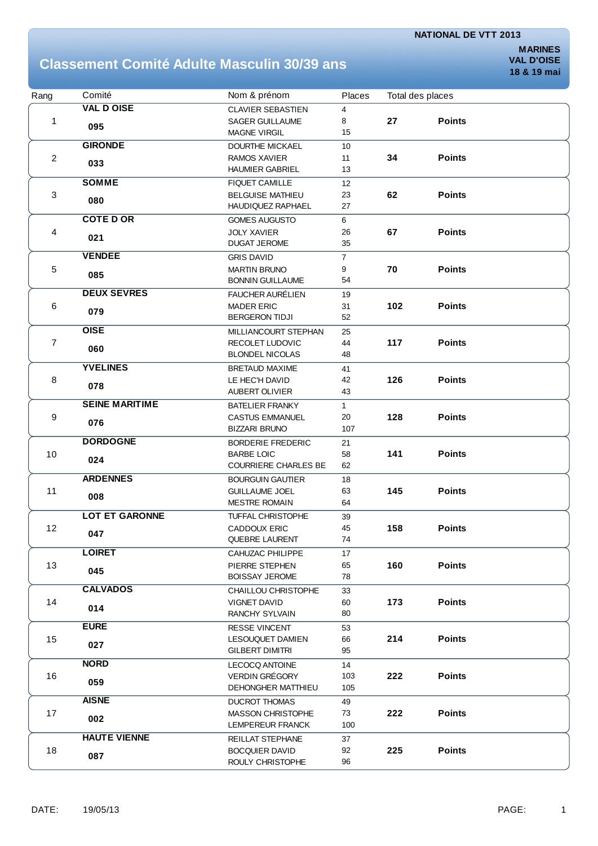#### **Classement Comité Adulte Masculin 30/39 ans**

| Rang           | Comité                | Nom & prénom                                     | <b>Places</b>  | Total des places |               |  |
|----------------|-----------------------|--------------------------------------------------|----------------|------------------|---------------|--|
|                | <b>VAL D OISE</b>     | <b>CLAVIER SEBASTIEN</b>                         | 4              |                  |               |  |
| 1              | 095                   | <b>SAGER GUILLAUME</b>                           | 8              | 27               | <b>Points</b> |  |
|                |                       | <b>MAGNE VIRGIL</b>                              | 15             |                  |               |  |
|                | <b>GIRONDE</b>        | <b>DOURTHE MICKAEL</b>                           | 10             |                  |               |  |
| $\overline{c}$ | 033                   | RAMOS XAVIER                                     | 11             | 34               | <b>Points</b> |  |
|                |                       | <b>HAUMIER GABRIEL</b>                           | 13             |                  |               |  |
|                | <b>SOMME</b>          | <b>FIQUET CAMILLE</b>                            | 12             |                  |               |  |
| 3              | 080                   | <b>BELGUISE MATHIEU</b>                          | 23             | 62               | <b>Points</b> |  |
|                |                       | <b>HAUDIQUEZ RAPHAEL</b>                         | 27             |                  |               |  |
|                | <b>COTED OR</b>       | <b>GOMES AUGUSTO</b>                             | 6              |                  |               |  |
| 4              | 021                   | <b>JOLY XAVIER</b>                               | 26             | 67               | <b>Points</b> |  |
|                |                       | <b>DUGAT JEROME</b>                              | 35             |                  |               |  |
|                | <b>VENDEE</b>         | <b>GRIS DAVID</b>                                | $\overline{7}$ |                  |               |  |
| 5              | 085                   | <b>MARTIN BRUNO</b>                              | 9              | 70               | <b>Points</b> |  |
|                |                       | <b>BONNIN GUILLAUME</b>                          | 54             |                  |               |  |
|                | <b>DEUX SEVRES</b>    | <b>FAUCHER AURÉLIEN</b>                          | 19             |                  |               |  |
| 6              | 079                   | <b>MADER ERIC</b>                                | 31             | 102              | <b>Points</b> |  |
|                |                       | <b>BERGERON TIDJI</b>                            | 52             |                  |               |  |
|                | <b>OISE</b>           | MILLIANCOURT STEPHAN                             | 25             |                  |               |  |
| 7              | 060                   | RECOLET LUDOVIC                                  | 44             | 117              | <b>Points</b> |  |
|                |                       | <b>BLONDEL NICOLAS</b>                           | 48             |                  |               |  |
|                | <b>YVELINES</b>       | <b>BRETAUD MAXIME</b>                            | 41             |                  |               |  |
| 8              | 078                   | LE HEC'H DAVID                                   | 42             | 126              | <b>Points</b> |  |
|                |                       | AUBERT OLIVIER                                   | 43             |                  |               |  |
| 9              | <b>SEINE MARITIME</b> | <b>BATELIER FRANKY</b>                           | 1              |                  |               |  |
|                | 076                   | <b>CASTUS EMMANUEL</b>                           | 20             | 128              | <b>Points</b> |  |
|                | <b>DORDOGNE</b>       | <b>BIZZARI BRUNO</b>                             | 107            |                  |               |  |
|                |                       | <b>BORDERIE FREDERIC</b>                         | 21             | 141              | <b>Points</b> |  |
| $10$           | 024                   | <b>BARBE LOIC</b><br><b>COURRIERE CHARLES BE</b> | 58<br>62       |                  |               |  |
|                | <b>ARDENNES</b>       |                                                  |                |                  |               |  |
| 11             |                       | <b>BOURGUIN GAUTIER</b><br><b>GUILLAUME JOEL</b> | 18<br>63       | 145              | <b>Points</b> |  |
|                | 008                   | <b>MESTRE ROMAIN</b>                             | 64             |                  |               |  |
|                | <b>LOT ET GARONNE</b> | <b>TUFFAL CHRISTOPHE</b>                         | 39             |                  |               |  |
| 12             |                       | <b>CADDOUX ERIC</b>                              | 45             | 158              | <b>Points</b> |  |
|                | 047                   | QUEBRE LAURENT                                   | 74             |                  |               |  |
|                | <b>LOIRET</b>         | CAHUZAC PHILIPPE                                 | 17             |                  |               |  |
| 13             |                       | PIERRE STEPHEN                                   | 65             | 160              | <b>Points</b> |  |
|                | 045                   | <b>BOISSAY JEROME</b>                            | 78             |                  |               |  |
|                | <b>CALVADOS</b>       | <b>CHAILLOU CHRISTOPHE</b>                       | 33             |                  |               |  |
| 14             |                       | VIGNET DAVID                                     | 60             | 173              | <b>Points</b> |  |
|                | 014                   | <b>RANCHY SYLVAIN</b>                            | 80             |                  |               |  |
|                | <b>EURE</b>           | <b>RESSE VINCENT</b>                             | 53             |                  |               |  |
| 15             | 027                   | LESOUQUET DAMIEN                                 | 66             | 214              | <b>Points</b> |  |
|                |                       | <b>GILBERT DIMITRI</b>                           | 95             |                  |               |  |
|                | <b>NORD</b>           | <b>LECOCQ ANTOINE</b>                            | 14             |                  |               |  |
| 16             | 059                   | <b>VERDIN GRÉGORY</b>                            | 103            | 222              | <b>Points</b> |  |
|                |                       | DEHONGHER MATTHIEU                               | 105            |                  |               |  |
|                | <b>AISNE</b>          | <b>DUCROT THOMAS</b>                             | 49             |                  |               |  |
| 17             | 002                   | <b>MASSON CHRISTOPHE</b>                         | 73             | 222              | <b>Points</b> |  |
|                |                       | LEMPEREUR FRANCK                                 | 100            |                  |               |  |
|                | <b>HAUTE VIENNE</b>   | REILLAT STEPHANE                                 | 37             |                  |               |  |
| 18             | 087                   | <b>BOCQUIER DAVID</b>                            | 92             | 225              | <b>Points</b> |  |
|                |                       | ROULY CHRISTOPHE                                 | 96             |                  |               |  |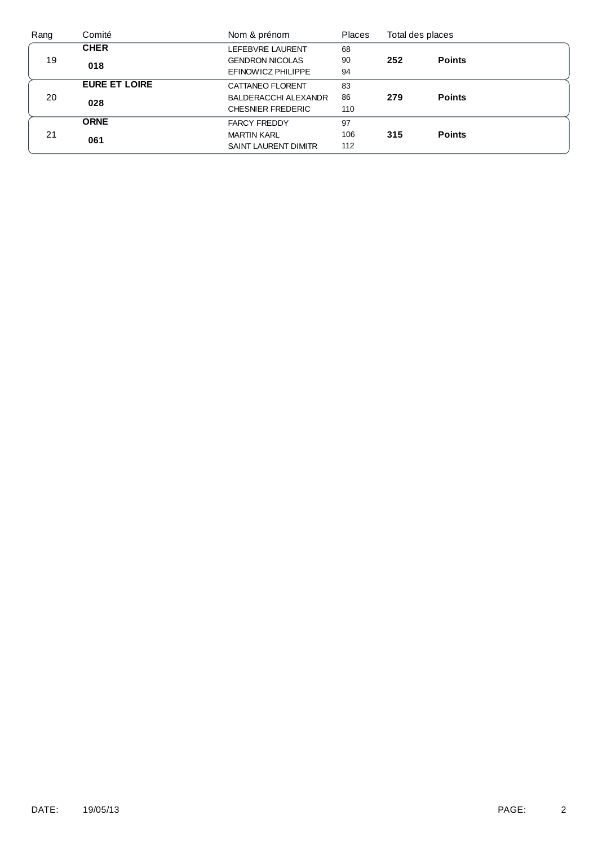| Rang | Comité               | Nom & prénom                | <b>Places</b> |     | Total des places |  |
|------|----------------------|-----------------------------|---------------|-----|------------------|--|
|      | <b>CHER</b>          | LEFEBVRE LAURENT            | 68            |     |                  |  |
| 19   | 018                  | <b>GENDRON NICOLAS</b>      | 90            | 252 | <b>Points</b>    |  |
|      |                      | EFINOWICZ PHILIPPE          | 94            |     |                  |  |
|      | <b>EURE ET LOIRE</b> | CATTANEO FLORENT            | 83            |     |                  |  |
| 20   | 028                  | <b>BALDERACCHI ALEXANDR</b> | 86            | 279 | <b>Points</b>    |  |
|      |                      | <b>CHESNIER FREDERIC</b>    | 110           |     |                  |  |
|      | <b>ORNE</b>          | <b>FARCY FREDDY</b>         | 97            |     |                  |  |
| 21   | 061                  | <b>MARTIN KARL</b>          | 106           | 315 | <b>Points</b>    |  |
|      |                      | <b>SAINT LAURENT DIMITR</b> | 112           |     |                  |  |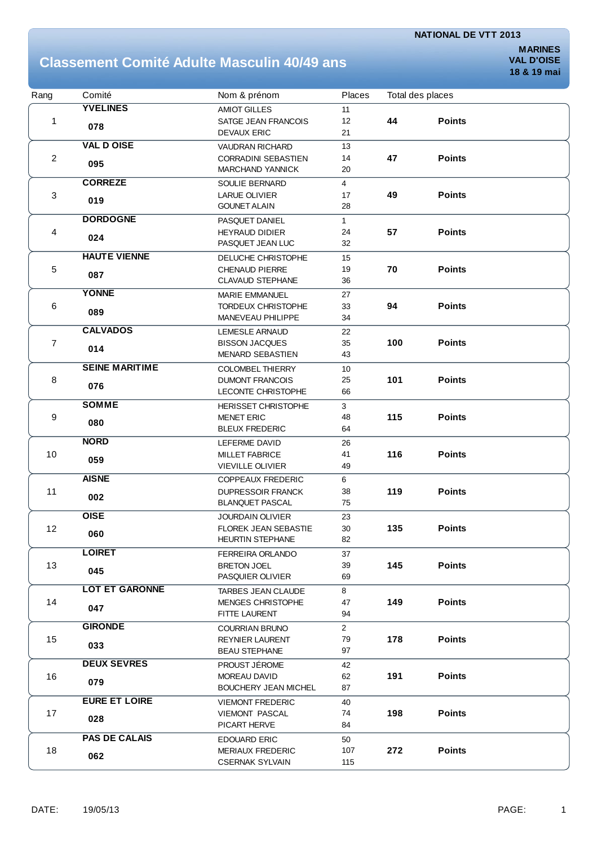### **Classement Comité Adulte Masculin 40/49 ans**

| Rang           | Comité                | Nom & prénom                | Places         | Total des places |               |  |
|----------------|-----------------------|-----------------------------|----------------|------------------|---------------|--|
|                | <b>YVELINES</b>       | <b>AMIOT GILLES</b>         | 11             |                  |               |  |
| 1              |                       | SATGE JEAN FRANCOIS         | 12             | 44               | <b>Points</b> |  |
|                | 078                   | <b>DEVAUX ERIC</b>          | 21             |                  |               |  |
|                | <b>VAL D OISE</b>     | <b>VAUDRAN RICHARD</b>      | 13             |                  |               |  |
| $\overline{c}$ |                       | <b>CORRADINI SEBASTIEN</b>  | 14             | 47               | <b>Points</b> |  |
|                | 095                   | <b>MARCHAND YANNICK</b>     | 20             |                  |               |  |
|                | <b>CORREZE</b>        | SOULIE BERNARD              | $\overline{4}$ |                  |               |  |
| 3              |                       | <b>LARUE OLIVIER</b>        | 17             | 49               | <b>Points</b> |  |
|                | 019                   | <b>GOUNET ALAIN</b>         | 28             |                  |               |  |
|                | <b>DORDOGNE</b>       | PASQUET DANIEL              | $\mathbf{1}$   |                  |               |  |
| 4              |                       | <b>HEYRAUD DIDIER</b>       | 24             | 57               | <b>Points</b> |  |
|                | 024                   | PASQUET JEAN LUC            | 32             |                  |               |  |
|                | <b>HAUTE VIENNE</b>   | DELUCHE CHRISTOPHE          | 15             |                  |               |  |
| 5              |                       | <b>CHENAUD PIERRE</b>       | 19             | 70               | <b>Points</b> |  |
|                | 087                   | <b>CLAVAUD STEPHANE</b>     | 36             |                  |               |  |
|                | <b>YONNE</b>          | <b>MARIE EMMANUEL</b>       | 27             |                  |               |  |
| 6              |                       | <b>TORDEUX CHRISTOPHE</b>   | 33             | 94               | <b>Points</b> |  |
|                | 089                   | MANEVEAU PHILIPPE           | 34             |                  |               |  |
|                | <b>CALVADOS</b>       | <b>LEMESLE ARNAUD</b>       | 22             |                  |               |  |
| $\overline{7}$ |                       | <b>BISSON JACQUES</b>       | 35             | 100              | <b>Points</b> |  |
|                | 014                   | <b>MENARD SEBASTIEN</b>     | 43             |                  |               |  |
|                | <b>SEINE MARITIME</b> | <b>COLOMBEL THIERRY</b>     | 10             |                  |               |  |
| 8              |                       | <b>DUMONT FRANCOIS</b>      | 25             | 101              | <b>Points</b> |  |
|                | 076                   | LECONTE CHRISTOPHE          | 66             |                  |               |  |
|                | <b>SOMME</b>          | <b>HERISSET CHRISTOPHE</b>  | 3              |                  |               |  |
| 9              |                       | <b>MENET ERIC</b>           | 48             | 115              | <b>Points</b> |  |
|                | 080                   | <b>BLEUX FREDERIC</b>       | 64             |                  |               |  |
|                | <b>NORD</b>           | LEFERME DAVID               | 26             |                  |               |  |
| 10             |                       | <b>MILLET FABRICE</b>       | 41             | 116              | <b>Points</b> |  |
|                | 059                   | <b>VIEVILLE OLIVIER</b>     | 49             |                  |               |  |
|                | <b>AISNE</b>          | <b>COPPEAUX FREDERIC</b>    | 6              |                  |               |  |
| 11             |                       | <b>DUPRESSOIR FRANCK</b>    | 38             | 119              | <b>Points</b> |  |
|                | 002                   | <b>BLANQUET PASCAL</b>      | 75             |                  |               |  |
|                | <b>OISE</b>           | <b>JOURDAIN OLIVIER</b>     | 23             |                  |               |  |
| 12             |                       | <b>FLOREK JEAN SEBASTIE</b> | 30             | 135              | <b>Points</b> |  |
|                | 060                   | HEURTIN STEPHANE            | 82             |                  |               |  |
|                | <b>LOIRET</b>         | FERREIRA ORLANDO            | 37             |                  |               |  |
| 13             |                       | <b>BRETON JOEL</b>          | 39             | 145              | <b>Points</b> |  |
|                | 045                   | PASQUIER OLIVIER            | 69             |                  |               |  |
|                | <b>LOT ET GARONNE</b> | <b>TARBES JEAN CLAUDE</b>   | 8              |                  |               |  |
| 14             |                       | <b>MENGES CHRISTOPHE</b>    | 47             | 149              | <b>Points</b> |  |
|                | 047                   | FITTE LAURENT               | 94             |                  |               |  |
|                | <b>GIRONDE</b>        | <b>COURRIAN BRUNO</b>       | $\overline{2}$ |                  |               |  |
| 15             | 033                   | <b>REYNIER LAURENT</b>      | 79             | 178              | <b>Points</b> |  |
|                |                       | <b>BEAU STEPHANE</b>        | 97             |                  |               |  |
|                | <b>DEUX SEVRES</b>    | PROUST JÉROME               | 42             |                  |               |  |
| 16             | 079                   | MOREAU DAVID                | 62             | 191              | <b>Points</b> |  |
|                |                       | <b>BOUCHERY JEAN MICHEL</b> | 87             |                  |               |  |
|                | <b>EURE ET LOIRE</b>  | <b>VIEMONT FREDERIC</b>     | 40             |                  |               |  |
| 17             | 028                   | <b>VIEMONT PASCAL</b>       | 74             | 198              | <b>Points</b> |  |
|                |                       | PICART HERVE                | 84             |                  |               |  |
|                | <b>PAS DE CALAIS</b>  | <b>EDOUARD ERIC</b>         | 50             |                  |               |  |
| 18             | 062                   | <b>MERIAUX FREDERIC</b>     | 107            | 272              | <b>Points</b> |  |
|                |                       | <b>CSERNAK SYLVAIN</b>      | 115            |                  |               |  |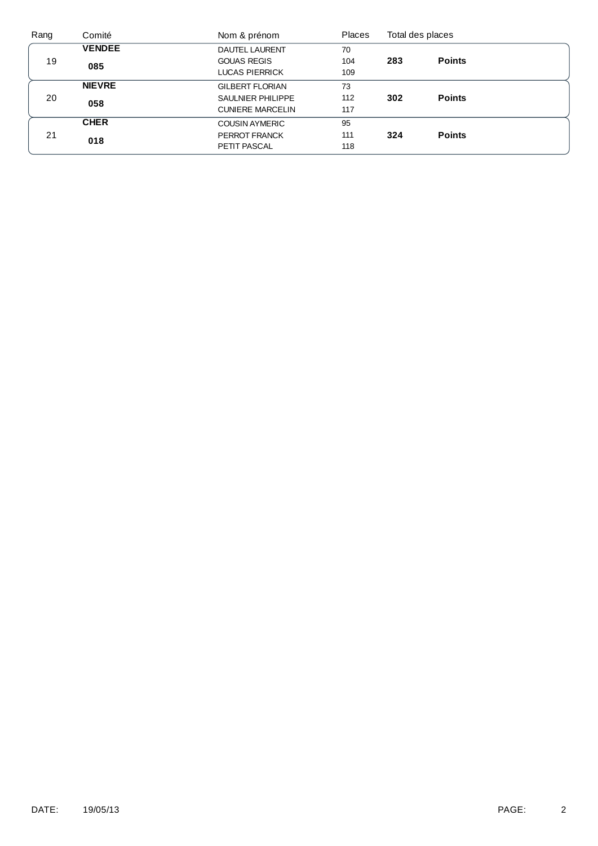| Rang | Comité        | Nom & prénom             | <b>Places</b> |     | Total des places |  |
|------|---------------|--------------------------|---------------|-----|------------------|--|
|      | <b>VENDEE</b> | <b>DAUTEL LAURENT</b>    | 70            |     |                  |  |
| 19   | 085           | <b>GOUAS REGIS</b>       | 104           | 283 | <b>Points</b>    |  |
|      |               | <b>LUCAS PIERRICK</b>    | 109           |     |                  |  |
|      | <b>NIEVRE</b> | <b>GILBERT FLORIAN</b>   | 73            |     |                  |  |
| 20   | 058           | <b>SAULNIER PHILIPPE</b> | 112           | 302 | <b>Points</b>    |  |
|      |               | <b>CUNIERE MARCELIN</b>  | 117           |     |                  |  |
|      | <b>CHER</b>   | <b>COUSIN AYMERIC</b>    | 95            |     |                  |  |
| 21   |               | PERROT FRANCK            | 111           | 324 | <b>Points</b>    |  |
|      | 018           | PETIT PASCAL             | 118           |     |                  |  |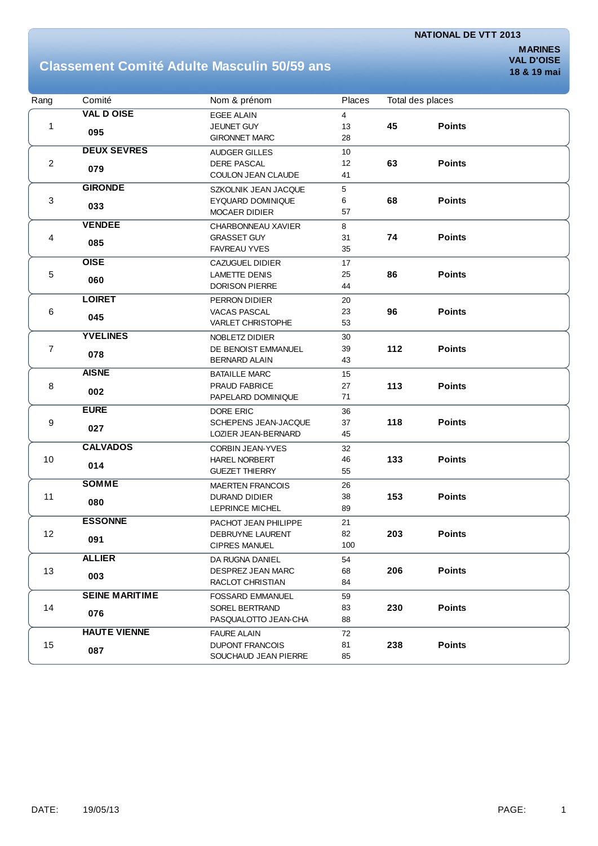#### **Classement Comité Adulte Masculin 50/59 ans**

| Rang           | Comité                | Nom & prénom             | Places |     | Total des places |  |
|----------------|-----------------------|--------------------------|--------|-----|------------------|--|
|                | <b>VAL D OISE</b>     | <b>EGEE ALAIN</b>        | 4      |     |                  |  |
| 1              | 095                   | JEUNET GUY               | 13     | 45  | <b>Points</b>    |  |
|                |                       | <b>GIRONNET MARC</b>     | 28     |     |                  |  |
|                | <b>DEUX SEVRES</b>    | <b>AUDGER GILLES</b>     | 10     |     |                  |  |
| $\overline{2}$ | 079                   | <b>DERE PASCAL</b>       | 12     | 63  | <b>Points</b>    |  |
|                |                       | COULON JEAN CLAUDE       | 41     |     |                  |  |
|                | <b>GIRONDE</b>        | SZKOLNIK JEAN JACQUE     | 5      |     |                  |  |
| 3              | 033                   | EYQUARD DOMINIQUE        | 6      | 68  | <b>Points</b>    |  |
|                |                       | <b>MOCAER DIDIER</b>     | 57     |     |                  |  |
|                | <b>VENDEE</b>         | CHARBONNEAU XAVIER       | 8      |     |                  |  |
| $\overline{4}$ | 085                   | <b>GRASSET GUY</b>       | 31     | 74  | <b>Points</b>    |  |
|                |                       | <b>FAVREAU YVES</b>      | 35     |     |                  |  |
|                | <b>OISE</b>           | <b>CAZUGUEL DIDIER</b>   | 17     |     |                  |  |
| $\,$ 5 $\,$    | 060                   | <b>LAMETTE DENIS</b>     | 25     | 86  | <b>Points</b>    |  |
|                |                       | <b>DORISON PIERRE</b>    | 44     |     |                  |  |
|                | <b>LOIRET</b>         | PERRON DIDIER            | 20     |     |                  |  |
| 6              | 045                   | <b>VACAS PASCAL</b>      | 23     | 96  | <b>Points</b>    |  |
|                |                       | <b>VARLET CHRISTOPHE</b> | 53     |     |                  |  |
| $\overline{7}$ | <b>YVELINES</b>       | NOBLETZ DIDIER           | 30     |     |                  |  |
|                | 078                   | DE BENOIST EMMANUEL      | 39     | 112 | <b>Points</b>    |  |
|                |                       | <b>BERNARD ALAIN</b>     | 43     |     |                  |  |
|                | <b>AISNE</b>          | <b>BATAILLE MARC</b>     | 15     |     |                  |  |
| 8              | 002                   | PRAUD FABRICE            | 27     | 113 | <b>Points</b>    |  |
|                |                       | PAPELARD DOMINIQUE       | 71     |     |                  |  |
|                | <b>EURE</b>           | <b>DORE ERIC</b>         | 36     |     |                  |  |
| 9              | 027                   | SCHEPENS JEAN-JACQUE     | 37     | 118 | <b>Points</b>    |  |
|                |                       | LOZIER JEAN-BERNARD      | 45     |     |                  |  |
|                | <b>CALVADOS</b>       | <b>CORBIN JEAN-YVES</b>  | 32     |     |                  |  |
| 10             | 014                   | <b>HAREL NORBERT</b>     | 46     | 133 | <b>Points</b>    |  |
|                |                       | <b>GUEZET THIERRY</b>    | 55     |     |                  |  |
|                | <b>SOMME</b>          | <b>MAERTEN FRANCOIS</b>  | 26     |     |                  |  |
| 11             | 080                   | DURAND DIDIER            | 38     | 153 | <b>Points</b>    |  |
|                |                       | <b>LEPRINCE MICHEL</b>   | 89     |     |                  |  |
|                | <b>ESSONNE</b>        | PACHOT JEAN PHILIPPE     | 21     |     |                  |  |
| 12             | 091                   | DEBRUYNE LAURENT         | 82     | 203 | <b>Points</b>    |  |
|                |                       | <b>CIPRES MANUEL</b>     | 100    |     |                  |  |
|                | <b>ALLIER</b>         | DA RUGNA DANIEL          | 54     |     |                  |  |
| 13             | 003                   | <b>DESPREZ JEAN MARC</b> | 68     | 206 | <b>Points</b>    |  |
|                |                       | RACLOT CHRISTIAN         | 84     |     |                  |  |
|                | <b>SEINE MARITIME</b> | <b>FOSSARD EMMANUEL</b>  | 59     |     |                  |  |
| 14             | 076                   | SOREL BERTRAND           | 83     | 230 | <b>Points</b>    |  |
|                |                       | PASQUALOTTO JEAN-CHA     | 88     |     |                  |  |
|                | <b>HAUTE VIENNE</b>   | <b>FAURE ALAIN</b>       | 72     |     |                  |  |
| 15             | 087                   | <b>DUPONT FRANCOIS</b>   | 81     | 238 | <b>Points</b>    |  |
|                |                       | SOUCHAUD JEAN PIERRE     | 85     |     |                  |  |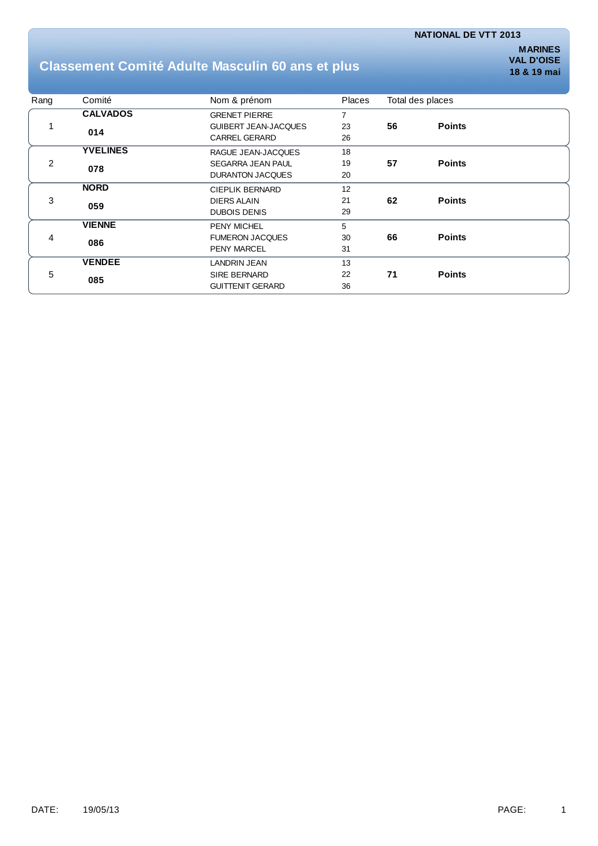## **Classement Comité Adulte Masculin 60 ans et plus**

| Rang | Comité          | Nom & prénom                | Places         | Total des places |               |
|------|-----------------|-----------------------------|----------------|------------------|---------------|
|      | <b>CALVADOS</b> | <b>GRENET PIERRE</b>        | $\overline{7}$ |                  |               |
|      | 014             | <b>GUIBERT JEAN-JACQUES</b> | 23             | 56               | <b>Points</b> |
|      |                 | <b>CARREL GERARD</b>        | 26             |                  |               |
|      | <b>YVELINES</b> | RAGUE JEAN-JACQUES          | 18             |                  |               |
| 2    | 078             | SEGARRA JEAN PAUL           | 19             | 57               | <b>Points</b> |
|      |                 | <b>DURANTON JACQUES</b>     | 20             |                  |               |
| 3    | <b>NORD</b>     | <b>CIEPLIK BERNARD</b>      | 12             |                  |               |
|      | 059             | <b>DIERS ALAIN</b>          | 21             | 62               | <b>Points</b> |
|      |                 | <b>DUBOIS DENIS</b>         | 29             |                  |               |
| 4    | <b>VIENNE</b>   | <b>PENY MICHEL</b>          | 5              |                  |               |
|      | 086             | <b>FUMERON JACQUES</b>      | 30             | 66               | <b>Points</b> |
|      |                 | <b>PENY MARCEL</b>          | 31             |                  |               |
| 5    | <b>VENDEE</b>   | <b>LANDRIN JEAN</b>         | 13             |                  |               |
|      | 085             | <b>SIRE BERNARD</b>         | 22             | 71               | <b>Points</b> |
|      |                 | <b>GUITTENIT GERARD</b>     | 36             |                  |               |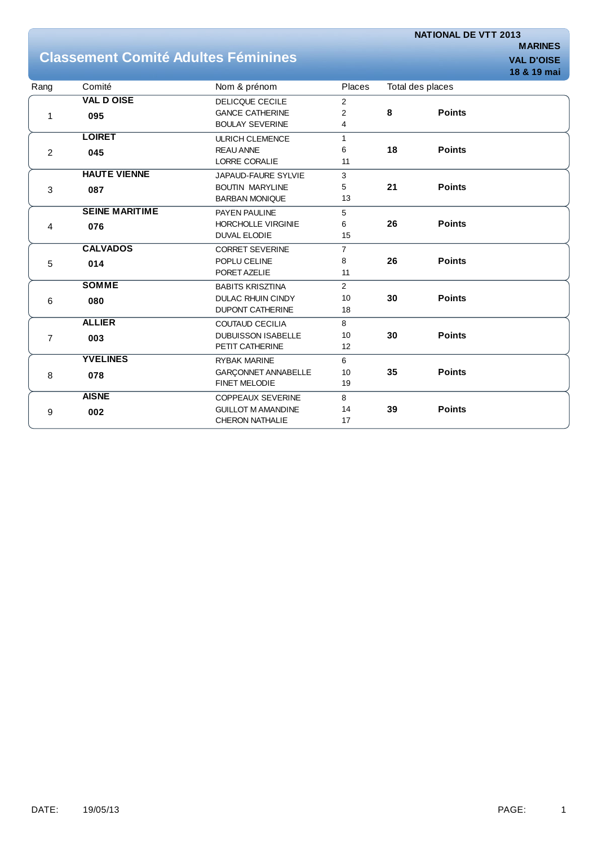## **Classement Comité Adultes Féminines VALL D'OISE**

|                |                       |                            |                |                  |               | 18 & 19 mai |
|----------------|-----------------------|----------------------------|----------------|------------------|---------------|-------------|
| Rang           | Comité                | Nom & prénom               | Places         | Total des places |               |             |
|                | <b>VAL D OISE</b>     | <b>DELICQUE CECILE</b>     | $\overline{2}$ |                  |               |             |
| 1              | 095                   | <b>GANCE CATHERINE</b>     | $\overline{2}$ | 8                | <b>Points</b> |             |
|                |                       | <b>BOULAY SEVERINE</b>     | 4              |                  |               |             |
|                | <b>LOIRET</b>         | <b>ULRICH CLEMENCE</b>     | $\mathbf{1}$   |                  |               |             |
| $\overline{2}$ | 045                   | <b>REAU ANNE</b>           | 6              | 18               | <b>Points</b> |             |
|                |                       | <b>LORRE CORALIE</b>       | 11             |                  |               |             |
|                | <b>HAUTE VIENNE</b>   | JAPAUD-FAURE SYLVIE        | 3              |                  |               |             |
| $\mathbf{3}$   | 087                   | <b>BOUTIN MARYLINE</b>     | 5              | 21               | <b>Points</b> |             |
|                |                       | <b>BARBAN MONIQUE</b>      | 13             |                  |               |             |
|                | <b>SEINE MARITIME</b> | PAYEN PAULINE              | 5              |                  |               |             |
| 4              | 076                   | <b>HORCHOLLE VIRGINIE</b>  | 6              | 26               | <b>Points</b> |             |
|                |                       | <b>DUVAL ELODIE</b>        | 15             |                  |               |             |
|                | <b>CALVADOS</b>       | <b>CORRET SEVERINE</b>     | $\overline{7}$ |                  |               |             |
| 5              | 014                   | POPLU CELINE               | 8              | 26               | <b>Points</b> |             |
|                |                       | PORET AZELIE               | 11             |                  |               |             |
|                | <b>SOMME</b>          | <b>BABITS KRISZTINA</b>    | 2              |                  |               |             |
| 6              | 080                   | <b>DULAC RHUIN CINDY</b>   | 10             | 30               | <b>Points</b> |             |
|                |                       | <b>DUPONT CATHERINE</b>    | 18             |                  |               |             |
| $\overline{7}$ | <b>ALLIER</b>         | <b>COUTAUD CECILIA</b>     | 8              |                  |               |             |
|                | 003                   | <b>DUBUISSON ISABELLE</b>  | 10             | 30               | <b>Points</b> |             |
|                |                       | PETIT CATHERINE            | 12             |                  |               |             |
|                | <b>YVELINES</b>       | <b>RYBAK MARINE</b>        | 6              |                  |               |             |
| $\,8\,$        | 078                   | <b>GARCONNET ANNABELLE</b> | 10             | 35               | <b>Points</b> |             |
|                |                       | FINET MELODIE              | 19             |                  |               |             |
|                | <b>AISNE</b>          | <b>COPPEAUX SEVERINE</b>   | 8              |                  |               |             |
| 9              | 002                   | <b>GUILLOT M AMANDINE</b>  | 14             | 39               | <b>Points</b> |             |
|                |                       | <b>CHERON NATHALIE</b>     | 17             |                  |               |             |
|                |                       |                            |                |                  |               |             |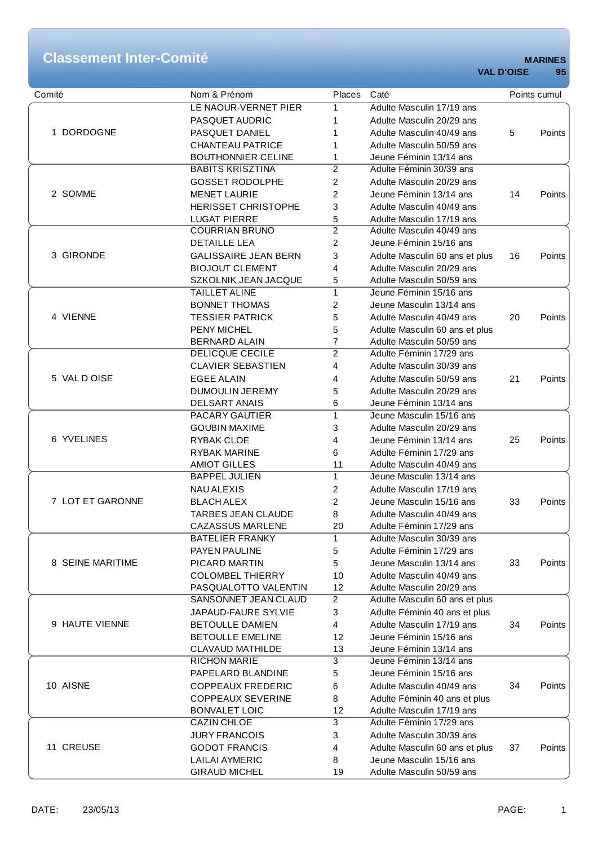# **Classement Inter-Comité**<br>MARINES<br>MAL D'OISE 95

| Comité           | Nom & Prénom                | <b>Places</b>  | Caté                                                  |    | Points cumul |
|------------------|-----------------------------|----------------|-------------------------------------------------------|----|--------------|
|                  | LE NAOUR-VERNET PIER        | 1              | Adulte Masculin 17/19 ans                             |    |              |
|                  | PASQUET AUDRIC              | 1              | Adulte Masculin 20/29 ans                             |    |              |
| 1 DORDOGNE       | PASQUET DANIEL              | 1              | Adulte Masculin 40/49 ans                             | 5  | Points       |
|                  | <b>CHANTEAU PATRICE</b>     | 1              | Adulte Masculin 50/59 ans                             |    |              |
|                  | <b>BOUTHONNIER CELINE</b>   | 1              | Jeune Féminin 13/14 ans                               |    |              |
|                  | <b>BABITS KRISZTINA</b>     | $\overline{c}$ | Adulte Féminin 30/39 ans                              |    |              |
|                  | <b>GOSSET RODOLPHE</b>      | $\overline{2}$ | Adulte Masculin 20/29 ans                             |    |              |
| 2 SOMME          | <b>MENET LAURIE</b>         | 2              | Jeune Féminin 13/14 ans                               | 14 | Points       |
|                  | <b>HERISSET CHRISTOPHE</b>  | 3              | Adulte Masculin 40/49 ans                             |    |              |
|                  | <b>LUGAT PIERRE</b>         | 5              | Adulte Masculin 17/19 ans                             |    |              |
|                  | <b>COURRIAN BRUNO</b>       | $\overline{2}$ | Adulte Masculin 40/49 ans                             |    |              |
|                  | <b>DETAILLE LEA</b>         | $\overline{2}$ | Jeune Féminin 15/16 ans                               |    |              |
| 3 GIRONDE        |                             |                |                                                       |    |              |
|                  | <b>GALISSAIRE JEAN BERN</b> | 3              | Adulte Masculin 60 ans et plus                        | 16 | Points       |
|                  | <b>BIOJOUT CLEMENT</b>      | 4              | Adulte Masculin 20/29 ans                             |    |              |
|                  | SZKOLNIK JEAN JACQUE        | 5              | Adulte Masculin 50/59 ans                             |    |              |
|                  | <b>TAILLET ALINE</b>        | 1              | Jeune Féminin 15/16 ans                               |    |              |
|                  | <b>BONNET THOMAS</b>        | 2              | Jeune Masculin 13/14 ans                              |    |              |
| 4 VIENNE         | <b>TESSIER PATRICK</b>      | 5              | Adulte Masculin 40/49 ans                             | 20 | Points       |
|                  | <b>PENY MICHEL</b>          | 5              | Adulte Masculin 60 ans et plus                        |    |              |
|                  | <b>BERNARD ALAIN</b>        | 7              | Adulte Masculin 50/59 ans                             |    |              |
|                  | <b>DELICQUE CECILE</b>      | $\overline{2}$ | Adulte Féminin 17/29 ans                              |    |              |
|                  | <b>CLAVIER SEBASTIEN</b>    | 4              | Adulte Masculin 30/39 ans                             |    |              |
| 5 VAL DOISE      | <b>EGEE ALAIN</b>           | 4              | Adulte Masculin 50/59 ans                             | 21 | Points       |
|                  | <b>DUMOULIN JEREMY</b>      | 5              | Adulte Masculin 20/29 ans                             |    |              |
|                  | <b>DELSART ANAIS</b>        | 6              | Jeune Féminin 13/14 ans                               |    |              |
|                  | <b>PACARY GAUTIER</b>       | $\mathbf{1}$   | Jeune Masculin 15/16 ans                              |    |              |
|                  | <b>GOUBIN MAXIME</b>        | 3              | Adulte Masculin 20/29 ans                             |    |              |
| 6 YVELINES       | RYBAK CLOE                  | 4              | Jeune Féminin 13/14 ans                               | 25 | Points       |
|                  | <b>RYBAK MARINE</b>         | 6              | Adulte Féminin 17/29 ans                              |    |              |
|                  | <b>AMIOT GILLES</b>         | 11             | Adulte Masculin 40/49 ans                             |    |              |
|                  | <b>BAPPEL JULIEN</b>        | 1              | Jeune Masculin 13/14 ans                              |    |              |
|                  | <b>NAU ALEXIS</b>           | 2              | Adulte Masculin 17/19 ans                             |    |              |
| 7 LOT ET GARONNE | <b>BLACH ALEX</b>           | 2              | Jeune Masculin 15/16 ans                              | 33 | Points       |
|                  | <b>TARBES JEAN CLAUDE</b>   | 8              | Adulte Masculin 40/49 ans                             |    |              |
|                  | <b>CAZASSUS MARLENE</b>     | 20             | Adulte Féminin 17/29 ans                              |    |              |
|                  | <b>BATELIER FRANKY</b>      | 1              | Adulte Masculin 30/39 ans                             |    |              |
|                  | PAYEN PAULINE               | 5              | Adulte Féminin 17/29 ans                              |    |              |
| 8 SEINE MARITIME | PICARD MARTIN               | 5              | Jeune Masculin 13/14 ans                              | 33 | Points       |
|                  | <b>COLOMBEL THIERRY</b>     | 10             | Adulte Masculin 40/49 ans                             |    |              |
|                  | PASQUALOTTO VALENTIN        | 12             | Adulte Masculin 20/29 ans                             |    |              |
|                  | SANSONNET JEAN CLAUD        | $\overline{2}$ | Adulte Masculin 60 ans et plus                        |    |              |
|                  | JAPAUD-FAURE SYLVIE         | 3              | Adulte Féminin 40 ans et plus                         |    |              |
| 9 HAUTE VIENNE   | <b>BETOULLE DAMIEN</b>      | 4              | Adulte Masculin 17/19 ans                             | 34 | Points       |
|                  | <b>BETOULLE EMELINE</b>     | 12             | Jeune Féminin 15/16 ans                               |    |              |
|                  | <b>CLAVAUD MATHILDE</b>     | 13             | Jeune Féminin 13/14 ans                               |    |              |
|                  | <b>RICHON MARIE</b>         | 3              | Jeune Féminin 13/14 ans                               |    |              |
|                  | PAPELARD BLANDINE           | 5              | Jeune Féminin 15/16 ans                               |    |              |
| 10 AISNE         | <b>COPPEAUX FREDERIC</b>    |                | Adulte Masculin 40/49 ans                             | 34 | Points       |
|                  | <b>COPPEAUX SEVERINE</b>    | 6              | Adulte Féminin 40 ans et plus                         |    |              |
|                  |                             | 8              |                                                       |    |              |
|                  | <b>BONVALET LOIC</b>        | 12             | Adulte Masculin 17/19 ans<br>Adulte Féminin 17/29 ans |    |              |
|                  | <b>CAZIN CHLOE</b>          | 3              |                                                       |    |              |
|                  | <b>JURY FRANCOIS</b>        | 3              | Adulte Masculin 30/39 ans                             |    |              |
| 11 CREUSE        | <b>GODOT FRANCIS</b>        | 4              | Adulte Masculin 60 ans et plus                        | 37 | Points       |
|                  | <b>LAILAI AYMERIC</b>       | 8              | Jeune Masculin 15/16 ans                              |    |              |
|                  | <b>GIRAUD MICHEL</b>        | 19             | Adulte Masculin 50/59 ans                             |    |              |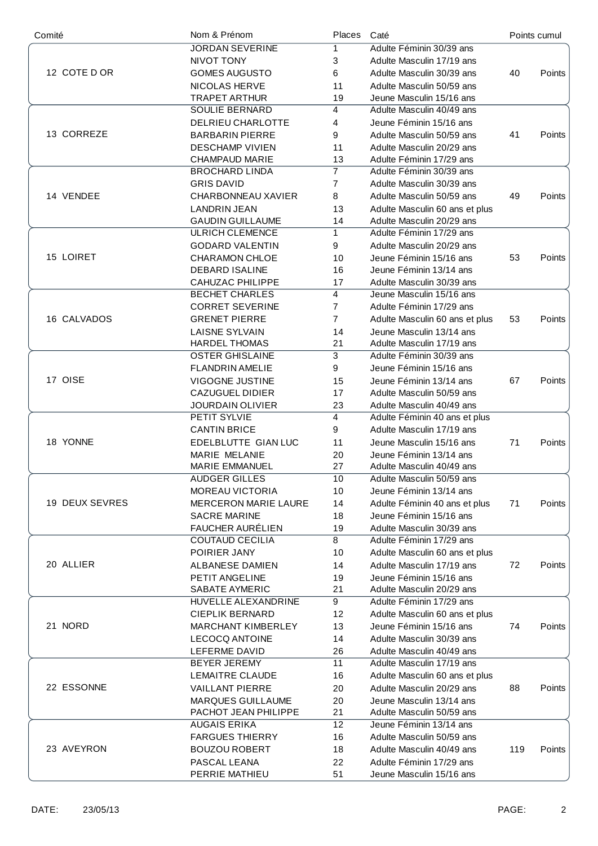| Comité         | Nom & Prénom                | Places          | Caté                           | Points cumul |               |
|----------------|-----------------------------|-----------------|--------------------------------|--------------|---------------|
|                | <b>JORDAN SEVERINE</b>      | 1               | Adulte Féminin 30/39 ans       |              |               |
|                | NIVOT TONY                  | 3               | Adulte Masculin 17/19 ans      |              |               |
| 12 COTE D OR   | <b>GOMES AUGUSTO</b>        | 6               | Adulte Masculin 30/39 ans      | 40           | Points        |
|                | <b>NICOLAS HERVE</b>        | 11              | Adulte Masculin 50/59 ans      |              |               |
|                | <b>TRAPET ARTHUR</b>        | 19              | Jeune Masculin 15/16 ans       |              |               |
|                | SOULIE BERNARD              | 4               | Adulte Masculin 40/49 ans      |              |               |
|                | DELRIEU CHARLOTTE           | 4               | Jeune Féminin 15/16 ans        |              |               |
| 13 CORREZE     | <b>BARBARIN PIERRE</b>      | 9               | Adulte Masculin 50/59 ans      | 41           | Points        |
|                | <b>DESCHAMP VIVIEN</b>      | 11              | Adulte Masculin 20/29 ans      |              |               |
|                | CHAMPAUD MARIE              | 13              | Adulte Féminin 17/29 ans       |              |               |
|                | <b>BROCHARD LINDA</b>       | $\overline{7}$  | Adulte Féminin 30/39 ans       |              |               |
|                | <b>GRIS DAVID</b>           | 7               | Adulte Masculin 30/39 ans      |              |               |
| 14 VENDEE      |                             |                 |                                |              |               |
|                | CHARBONNEAU XAVIER          | 8               | Adulte Masculin 50/59 ans      | 49           | Points        |
|                | <b>LANDRIN JEAN</b>         | 13              | Adulte Masculin 60 ans et plus |              |               |
|                | <b>GAUDIN GUILLAUME</b>     | 14              | Adulte Masculin 20/29 ans      |              |               |
|                | <b>ULRICH CLEMENCE</b>      | $\mathbf{1}$    | Adulte Féminin 17/29 ans       |              |               |
|                | <b>GODARD VALENTIN</b>      | 9               | Adulte Masculin 20/29 ans      |              |               |
| 15 LOIRET      | CHARAMON CHLOE              | 10              | Jeune Féminin 15/16 ans        | 53           | Points        |
|                | <b>DEBARD ISALINE</b>       | 16              | Jeune Féminin 13/14 ans        |              |               |
|                | <b>CAHUZAC PHILIPPE</b>     | 17              | Adulte Masculin 30/39 ans      |              |               |
|                | <b>BECHET CHARLES</b>       | $\overline{4}$  | Jeune Masculin 15/16 ans       |              |               |
|                | <b>CORRET SEVERINE</b>      | $\overline{7}$  | Adulte Féminin 17/29 ans       |              |               |
| 16 CALVADOS    | <b>GRENET PIERRE</b>        | $\overline{7}$  | Adulte Masculin 60 ans et plus | 53           | Points        |
|                | <b>LAISNE SYLVAIN</b>       | 14              | Jeune Masculin 13/14 ans       |              |               |
|                | <b>HARDEL THOMAS</b>        | 21              | Adulte Masculin 17/19 ans      |              |               |
|                | <b>OSTER GHISLAINE</b>      | $\overline{3}$  | Adulte Féminin 30/39 ans       |              |               |
|                | <b>FLANDRIN AMELIE</b>      | 9               | Jeune Féminin 15/16 ans        |              |               |
| 17 OISE        | VIGOGNE JUSTINE             | 15              | Jeune Féminin 13/14 ans        | 67           | Points        |
|                | <b>CAZUGUEL DIDIER</b>      | 17              | Adulte Masculin 50/59 ans      |              |               |
|                | JOURDAIN OLIVIER            | 23              | Adulte Masculin 40/49 ans      |              |               |
|                | PETIT SYLVIE                | 4               | Adulte Féminin 40 ans et plus  |              |               |
|                | <b>CANTIN BRICE</b>         | 9               | Adulte Masculin 17/19 ans      |              |               |
| 18 YONNE       | EDELBLUTTE GIAN LUC         | 11              | Jeune Masculin 15/16 ans       | 71           | Points        |
|                | MARIE MELANIE               | 20              | Jeune Féminin 13/14 ans        |              |               |
|                | <b>MARIE EMMANUEL</b>       | 27              | Adulte Masculin 40/49 ans      |              |               |
|                | AUDGER GILLES               | 10              | Adulte Masculin 50/59 ans      |              |               |
|                |                             |                 | Jeune Féminin 13/14 ans        |              |               |
|                | <b>MOREAU VICTORIA</b>      | 10              |                                |              |               |
| 19 DEUX SEVRES | <b>MERCERON MARIE LAURE</b> | 14              | Adulte Féminin 40 ans et plus  | 71           | <b>Points</b> |
|                | <b>SACRE MARINE</b>         | 18              | Jeune Féminin 15/16 ans        |              |               |
|                | <b>FAUCHER AURÉLIEN</b>     | 19              | Adulte Masculin 30/39 ans      |              |               |
|                | <b>COUTAUD CECILIA</b>      | 8               | Adulte Féminin 17/29 ans       |              |               |
|                | POIRIER JANY                | 10              | Adulte Masculin 60 ans et plus |              |               |
| 20 ALLIER      | ALBANESE DAMIEN             | 14              | Adulte Masculin 17/19 ans      | 72           | Points        |
|                | PETIT ANGELINE              | 19              | Jeune Féminin 15/16 ans        |              |               |
|                | SABATE AYMERIC              | 21              | Adulte Masculin 20/29 ans      |              |               |
|                | HUVELLE ALEXANDRINE         | 9               | Adulte Féminin 17/29 ans       |              |               |
|                | <b>CIEPLIK BERNARD</b>      | 12              | Adulte Masculin 60 ans et plus |              |               |
| 21 NORD        | MARCHANT KIMBERLEY          | 13              | Jeune Féminin 15/16 ans        | 74           | Points        |
|                | <b>LECOCQ ANTOINE</b>       | 14              | Adulte Masculin 30/39 ans      |              |               |
|                | LEFERME DAVID               | 26              | Adulte Masculin 40/49 ans      |              |               |
|                | BEYER JEREMY                | 11              | Adulte Masculin 17/19 ans      |              |               |
|                | LEMAITRE CLAUDE             | 16              | Adulte Masculin 60 ans et plus |              |               |
| 22 ESSONNE     | <b>VAILLANT PIERRE</b>      | 20              | Adulte Masculin 20/29 ans      | 88           | Points        |
|                | MARQUES GUILLAUME           | 20              | Jeune Masculin 13/14 ans       |              |               |
|                | PACHOT JEAN PHILIPPE        | 21              | Adulte Masculin 50/59 ans      |              |               |
|                | <b>AUGAIS ERIKA</b>         | 12 <sup>2</sup> | Jeune Féminin 13/14 ans        |              |               |
|                | <b>FARGUES THIERRY</b>      | 16              | Adulte Masculin 50/59 ans      |              |               |
| 23 AVEYRON     |                             |                 |                                |              |               |
|                | <b>BOUZOU ROBERT</b>        | 18              | Adulte Masculin 40/49 ans      | 119          | Points        |
|                | PASCAL LEANA                | 22              | Adulte Féminin 17/29 ans       |              |               |
|                | PERRIE MATHIEU              | 51              | Jeune Masculin 15/16 ans       |              |               |